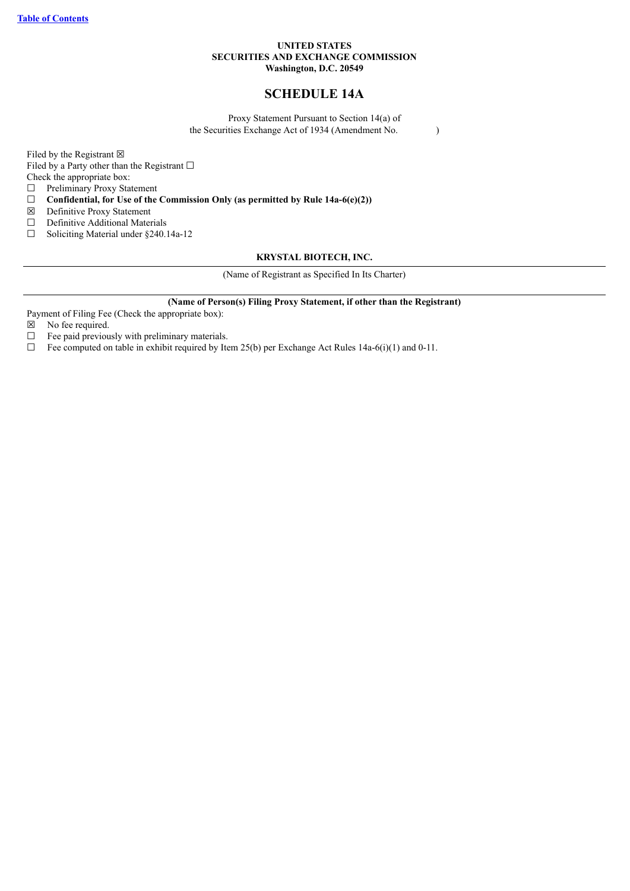## **UNITED STATES SECURITIES AND EXCHANGE COMMISSION Washington, D.C. 20549**

# **SCHEDULE 14A**

Proxy Statement Pursuant to Section 14(a) of the Securities Exchange Act of 1934 (Amendment No. )

Filed by the Registrant  $\boxtimes$ Filed by a Party other than the Registrant  $□$ 

Check the appropriate box:

☐ Preliminary Proxy Statement

☐ **Confidential, for Use of the Commission Only (as permitted by Rule 14a-6(e)(2))**

☒ Definitive Proxy Statement

□ Definitive Additional Materials

☐ Soliciting Material under §240.14a-12

## **KRYSTAL BIOTECH, INC.**

(Name of Registrant as Specified In Its Charter)

#### **(Name of Person(s) Filing Proxy Statement, if other than the Registrant)**

Payment of Filing Fee (Check the appropriate box):

 $\boxtimes$  No fee required.<br> $\Box$  Fee paid previou

Fee paid previously with preliminary materials.

 $\Box$  Fee computed on table in exhibit required by Item 25(b) per Exchange Act Rules 14a-6(i)(1) and 0-11.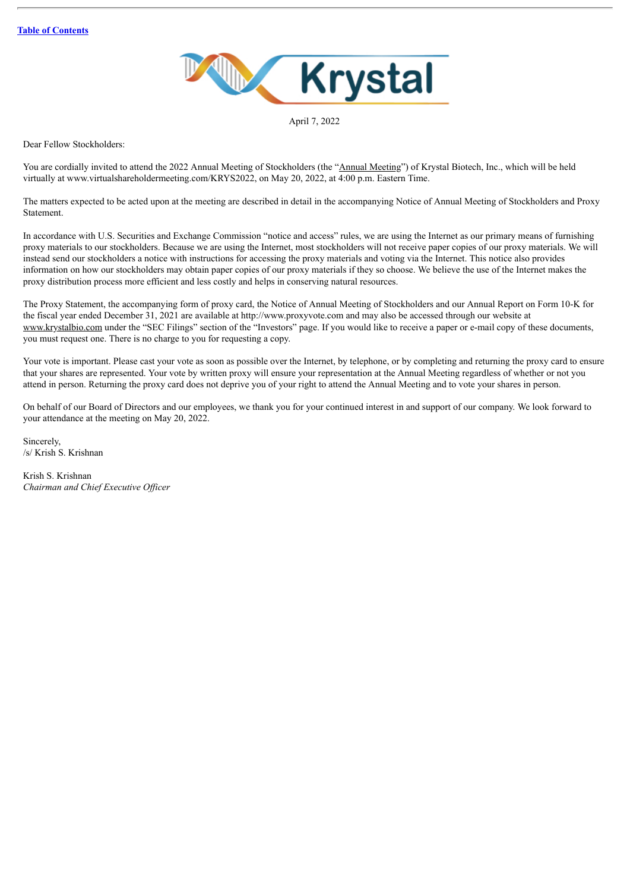

April 7, 2022

Dear Fellow Stockholders:

You are cordially invited to attend the 2022 Annual Meeting of Stockholders (the "Annual Meeting") of Krystal Biotech, Inc., which will be held virtually at www.virtualshareholdermeeting.com/KRYS2022, on May 20, 2022, at 4:00 p.m. Eastern Time.

The matters expected to be acted upon at the meeting are described in detail in the accompanying Notice of Annual Meeting of Stockholders and Proxy **Statement** 

In accordance with U.S. Securities and Exchange Commission "notice and access" rules, we are using the Internet as our primary means of furnishing proxy materials to our stockholders. Because we are using the Internet, most stockholders will not receive paper copies of our proxy materials. We will instead send our stockholders a notice with instructions for accessing the proxy materials and voting via the Internet. This notice also provides information on how our stockholders may obtain paper copies of our proxy materials if they so choose. We believe the use of the Internet makes the proxy distribution process more efficient and less costly and helps in conserving natural resources.

The Proxy Statement, the accompanying form of proxy card, the Notice of Annual Meeting of Stockholders and our Annual Report on Form 10-K for the fiscal year ended December 31, 2021 are available at http://www.proxyvote.com and may also be accessed through our website at www.krystalbio.com under the "SEC Filings" section of the "Investors" page. If you would like to receive a paper or e-mail copy of these documents, you must request one. There is no charge to you for requesting a copy.

Your vote is important. Please cast your vote as soon as possible over the Internet, by telephone, or by completing and returning the proxy card to ensure that your shares are represented. Your vote by written proxy will ensure your representation at the Annual Meeting regardless of whether or not you attend in person. Returning the proxy card does not deprive you of your right to attend the Annual Meeting and to vote your shares in person.

On behalf of our Board of Directors and our employees, we thank you for your continued interest in and support of our company. We look forward to your attendance at the meeting on May 20, 2022.

Sincerely, /s/ Krish S. Krishnan

Krish S. Krishnan *Chairman and Chief Executive Of icer*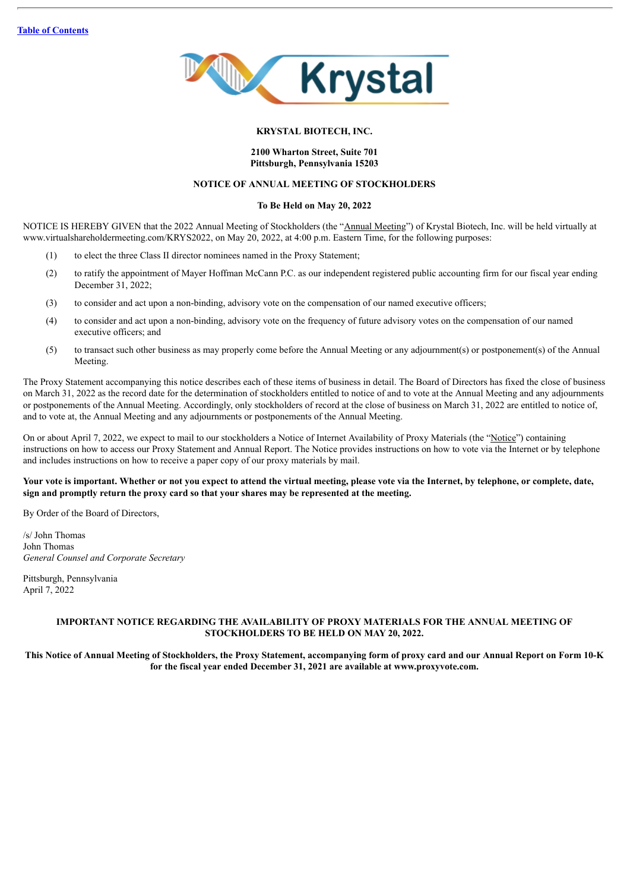

#### **KRYSTAL BIOTECH, INC.**

#### **2100 Wharton Street, Suite 701 Pittsburgh, Pennsylvania 15203**

## **NOTICE OF ANNUAL MEETING OF STOCKHOLDERS**

## **To Be Held on May 20, 2022**

NOTICE IS HEREBY GIVEN that the 2022 Annual Meeting of Stockholders (the "Annual Meeting") of Krystal Biotech, Inc. will be held virtually at www.virtualshareholdermeeting.com/KRYS2022, on May 20, 2022, at 4:00 p.m. Eastern Time, for the following purposes:

- (1) to elect the three Class II director nominees named in the Proxy Statement;
- (2) to ratify the appointment of Mayer Hoffman McCann P.C. as our independent registered public accounting firm for our fiscal year ending December 31, 2022;
- (3) to consider and act upon a non-binding, advisory vote on the compensation of our named executive officers;
- (4) to consider and act upon a non-binding, advisory vote on the frequency of future advisory votes on the compensation of our named executive officers; and
- (5) to transact such other business as may properly come before the Annual Meeting or any adjournment(s) or postponement(s) of the Annual Meeting.

The Proxy Statement accompanying this notice describes each of these items of business in detail. The Board of Directors has fixed the close of business on March 31, 2022 as the record date for the determination of stockholders entitled to notice of and to vote at the Annual Meeting and any adjournments or postponements of the Annual Meeting. Accordingly, only stockholders of record at the close of business on March 31, 2022 are entitled to notice of, and to vote at, the Annual Meeting and any adjournments or postponements of the Annual Meeting.

On or about April 7, 2022, we expect to mail to our stockholders a Notice of Internet Availability of Proxy Materials (the "Notice") containing instructions on how to access our Proxy Statement and Annual Report. The Notice provides instructions on how to vote via the Internet or by telephone and includes instructions on how to receive a paper copy of our proxy materials by mail.

## Your vote is important. Whether or not you expect to attend the virtual meeting, please vote via the Internet, by telephone, or complete, date, **sign and promptly return the proxy card so that your shares may be represented at the meeting.**

By Order of the Board of Directors,

/s/ John Thomas John Thomas *General Counsel and Corporate Secretary*

Pittsburgh, Pennsylvania April 7, 2022

## **IMPORTANT NOTICE REGARDING THE AVAILABILITY OF PROXY MATERIALS FOR THE ANNUAL MEETING OF STOCKHOLDERS TO BE HELD ON MAY 20, 2022.**

This Notice of Annual Meeting of Stockholders, the Proxy Statement, accompanying form of proxy card and our Annual Report on Form 10-K **for the fiscal year ended December 31, 2021 are available at www.proxyvote.com.**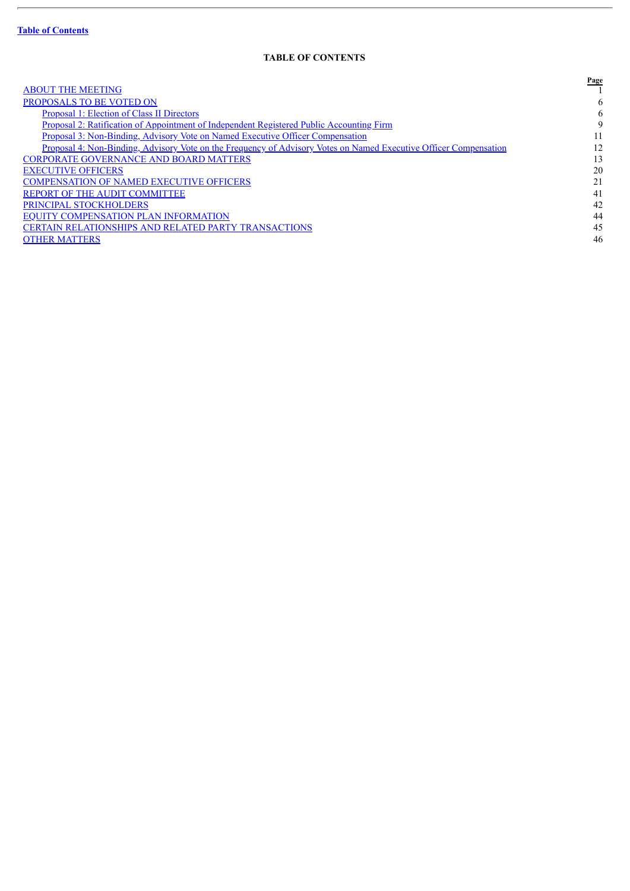ł.

# **TABLE OF CONTENTS**

<span id="page-3-0"></span>

|                                                                                                                   | Page |
|-------------------------------------------------------------------------------------------------------------------|------|
| <b>ABOUT THE MEETING</b>                                                                                          |      |
| PROPOSALS TO BE VOTED ON                                                                                          | 6    |
| <b>Proposal 1: Election of Class II Directors</b>                                                                 | 6    |
| Proposal 2: Ratification of Appointment of Independent Registered Public Accounting Firm                          | 9    |
| <u>Proposal 3: Non-Binding, Advisory Vote on Named Executive Officer Compensation</u>                             | 11   |
| Proposal 4: Non-Binding, Advisory Vote on the Frequency of Advisory Votes on Named Executive Officer Compensation | 12   |
| <b>CORPORATE GOVERNANCE AND BOARD MATTERS</b>                                                                     | 13   |
| <b>EXECUTIVE OFFICERS</b>                                                                                         | 20   |
| <b>COMPENSATION OF NAMED EXECUTIVE OFFICERS</b>                                                                   | 21   |
| <b>REPORT OF THE AUDIT COMMITTEE</b>                                                                              | 41   |
| PRINCIPAL STOCKHOLDERS                                                                                            | 42   |
| <b>EQUITY COMPENSATION PLAN INFORMATION</b>                                                                       | 44   |
| <b>CERTAIN RELATIONSHIPS AND RELATED PARTY TRANSACTIONS</b>                                                       | 45   |
| <b>OTHER MATTERS</b>                                                                                              | 46   |
|                                                                                                                   |      |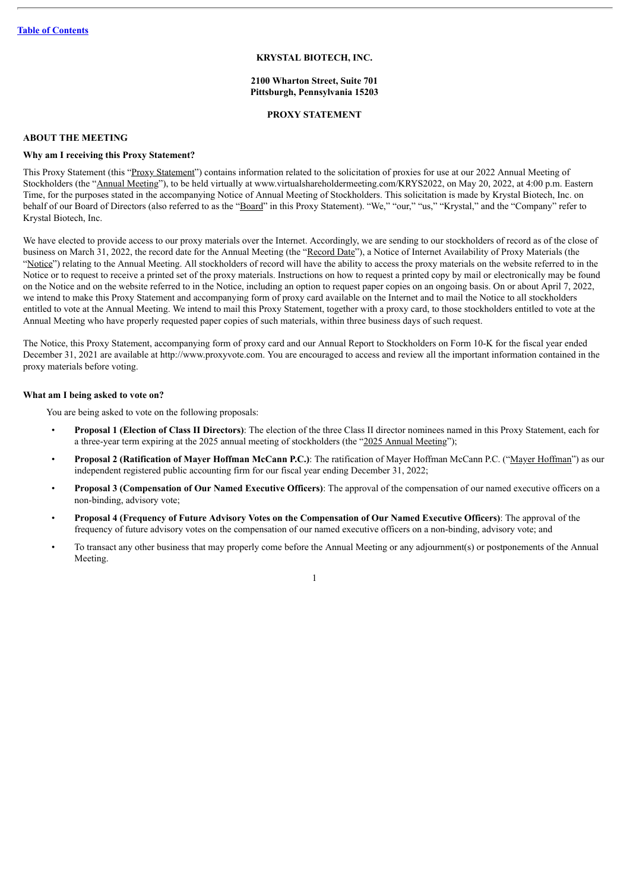#### **KRYSTAL BIOTECH, INC.**

#### **2100 Wharton Street, Suite 701 Pittsburgh, Pennsylvania 15203**

#### **PROXY STATEMENT**

## <span id="page-4-0"></span>**ABOUT THE MEETING**

## **Why am I receiving this Proxy Statement?**

This Proxy Statement (this "Proxy Statement") contains information related to the solicitation of proxies for use at our 2022 Annual Meeting of Stockholders (the "Annual Meeting"), to be held virtually at www.virtualshareholdermeeting.com/KRYS2022, on May 20, 2022, at 4:00 p.m. Eastern Time, for the purposes stated in the accompanying Notice of Annual Meeting of Stockholders. This solicitation is made by Krystal Biotech, Inc. on behalf of our Board of Directors (also referred to as the "Board" in this Proxy Statement). "We," "our," "us," "Krystal," and the "Company" refer to Krystal Biotech, Inc.

We have elected to provide access to our proxy materials over the Internet. Accordingly, we are sending to our stockholders of record as of the close of business on March 31, 2022, the record date for the Annual Meeting (the "Record Date"), a Notice of Internet Availability of Proxy Materials (the "Notice") relating to the Annual Meeting. All stockholders of record will have the ability to access the proxy materials on the website referred to in the Notice or to request to receive a printed set of the proxy materials. Instructions on how to request a printed copy by mail or electronically may be found on the Notice and on the website referred to in the Notice, including an option to request paper copies on an ongoing basis. On or about April 7, 2022, we intend to make this Proxy Statement and accompanying form of proxy card available on the Internet and to mail the Notice to all stockholders entitled to vote at the Annual Meeting. We intend to mail this Proxy Statement, together with a proxy card, to those stockholders entitled to vote at the Annual Meeting who have properly requested paper copies of such materials, within three business days of such request.

The Notice, this Proxy Statement, accompanying form of proxy card and our Annual Report to Stockholders on Form 10-K for the fiscal year ended December 31, 2021 are available at http://www.proxyvote.com. You are encouraged to access and review all the important information contained in the proxy materials before voting.

#### **What am I being asked to vote on?**

You are being asked to vote on the following proposals:

- **Proposal 1 (Election of Class II Directors)**: The election of the three Class II director nominees named in this Proxy Statement, each for a three-year term expiring at the 2025 annual meeting of stockholders (the "2025 Annual Meeting");
- **Proposal 2 (Ratification of Mayer Hoffman McCann P.C.)**: The ratification of Mayer Hoffman McCann P.C. ("Mayer Hoffman") as our independent registered public accounting firm for our fiscal year ending December 31, 2022;
- **Proposal 3 (Compensation of Our Named Executive Officers)**: The approval of the compensation of our named executive officers on a non-binding, advisory vote;
- Proposal 4 (Frequency of Future Advisory Votes on the Compensation of Our Named Executive Officers): The approval of the frequency of future advisory votes on the compensation of our named executive officers on a non-binding, advisory vote; and
- To transact any other business that may properly come before the Annual Meeting or any adjournment(s) or postponements of the Annual Meeting.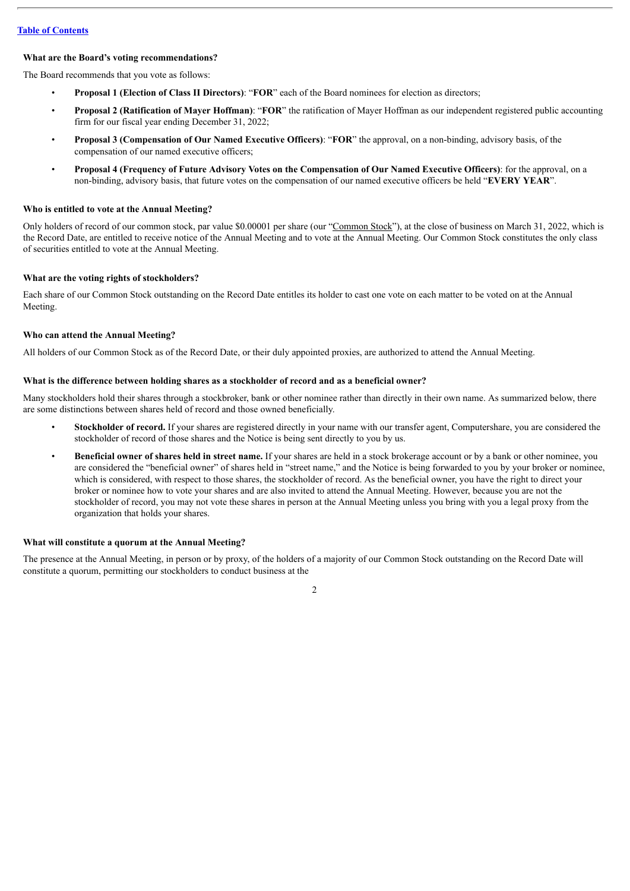#### **What are the Board's voting recommendations?**

The Board recommends that you vote as follows:

- **Proposal 1 (Election of Class II Directors)**: "**FOR**" each of the Board nominees for election as directors;
- **Proposal 2 (Ratification of Mayer Hoffman)**: "**FOR**" the ratification of Mayer Hoffman as our independent registered public accounting firm for our fiscal year ending December 31, 2022;
- **Proposal 3 (Compensation of Our Named Executive Officers)**: "**FOR**" the approval, on a non-binding, advisory basis, of the compensation of our named executive officers;
- Proposal 4 (Frequency of Future Advisory Votes on the Compensation of Our Named Executive Officers): for the approval, on a non-binding, advisory basis, that future votes on the compensation of our named executive officers be held "**EVERY YEAR**".

## **Who is entitled to vote at the Annual Meeting?**

Only holders of record of our common stock, par value \$0.00001 per share (our "Common Stock"), at the close of business on March 31, 2022, which is the Record Date, are entitled to receive notice of the Annual Meeting and to vote at the Annual Meeting. Our Common Stock constitutes the only class of securities entitled to vote at the Annual Meeting.

#### **What are the voting rights of stockholders?**

Each share of our Common Stock outstanding on the Record Date entitles its holder to cast one vote on each matter to be voted on at the Annual Meeting.

#### **Who can attend the Annual Meeting?**

All holders of our Common Stock as of the Record Date, or their duly appointed proxies, are authorized to attend the Annual Meeting.

## **What is the difference between holding shares as a stockholder of record and as a beneficial owner?**

Many stockholders hold their shares through a stockbroker, bank or other nominee rather than directly in their own name. As summarized below, there are some distinctions between shares held of record and those owned beneficially.

- **Stockholder of record.** If your shares are registered directly in your name with our transfer agent, Computershare, you are considered the stockholder of record of those shares and the Notice is being sent directly to you by us.
- **Beneficial owner of shares held in street name.** If your shares are held in a stock brokerage account or by a bank or other nominee, you are considered the "beneficial owner" of shares held in "street name," and the Notice is being forwarded to you by your broker or nominee, which is considered, with respect to those shares, the stockholder of record. As the beneficial owner, you have the right to direct your broker or nominee how to vote your shares and are also invited to attend the Annual Meeting. However, because you are not the stockholder of record, you may not vote these shares in person at the Annual Meeting unless you bring with you a legal proxy from the organization that holds your shares.

#### **What will constitute a quorum at the Annual Meeting?**

The presence at the Annual Meeting, in person or by proxy, of the holders of a majority of our Common Stock outstanding on the Record Date will constitute a quorum, permitting our stockholders to conduct business at the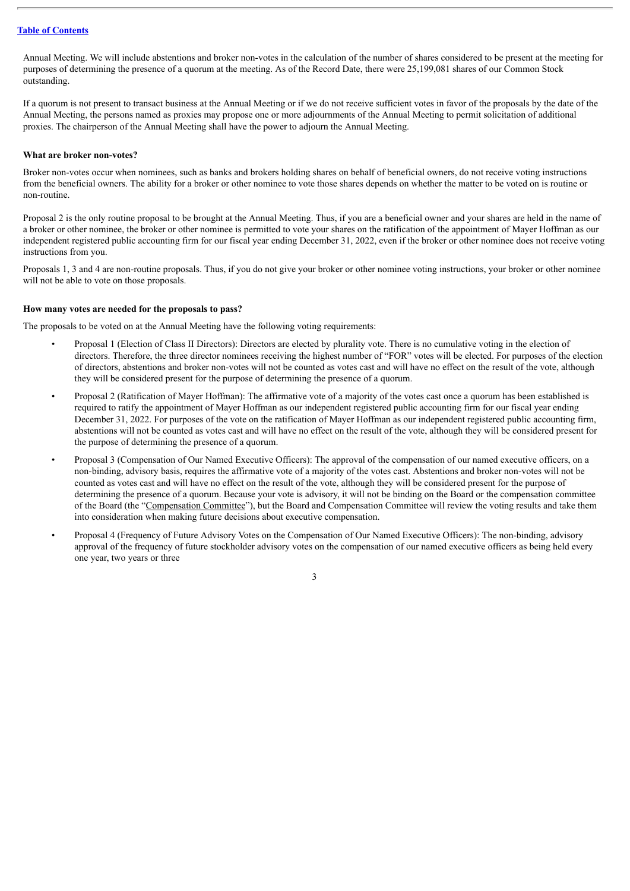Annual Meeting. We will include abstentions and broker non-votes in the calculation of the number of shares considered to be present at the meeting for purposes of determining the presence of a quorum at the meeting. As of the Record Date, there were 25,199,081 shares of our Common Stock outstanding.

If a quorum is not present to transact business at the Annual Meeting or if we do not receive sufficient votes in favor of the proposals by the date of the Annual Meeting, the persons named as proxies may propose one or more adjournments of the Annual Meeting to permit solicitation of additional proxies. The chairperson of the Annual Meeting shall have the power to adjourn the Annual Meeting.

## **What are broker non-votes?**

Broker non-votes occur when nominees, such as banks and brokers holding shares on behalf of beneficial owners, do not receive voting instructions from the beneficial owners. The ability for a broker or other nominee to vote those shares depends on whether the matter to be voted on is routine or non-routine.

Proposal 2 is the only routine proposal to be brought at the Annual Meeting. Thus, if you are a beneficial owner and your shares are held in the name of a broker or other nominee, the broker or other nominee is permitted to vote your shares on the ratification of the appointment of Mayer Hoffman as our independent registered public accounting firm for our fiscal year ending December 31, 2022, even if the broker or other nominee does not receive voting instructions from you.

Proposals 1, 3 and 4 are non-routine proposals. Thus, if you do not give your broker or other nominee voting instructions, your broker or other nominee will not be able to vote on those proposals.

#### **How many votes are needed for the proposals to pass?**

The proposals to be voted on at the Annual Meeting have the following voting requirements:

- Proposal 1 (Election of Class II Directors): Directors are elected by plurality vote. There is no cumulative voting in the election of directors. Therefore, the three director nominees receiving the highest number of "FOR" votes will be elected. For purposes of the election of directors, abstentions and broker non-votes will not be counted as votes cast and will have no effect on the result of the vote, although they will be considered present for the purpose of determining the presence of a quorum.
- Proposal 2 (Ratification of Mayer Hoffman): The affirmative vote of a majority of the votes cast once a quorum has been established is required to ratify the appointment of Mayer Hoffman as our independent registered public accounting firm for our fiscal year ending December 31, 2022. For purposes of the vote on the ratification of Mayer Hoffman as our independent registered public accounting firm, abstentions will not be counted as votes cast and will have no effect on the result of the vote, although they will be considered present for the purpose of determining the presence of a quorum.
- Proposal 3 (Compensation of Our Named Executive Officers): The approval of the compensation of our named executive officers, on a non-binding, advisory basis, requires the affirmative vote of a majority of the votes cast. Abstentions and broker non-votes will not be counted as votes cast and will have no effect on the result of the vote, although they will be considered present for the purpose of determining the presence of a quorum. Because your vote is advisory, it will not be binding on the Board or the compensation committee of the Board (the "Compensation Committee"), but the Board and Compensation Committee will review the voting results and take them into consideration when making future decisions about executive compensation.
- Proposal 4 (Frequency of Future Advisory Votes on the Compensation of Our Named Executive Officers): The non-binding, advisory approval of the frequency of future stockholder advisory votes on the compensation of our named executive officers as being held every one year, two years or three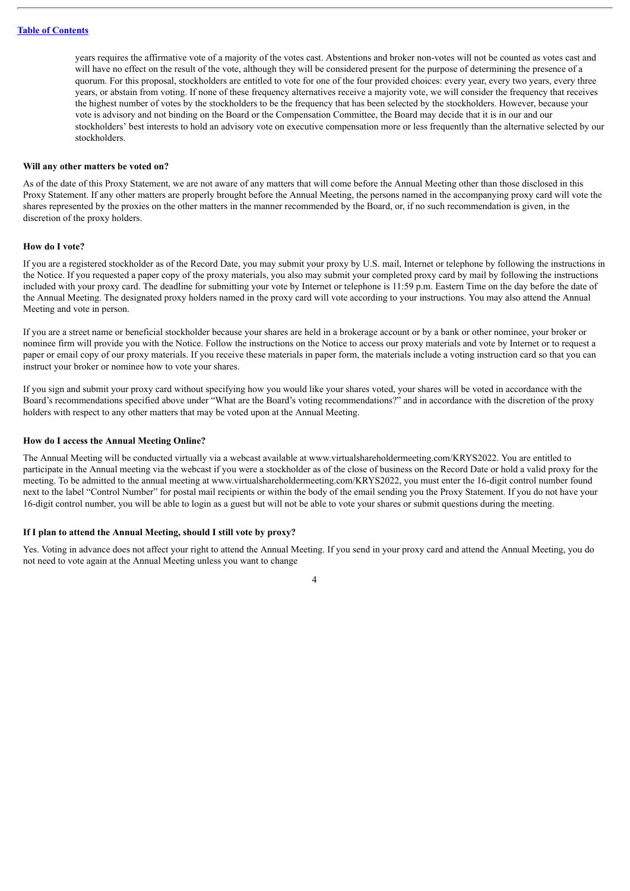years requires the affirmative vote of a majority of the votes cast. Abstentions and broker non-votes will not be counted as votes cast and will have no effect on the result of the vote, although they will be considered present for the purpose of determining the presence of a quorum. For this proposal, stockholders are entitled to vote for one of the four provided choices: every year, every two years, every three years, or abstain from voting. If none of these frequency alternatives receive a majority vote, we will consider the frequency that receives the highest number of votes by the stockholders to be the frequency that has been selected by the stockholders. However, because your vote is advisory and not binding on the Board or the Compensation Committee, the Board may decide that it is in our and our stockholders' best interests to hold an advisory vote on executive compensation more or less frequently than the alternative selected by our stockholders.

#### **Will any other matters be voted on?**

As of the date of this Proxy Statement, we are not aware of any matters that will come before the Annual Meeting other than those disclosed in this Proxy Statement. If any other matters are properly brought before the Annual Meeting, the persons named in the accompanying proxy card will vote the shares represented by the proxies on the other matters in the manner recommended by the Board, or, if no such recommendation is given, in the discretion of the proxy holders.

#### **How do I vote?**

If you are a registered stockholder as of the Record Date, you may submit your proxy by U.S. mail, Internet or telephone by following the instructions in the Notice. If you requested a paper copy of the proxy materials, you also may submit your completed proxy card by mail by following the instructions included with your proxy card. The deadline for submitting your vote by Internet or telephone is 11:59 p.m. Eastern Time on the day before the date of the Annual Meeting. The designated proxy holders named in the proxy card will vote according to your instructions. You may also attend the Annual Meeting and vote in person.

If you are a street name or beneficial stockholder because your shares are held in a brokerage account or by a bank or other nominee, your broker or nominee firm will provide you with the Notice. Follow the instructions on the Notice to access our proxy materials and vote by Internet or to request a paper or email copy of our proxy materials. If you receive these materials in paper form, the materials include a voting instruction card so that you can instruct your broker or nominee how to vote your shares.

If you sign and submit your proxy card without specifying how you would like your shares voted, your shares will be voted in accordance with the Board's recommendations specified above under "What are the Board's voting recommendations?" and in accordance with the discretion of the proxy holders with respect to any other matters that may be voted upon at the Annual Meeting.

#### **How do I access the Annual Meeting Online?**

The Annual Meeting will be conducted virtually via a webcast available at www.virtualshareholdermeeting.com/KRYS2022. You are entitled to participate in the Annual meeting via the webcast if you were a stockholder as of the close of business on the Record Date or hold a valid proxy for the meeting. To be admitted to the annual meeting at www.virtualshareholdermeeting.com/KRYS2022, you must enter the 16-digit control number found next to the label "Control Number" for postal mail recipients or within the body of the email sending you the Proxy Statement. If you do not have your 16-digit control number, you will be able to login as a guest but will not be able to vote your shares or submit questions during the meeting.

## **If I plan to attend the Annual Meeting, should I still vote by proxy?**

Yes. Voting in advance does not affect your right to attend the Annual Meeting. If you send in your proxy card and attend the Annual Meeting, you do not need to vote again at the Annual Meeting unless you want to change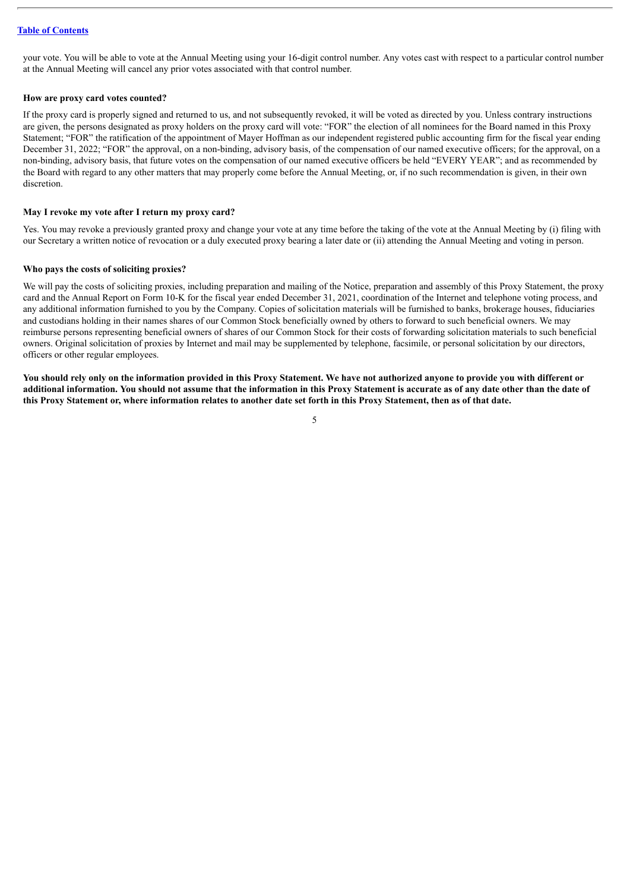your vote. You will be able to vote at the Annual Meeting using your 16-digit control number. Any votes cast with respect to a particular control number at the Annual Meeting will cancel any prior votes associated with that control number.

#### **How are proxy card votes counted?**

If the proxy card is properly signed and returned to us, and not subsequently revoked, it will be voted as directed by you. Unless contrary instructions are given, the persons designated as proxy holders on the proxy card will vote: "FOR" the election of all nominees for the Board named in this Proxy Statement; "FOR" the ratification of the appointment of Mayer Hoffman as our independent registered public accounting firm for the fiscal year ending December 31, 2022; "FOR" the approval, on a non-binding, advisory basis, of the compensation of our named executive officers; for the approval, on a non-binding, advisory basis, that future votes on the compensation of our named executive officers be held "EVERY YEAR"; and as recommended by the Board with regard to any other matters that may properly come before the Annual Meeting, or, if no such recommendation is given, in their own discretion.

#### **May I revoke my vote after I return my proxy card?**

Yes. You may revoke a previously granted proxy and change your vote at any time before the taking of the vote at the Annual Meeting by (i) filing with our Secretary a written notice of revocation or a duly executed proxy bearing a later date or (ii) attending the Annual Meeting and voting in person.

#### **Who pays the costs of soliciting proxies?**

We will pay the costs of soliciting proxies, including preparation and mailing of the Notice, preparation and assembly of this Proxy Statement, the proxy card and the Annual Report on Form 10-K for the fiscal year ended December 31, 2021, coordination of the Internet and telephone voting process, and any additional information furnished to you by the Company. Copies of solicitation materials will be furnished to banks, brokerage houses, fiduciaries and custodians holding in their names shares of our Common Stock beneficially owned by others to forward to such beneficial owners. We may reimburse persons representing beneficial owners of shares of our Common Stock for their costs of forwarding solicitation materials to such beneficial owners. Original solicitation of proxies by Internet and mail may be supplemented by telephone, facsimile, or personal solicitation by our directors, officers or other regular employees.

You should rely only on the information provided in this Proxy Statement. We have not authorized anyone to provide you with different or additional information. You should not assume that the information in this Proxy Statement is accurate as of any date other than the date of this Proxy Statement or, where information relates to another date set forth in this Proxy Statement, then as of that date.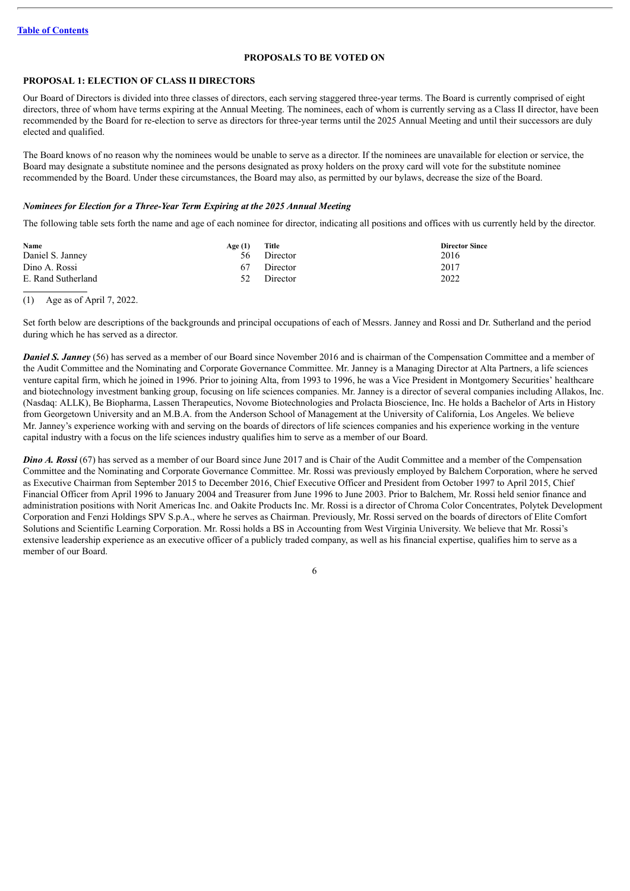## **PROPOSALS TO BE VOTED ON**

## <span id="page-9-1"></span><span id="page-9-0"></span>**PROPOSAL 1: ELECTION OF CLASS II DIRECTORS**

Our Board of Directors is divided into three classes of directors, each serving staggered three-year terms. The Board is currently comprised of eight directors, three of whom have terms expiring at the Annual Meeting. The nominees, each of whom is currently serving as a Class II director, have been recommended by the Board for re-election to serve as directors for three-year terms until the 2025 Annual Meeting and until their successors are duly elected and qualified.

The Board knows of no reason why the nominees would be unable to serve as a director. If the nominees are unavailable for election or service, the Board may designate a substitute nominee and the persons designated as proxy holders on the proxy card will vote for the substitute nominee recommended by the Board. Under these circumstances, the Board may also, as permitted by our bylaws, decrease the size of the Board.

### *Nominees for Election for a Three-Year Term Expiring at the 2025 Annual Meeting*

The following table sets forth the name and age of each nominee for director, indicating all positions and offices with us currently held by the director.

| <b>Name</b>        | Age (1) | Title    | <b>Director Since</b> |
|--------------------|---------|----------|-----------------------|
| Daniel S. Janney   | -56 -   | Director | 2016                  |
| Dino A. Rossi      | 67      | Director | 2017                  |
| E. Rand Sutherland | 52      | Director | 2022                  |

## (1) Age as of April 7, 2022.

Set forth below are descriptions of the backgrounds and principal occupations of each of Messrs. Janney and Rossi and Dr. Sutherland and the period during which he has served as a director.

*Daniel* S. *Janney* (56) has served as a member of our Board since November 2016 and is chairman of the Compensation Committee and a member of the Audit Committee and the Nominating and Corporate Governance Committee. Mr. Janney is a Managing Director at Alta Partners, a life sciences venture capital firm, which he joined in 1996. Prior to joining Alta, from 1993 to 1996, he was a Vice President in Montgomery Securities' healthcare and biotechnology investment banking group, focusing on life sciences companies. Mr. Janney is a director of several companies including Allakos, Inc. (Nasdaq: ALLK), Be Biopharma, Lassen Therapeutics, Novome Biotechnologies and Prolacta Bioscience, Inc. He holds a Bachelor of Arts in History from Georgetown University and an M.B.A. from the Anderson School of Management at the University of California, Los Angeles. We believe Mr. Janney's experience working with and serving on the boards of directors of life sciences companies and his experience working in the venture capital industry with a focus on the life sciences industry qualifies him to serve as a member of our Board.

*Dino A. Rossi* (67) has served as a member of our Board since June 2017 and is Chair of the Audit Committee and a member of the Compensation Committee and the Nominating and Corporate Governance Committee. Mr. Rossi was previously employed by Balchem Corporation, where he served as Executive Chairman from September 2015 to December 2016, Chief Executive Officer and President from October 1997 to April 2015, Chief Financial Officer from April 1996 to January 2004 and Treasurer from June 1996 to June 2003. Prior to Balchem, Mr. Rossi held senior finance and administration positions with Norit Americas Inc. and Oakite Products Inc. Mr. Rossi is a director of Chroma Color Concentrates, Polytek Development Corporation and Fenzi Holdings SPV S.p.A., where he serves as Chairman. Previously, Mr. Rossi served on the boards of directors of Elite Comfort Solutions and Scientific Learning Corporation. Mr. Rossi holds a BS in Accounting from West Virginia University. We believe that Mr. Rossi's extensive leadership experience as an executive officer of a publicly traded company, as well as his financial expertise, qualifies him to serve as a member of our Board.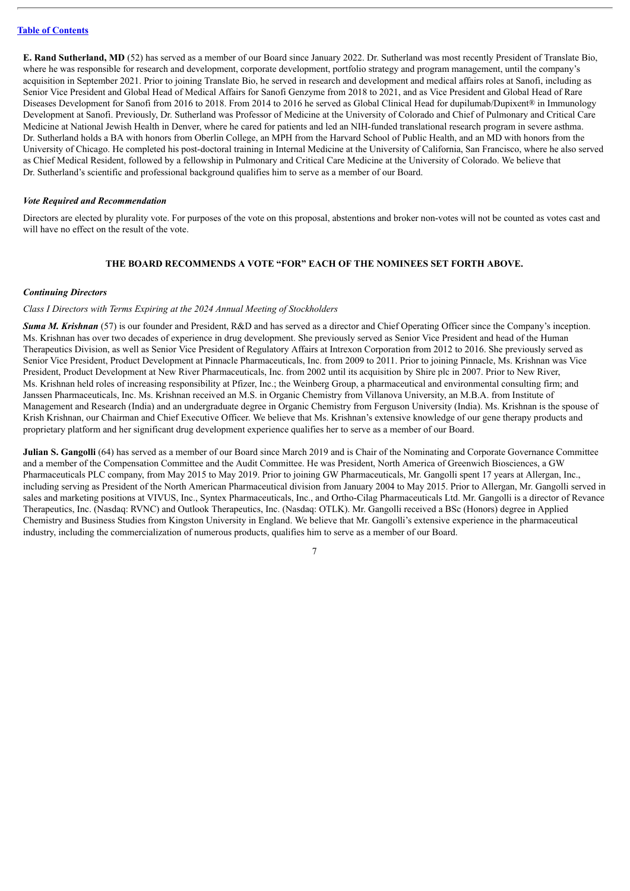**E. Rand Sutherland, MD** (52) has served as a member of our Board since January 2022. Dr. Sutherland was most recently President of Translate Bio, where he was responsible for research and development, corporate development, portfolio strategy and program management, until the company's acquisition in September 2021. Prior to joining Translate Bio, he served in research and development and medical affairs roles at Sanofi, including as Senior Vice President and Global Head of Medical Affairs for Sanofi Genzyme from 2018 to 2021, and as Vice President and Global Head of Rare Diseases Development for Sanofi from 2016 to 2018. From 2014 to 2016 he served as Global Clinical Head for dupilumab/Dupixent® in Immunology Development at Sanofi. Previously, Dr. Sutherland was Professor of Medicine at the University of Colorado and Chief of Pulmonary and Critical Care Medicine at National Jewish Health in Denver, where he cared for patients and led an NIH-funded translational research program in severe asthma. Dr. Sutherland holds a BA with honors from Oberlin College, an MPH from the Harvard School of Public Health, and an MD with honors from the University of Chicago. He completed his post-doctoral training in Internal Medicine at the University of California, San Francisco, where he also served as Chief Medical Resident, followed by a fellowship in Pulmonary and Critical Care Medicine at the University of Colorado. We believe that Dr. Sutherland's scientific and professional background qualifies him to serve as a member of our Board.

#### *Vote Required and Recommendation*

Directors are elected by plurality vote. For purposes of the vote on this proposal, abstentions and broker non-votes will not be counted as votes cast and will have no effect on the result of the vote.

## **THE BOARD RECOMMENDS A VOTE "FOR" EACH OF THE NOMINEES SET FORTH ABOVE.**

#### *Continuing Directors*

#### *Class I Directors with Terms Expiring at the 2024 Annual Meeting of Stockholders*

*Suma M. Krishnan* (57) is our founder and President, R&D and has served as a director and Chief Operating Officer since the Company's inception. Ms. Krishnan has over two decades of experience in drug development. She previously served as Senior Vice President and head of the Human Therapeutics Division, as well as Senior Vice President of Regulatory Affairs at Intrexon Corporation from 2012 to 2016. She previously served as Senior Vice President, Product Development at Pinnacle Pharmaceuticals, Inc. from 2009 to 2011. Prior to joining Pinnacle, Ms. Krishnan was Vice President, Product Development at New River Pharmaceuticals, Inc. from 2002 until its acquisition by Shire plc in 2007. Prior to New River, Ms. Krishnan held roles of increasing responsibility at Pfizer, Inc.; the Weinberg Group, a pharmaceutical and environmental consulting firm; and Janssen Pharmaceuticals, Inc. Ms. Krishnan received an M.S. in Organic Chemistry from Villanova University, an M.B.A. from Institute of Management and Research (India) and an undergraduate degree in Organic Chemistry from Ferguson University (India). Ms. Krishnan is the spouse of Krish Krishnan, our Chairman and Chief Executive Officer. We believe that Ms. Krishnan's extensive knowledge of our gene therapy products and proprietary platform and her significant drug development experience qualifies her to serve as a member of our Board.

**Julian S. Gangolli** (64) has served as a member of our Board since March 2019 and is Chair of the Nominating and Corporate Governance Committee and a member of the Compensation Committee and the Audit Committee. He was President, North America of Greenwich Biosciences, a GW Pharmaceuticals PLC company, from May 2015 to May 2019. Prior to joining GW Pharmaceuticals, Mr. Gangolli spent 17 years at Allergan, Inc., including serving as President of the North American Pharmaceutical division from January 2004 to May 2015. Prior to Allergan, Mr. Gangolli served in sales and marketing positions at VIVUS, Inc., Syntex Pharmaceuticals, Inc., and Ortho-Cilag Pharmaceuticals Ltd. Mr. Gangolli is a director of Revance Therapeutics, Inc. (Nasdaq: RVNC) and Outlook Therapeutics, Inc. (Nasdaq: OTLK). Mr. Gangolli received a BSc (Honors) degree in Applied Chemistry and Business Studies from Kingston University in England. We believe that Mr. Gangolli's extensive experience in the pharmaceutical industry, including the commercialization of numerous products, qualifies him to serve as a member of our Board.

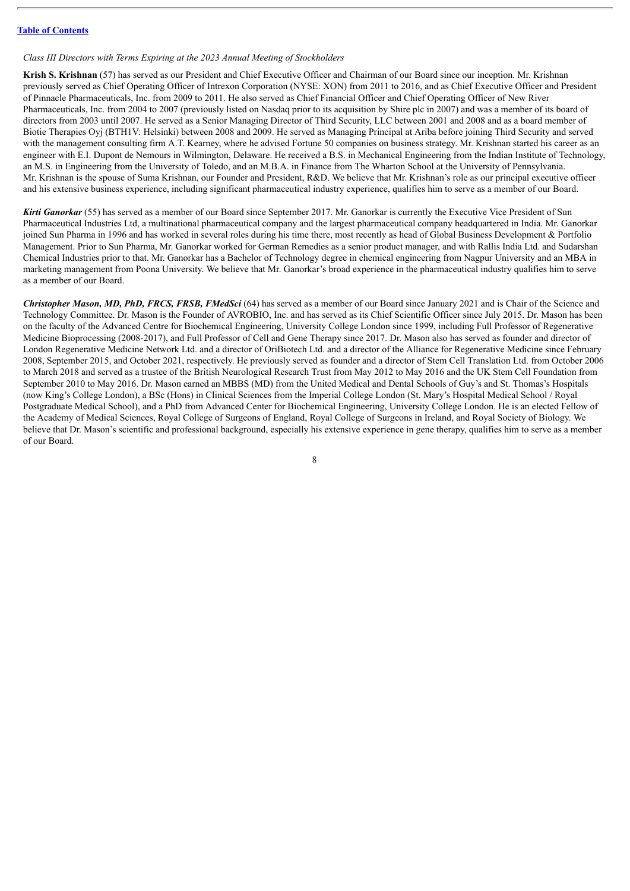#### *Class III Directors with Terms Expiring at the 2023 Annual Meeting of Stockholders*

**Krish S. Krishnan** (57) has served as our President and Chief Executive Officer and Chairman of our Board since our inception. Mr. Krishnan previously served as Chief Operating Officer of Intrexon Corporation (NYSE: XON) from 2011 to 2016, and as Chief Executive Officer and President of Pinnacle Pharmaceuticals, Inc. from 2009 to 2011. He also served as Chief Financial Officer and Chief Operating Officer of New River Pharmaceuticals, Inc. from 2004 to 2007 (previously listed on Nasdaq prior to its acquisition by Shire plc in 2007) and was a member of its board of directors from 2003 until 2007. He served as a Senior Managing Director of Third Security, LLC between 2001 and 2008 and as a board member of Biotie Therapies Oyj (BTH1V: Helsinki) between 2008 and 2009. He served as Managing Principal at Ariba before joining Third Security and served with the management consulting firm A.T. Kearney, where he advised Fortune 50 companies on business strategy. Mr. Krishnan started his career as an engineer with E.I. Dupont de Nemours in Wilmington, Delaware. He received a B.S. in Mechanical Engineering from the Indian Institute of Technology, an M.S. in Engineering from the University of Toledo, and an M.B.A. in Finance from The Wharton School at the University of Pennsylvania. Mr. Krishnan is the spouse of Suma Krishnan, our Founder and President, R&D. We believe that Mr. Krishnan's role as our principal executive officer and his extensive business experience, including significant pharmaceutical industry experience, qualifies him to serve as a member of our Board.

*Kirti Ganorkar* (55) has served as a member of our Board since September 2017. Mr. Ganorkar is currently the Executive Vice President of Sun Pharmaceutical Industries Ltd, a multinational pharmaceutical company and the largest pharmaceutical company headquartered in India. Mr. Ganorkar joined Sun Pharma in 1996 and has worked in several roles during his time there, most recently as head of Global Business Development & Portfolio Management. Prior to Sun Pharma, Mr. Ganorkar worked for German Remedies as a senior product manager, and with Rallis India Ltd. and Sudarshan Chemical Industries prior to that. Mr. Ganorkar has a Bachelor of Technology degree in chemical engineering from Nagpur University and an MBA in marketing management from Poona University. We believe that Mr. Ganorkar's broad experience in the pharmaceutical industry qualifies him to serve as a member of our Board.

*Christopher Mason, MD, PhD, FRCS, FRSB, FMedSci* (64) has served as a member of our Board since January 2021 and is Chair of the Science and Technology Committee. Dr. Mason is the Founder of AVROBIO, Inc. and has served as its Chief Scientific Officer since July 2015. Dr. Mason has been on the faculty of the Advanced Centre for Biochemical Engineering, University College London since 1999, including Full Professor of Regenerative Medicine Bioprocessing (2008-2017), and Full Professor of Cell and Gene Therapy since 2017. Dr. Mason also has served as founder and director of London Regenerative Medicine Network Ltd. and a director of OriBiotech Ltd. and a director of the Alliance for Regenerative Medicine since February 2008, September 2015, and October 2021, respectively. He previously served as founder and a director of Stem Cell Translation Ltd. from October 2006 to March 2018 and served as a trustee of the British Neurological Research Trust from May 2012 to May 2016 and the UK Stem Cell Foundation from September 2010 to May 2016. Dr. Mason earned an MBBS (MD) from the United Medical and Dental Schools of Guy's and St. Thomas's Hospitals (now King's College London), a BSc (Hons) in Clinical Sciences from the Imperial College London (St. Mary's Hospital Medical School / Royal Postgraduate Medical School), and a PhD from Advanced Center for Biochemical Engineering, University College London. He is an elected Fellow of the Academy of Medical Sciences, Royal College of Surgeons of England, Royal College of Surgeons in Ireland, and Royal Society of Biology. We believe that Dr. Mason's scientific and professional background, especially his extensive experience in gene therapy, qualifies him to serve as a member of our Board.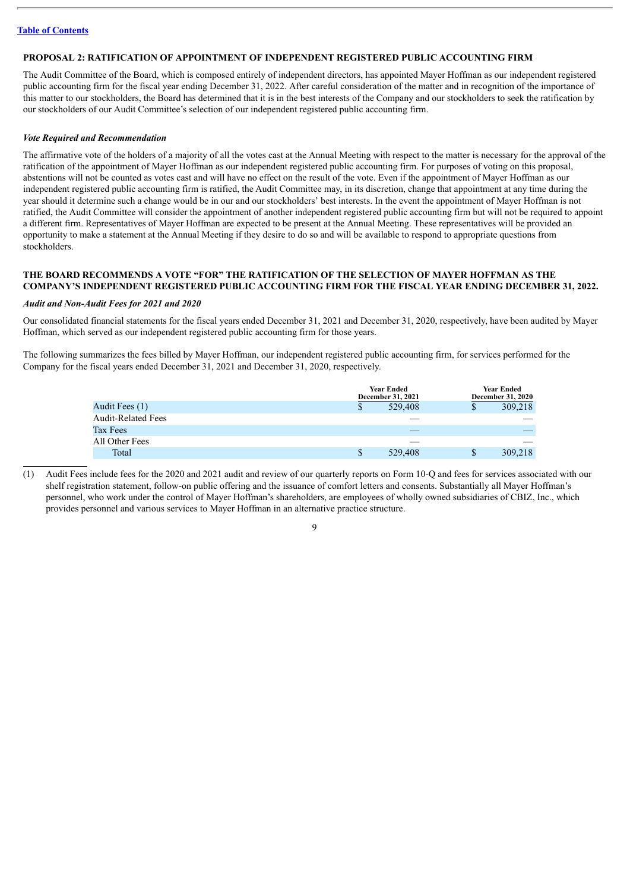## <span id="page-12-0"></span>**PROPOSAL 2: RATIFICATION OF APPOINTMENT OF INDEPENDENT REGISTERED PUBLIC ACCOUNTING FIRM**

The Audit Committee of the Board, which is composed entirely of independent directors, has appointed Mayer Hoffman as our independent registered public accounting firm for the fiscal year ending December 31, 2022. After careful consideration of the matter and in recognition of the importance of this matter to our stockholders, the Board has determined that it is in the best interests of the Company and our stockholders to seek the ratification by our stockholders of our Audit Committee's selection of our independent registered public accounting firm.

## *Vote Required and Recommendation*

The affirmative vote of the holders of a majority of all the votes cast at the Annual Meeting with respect to the matter is necessary for the approval of the ratification of the appointment of Mayer Hoffman as our independent registered public accounting firm. For purposes of voting on this proposal, abstentions will not be counted as votes cast and will have no effect on the result of the vote. Even if the appointment of Mayer Hoffman as our independent registered public accounting firm is ratified, the Audit Committee may, in its discretion, change that appointment at any time during the year should it determine such a change would be in our and our stockholders' best interests. In the event the appointment of Mayer Hoffman is not ratified, the Audit Committee will consider the appointment of another independent registered public accounting firm but will not be required to appoint a different firm. Representatives of Mayer Hoffman are expected to be present at the Annual Meeting. These representatives will be provided an opportunity to make a statement at the Annual Meeting if they desire to do so and will be available to respond to appropriate questions from stockholders.

## **THE BOARD RECOMMENDS A VOTE "FOR" THE RATIFICATION OF THE SELECTION OF MAYER HOFFMAN AS THE COMPANY'S INDEPENDENT REGISTERED PUBLIC ACCOUNTING FIRM FOR THE FISCAL YEAR ENDING DECEMBER 31, 2022.**

#### *Audit and Non-Audit Fees for 2021 and 2020*

Our consolidated financial statements for the fiscal years ended December 31, 2021 and December 31, 2020, respectively, have been audited by Mayer Hoffman, which served as our independent registered public accounting firm for those years.

The following summarizes the fees billed by Mayer Hoffman, our independent registered public accounting firm, for services performed for the Company for the fiscal years ended December 31, 2021 and December 31, 2020, respectively.

|                    | <b>Year Ended</b><br>December 31, 2021 |    | <b>Year Ended</b><br><b>December 31, 2020</b> |  |  |
|--------------------|----------------------------------------|----|-----------------------------------------------|--|--|
| Audit Fees (1)     | 529,408                                | Y. | 309,218                                       |  |  |
| Audit-Related Fees |                                        |    |                                               |  |  |
| Tax Fees           |                                        |    |                                               |  |  |
| All Other Fees     |                                        |    |                                               |  |  |
| Total              | 529,408                                | \$ | 309,218                                       |  |  |

(1) Audit Fees include fees for the 2020 and 2021 audit and review of our quarterly reports on Form 10-Q and fees for services associated with our shelf registration statement, follow-on public offering and the issuance of comfort letters and consents. Substantially all Mayer Hoffman's personnel, who work under the control of Mayer Hoffman's shareholders, are employees of wholly owned subsidiaries of CBIZ, Inc., which provides personnel and various services to Mayer Hoffman in an alternative practice structure.

 $\overline{9}$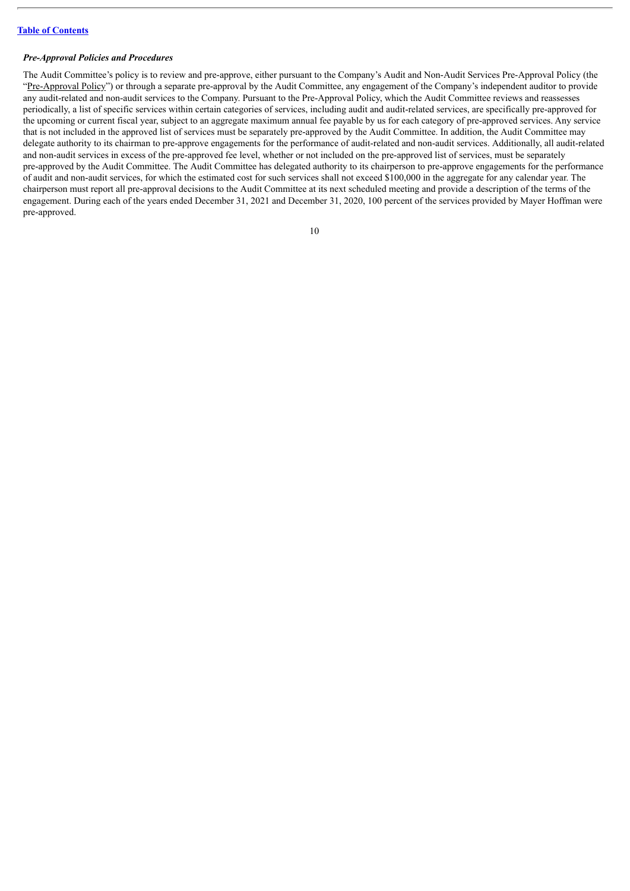#### *Pre-Approval Policies and Procedures*

The Audit Committee's policy is to review and pre-approve, either pursuant to the Company's Audit and Non-Audit Services Pre-Approval Policy (the "Pre-Approval Policy") or through a separate pre-approval by the Audit Committee, any engagement of the Company's independent auditor to provide any audit-related and non-audit services to the Company. Pursuant to the Pre-Approval Policy, which the Audit Committee reviews and reassesses periodically, a list of specific services within certain categories of services, including audit and audit-related services, are specifically pre-approved for the upcoming or current fiscal year, subject to an aggregate maximum annual fee payable by us for each category of pre-approved services. Any service that is not included in the approved list of services must be separately pre-approved by the Audit Committee. In addition, the Audit Committee may delegate authority to its chairman to pre-approve engagements for the performance of audit-related and non-audit services. Additionally, all audit-related and non-audit services in excess of the pre-approved fee level, whether or not included on the pre-approved list of services, must be separately pre-approved by the Audit Committee. The Audit Committee has delegated authority to its chairperson to pre-approve engagements for the performance of audit and non-audit services, for which the estimated cost for such services shall not exceed \$100,000 in the aggregate for any calendar year. The chairperson must report all pre-approval decisions to the Audit Committee at its next scheduled meeting and provide a description of the terms of the engagement. During each of the years ended December 31, 2021 and December 31, 2020, 100 percent of the services provided by Mayer Hoffman were pre-approved.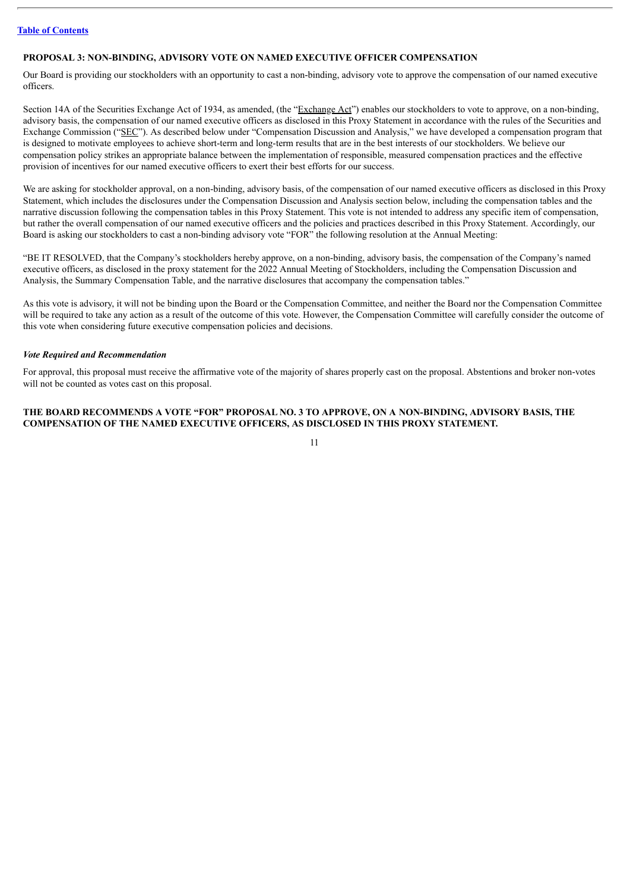## <span id="page-14-0"></span>**PROPOSAL 3: NON-BINDING, ADVISORY VOTE ON NAMED EXECUTIVE OFFICER COMPENSATION**

Our Board is providing our stockholders with an opportunity to cast a non-binding, advisory vote to approve the compensation of our named executive officers.

Section 14A of the Securities Exchange Act of 1934, as amended, (the "Exchange Act") enables our stockholders to vote to approve, on a non-binding, advisory basis, the compensation of our named executive officers as disclosed in this Proxy Statement in accordance with the rules of the Securities and Exchange Commission ("SEC"). As described below under "Compensation Discussion and Analysis," we have developed a compensation program that is designed to motivate employees to achieve short-term and long-term results that are in the best interests of our stockholders. We believe our compensation policy strikes an appropriate balance between the implementation of responsible, measured compensation practices and the effective provision of incentives for our named executive officers to exert their best efforts for our success.

We are asking for stockholder approval, on a non-binding, advisory basis, of the compensation of our named executive officers as disclosed in this Proxy Statement, which includes the disclosures under the Compensation Discussion and Analysis section below, including the compensation tables and the narrative discussion following the compensation tables in this Proxy Statement. This vote is not intended to address any specific item of compensation, but rather the overall compensation of our named executive officers and the policies and practices described in this Proxy Statement. Accordingly, our Board is asking our stockholders to cast a non-binding advisory vote "FOR" the following resolution at the Annual Meeting:

"BE IT RESOLVED, that the Company's stockholders hereby approve, on a non-binding, advisory basis, the compensation of the Company's named executive officers, as disclosed in the proxy statement for the 2022 Annual Meeting of Stockholders, including the Compensation Discussion and Analysis, the Summary Compensation Table, and the narrative disclosures that accompany the compensation tables."

As this vote is advisory, it will not be binding upon the Board or the Compensation Committee, and neither the Board nor the Compensation Committee will be required to take any action as a result of the outcome of this vote. However, the Compensation Committee will carefully consider the outcome of this vote when considering future executive compensation policies and decisions.

## *Vote Required and Recommendation*

For approval, this proposal must receive the affirmative vote of the majority of shares properly cast on the proposal. Abstentions and broker non-votes will not be counted as votes cast on this proposal.

## **THE BOARD RECOMMENDS A VOTE "FOR" PROPOSAL NO. 3 TO APPROVE, ON A NON-BINDING, ADVISORY BASIS, THE COMPENSATION OF THE NAMED EXECUTIVE OFFICERS, AS DISCLOSED IN THIS PROXY STATEMENT.**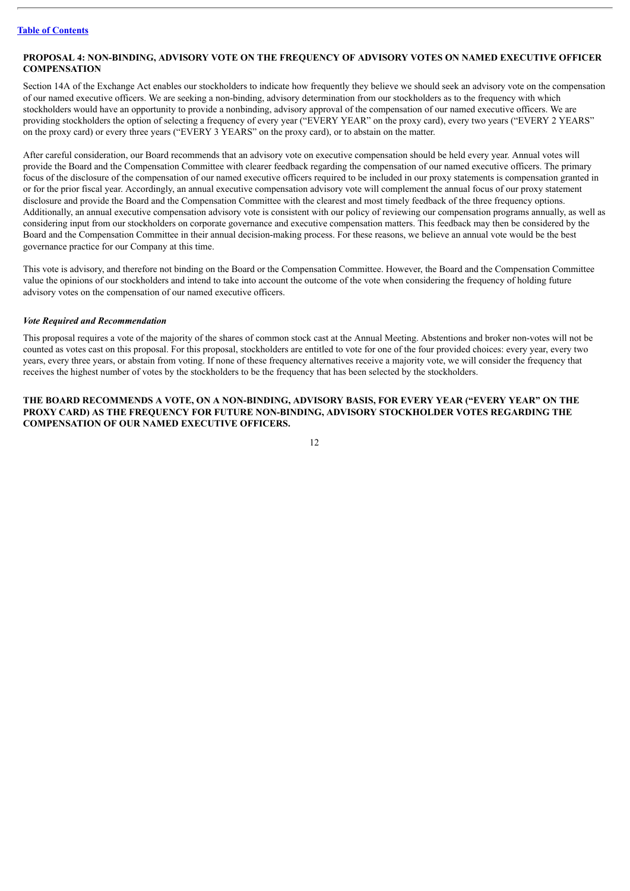## <span id="page-15-0"></span>**PROPOSAL 4: NON-BINDING, ADVISORY VOTE ON THE FREQUENCY OF ADVISORY VOTES ON NAMED EXECUTIVE OFFICER COMPENSATION**

Section 14A of the Exchange Act enables our stockholders to indicate how frequently they believe we should seek an advisory vote on the compensation of our named executive officers. We are seeking a non-binding, advisory determination from our stockholders as to the frequency with which stockholders would have an opportunity to provide a nonbinding, advisory approval of the compensation of our named executive officers. We are providing stockholders the option of selecting a frequency of every year ("EVERY YEAR" on the proxy card), every two years ("EVERY 2 YEARS" on the proxy card) or every three years ("EVERY 3 YEARS" on the proxy card), or to abstain on the matter.

After careful consideration, our Board recommends that an advisory vote on executive compensation should be held every year. Annual votes will provide the Board and the Compensation Committee with clearer feedback regarding the compensation of our named executive officers. The primary focus of the disclosure of the compensation of our named executive officers required to be included in our proxy statements is compensation granted in or for the prior fiscal year. Accordingly, an annual executive compensation advisory vote will complement the annual focus of our proxy statement disclosure and provide the Board and the Compensation Committee with the clearest and most timely feedback of the three frequency options. Additionally, an annual executive compensation advisory vote is consistent with our policy of reviewing our compensation programs annually, as well as considering input from our stockholders on corporate governance and executive compensation matters. This feedback may then be considered by the Board and the Compensation Committee in their annual decision-making process. For these reasons, we believe an annual vote would be the best governance practice for our Company at this time.

This vote is advisory, and therefore not binding on the Board or the Compensation Committee. However, the Board and the Compensation Committee value the opinions of our stockholders and intend to take into account the outcome of the vote when considering the frequency of holding future advisory votes on the compensation of our named executive officers.

#### *Vote Required and Recommendation*

This proposal requires a vote of the majority of the shares of common stock cast at the Annual Meeting. Abstentions and broker non-votes will not be counted as votes cast on this proposal. For this proposal, stockholders are entitled to vote for one of the four provided choices: every year, every two years, every three years, or abstain from voting. If none of these frequency alternatives receive a majority vote, we will consider the frequency that receives the highest number of votes by the stockholders to be the frequency that has been selected by the stockholders.

## **THE BOARD RECOMMENDS A VOTE, ON A NON-BINDING, ADVISORY BASIS, FOR EVERY YEAR ("EVERY YEAR" ON THE PROXY CARD) AS THE FREQUENCY FOR FUTURE NON-BINDING, ADVISORY STOCKHOLDER VOTES REGARDING THE COMPENSATION OF OUR NAMED EXECUTIVE OFFICERS.**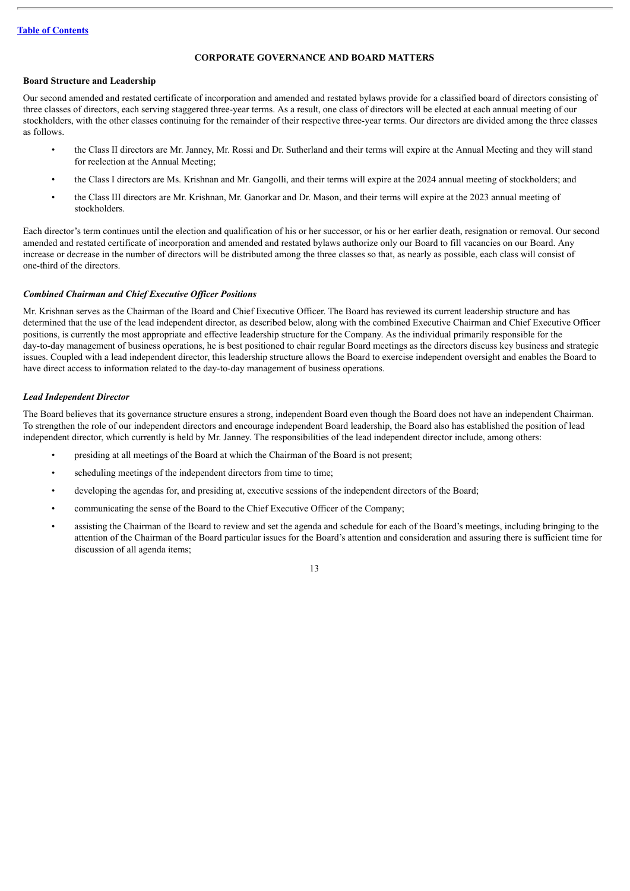## **CORPORATE GOVERNANCE AND BOARD MATTERS**

## <span id="page-16-0"></span>**Board Structure and Leadership**

Our second amended and restated certificate of incorporation and amended and restated bylaws provide for a classified board of directors consisting of three classes of directors, each serving staggered three-year terms. As a result, one class of directors will be elected at each annual meeting of our stockholders, with the other classes continuing for the remainder of their respective three-year terms. Our directors are divided among the three classes as follows.

- the Class II directors are Mr. Janney, Mr. Rossi and Dr. Sutherland and their terms will expire at the Annual Meeting and they will stand for reelection at the Annual Meeting;
- the Class I directors are Ms. Krishnan and Mr. Gangolli, and their terms will expire at the 2024 annual meeting of stockholders; and
- the Class III directors are Mr. Krishnan, Mr. Ganorkar and Dr. Mason, and their terms will expire at the 2023 annual meeting of stockholders.

Each director's term continues until the election and qualification of his or her successor, or his or her earlier death, resignation or removal. Our second amended and restated certificate of incorporation and amended and restated bylaws authorize only our Board to fill vacancies on our Board. Any increase or decrease in the number of directors will be distributed among the three classes so that, as nearly as possible, each class will consist of one-third of the directors.

## *Combined Chairman and Chief Executive Of icer Positions*

Mr. Krishnan serves as the Chairman of the Board and Chief Executive Officer. The Board has reviewed its current leadership structure and has determined that the use of the lead independent director, as described below, along with the combined Executive Chairman and Chief Executive Officer positions, is currently the most appropriate and effective leadership structure for the Company. As the individual primarily responsible for the day-to-day management of business operations, he is best positioned to chair regular Board meetings as the directors discuss key business and strategic issues. Coupled with a lead independent director, this leadership structure allows the Board to exercise independent oversight and enables the Board to have direct access to information related to the day-to-day management of business operations.

## *Lead Independent Director*

The Board believes that its governance structure ensures a strong, independent Board even though the Board does not have an independent Chairman. To strengthen the role of our independent directors and encourage independent Board leadership, the Board also has established the position of lead independent director, which currently is held by Mr. Janney. The responsibilities of the lead independent director include, among others:

- presiding at all meetings of the Board at which the Chairman of the Board is not present;
- scheduling meetings of the independent directors from time to time;
- developing the agendas for, and presiding at, executive sessions of the independent directors of the Board;
- communicating the sense of the Board to the Chief Executive Officer of the Company;
- assisting the Chairman of the Board to review and set the agenda and schedule for each of the Board's meetings, including bringing to the attention of the Chairman of the Board particular issues for the Board's attention and consideration and assuring there is sufficient time for discussion of all agenda items;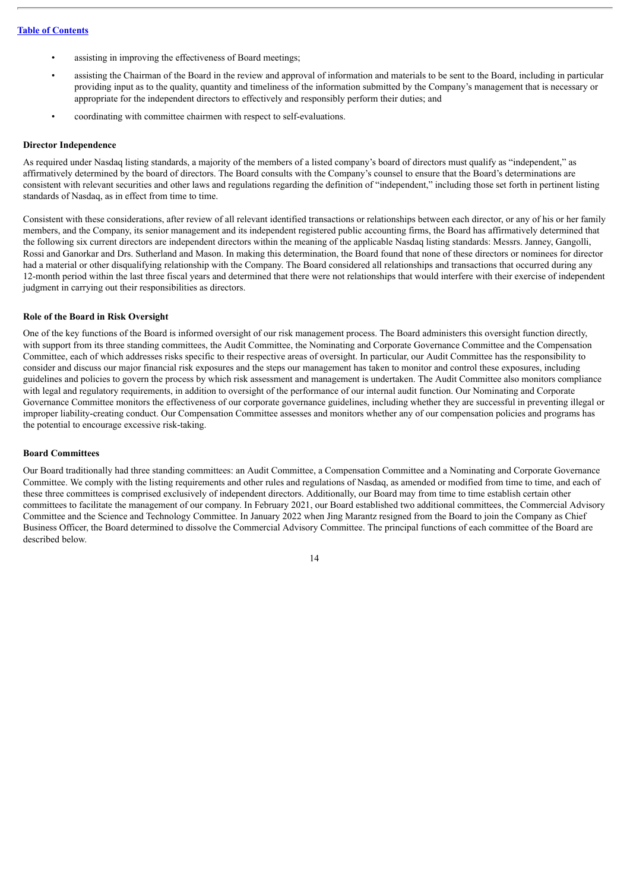- assisting in improving the effectiveness of Board meetings;
- assisting the Chairman of the Board in the review and approval of information and materials to be sent to the Board, including in particular providing input as to the quality, quantity and timeliness of the information submitted by the Company's management that is necessary or appropriate for the independent directors to effectively and responsibly perform their duties; and
- coordinating with committee chairmen with respect to self-evaluations.

## **Director Independence**

As required under Nasdaq listing standards, a majority of the members of a listed company's board of directors must qualify as "independent," as affirmatively determined by the board of directors. The Board consults with the Company's counsel to ensure that the Board's determinations are consistent with relevant securities and other laws and regulations regarding the definition of "independent," including those set forth in pertinent listing standards of Nasdaq, as in effect from time to time.

Consistent with these considerations, after review of all relevant identified transactions or relationships between each director, or any of his or her family members, and the Company, its senior management and its independent registered public accounting firms, the Board has affirmatively determined that the following six current directors are independent directors within the meaning of the applicable Nasdaq listing standards: Messrs. Janney, Gangolli, Rossi and Ganorkar and Drs. Sutherland and Mason. In making this determination, the Board found that none of these directors or nominees for director had a material or other disqualifying relationship with the Company. The Board considered all relationships and transactions that occurred during any 12-month period within the last three fiscal years and determined that there were not relationships that would interfere with their exercise of independent judgment in carrying out their responsibilities as directors.

#### **Role of the Board in Risk Oversight**

One of the key functions of the Board is informed oversight of our risk management process. The Board administers this oversight function directly, with support from its three standing committees, the Audit Committee, the Nominating and Corporate Governance Committee and the Compensation Committee, each of which addresses risks specific to their respective areas of oversight. In particular, our Audit Committee has the responsibility to consider and discuss our major financial risk exposures and the steps our management has taken to monitor and control these exposures, including guidelines and policies to govern the process by which risk assessment and management is undertaken. The Audit Committee also monitors compliance with legal and regulatory requirements, in addition to oversight of the performance of our internal audit function. Our Nominating and Corporate Governance Committee monitors the effectiveness of our corporate governance guidelines, including whether they are successful in preventing illegal or improper liability-creating conduct. Our Compensation Committee assesses and monitors whether any of our compensation policies and programs has the potential to encourage excessive risk-taking.

#### **Board Committees**

Our Board traditionally had three standing committees: an Audit Committee, a Compensation Committee and a Nominating and Corporate Governance Committee. We comply with the listing requirements and other rules and regulations of Nasdaq, as amended or modified from time to time, and each of these three committees is comprised exclusively of independent directors. Additionally, our Board may from time to time establish certain other committees to facilitate the management of our company. In February 2021, our Board established two additional committees, the Commercial Advisory Committee and the Science and Technology Committee. In January 2022 when Jing Marantz resigned from the Board to join the Company as Chief Business Officer, the Board determined to dissolve the Commercial Advisory Committee. The principal functions of each committee of the Board are described below.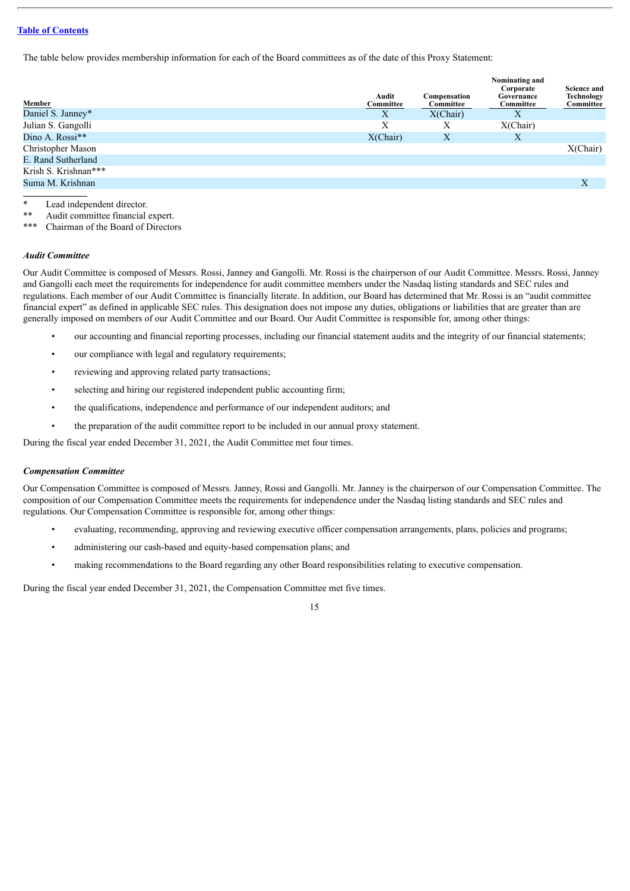The table below provides membership information for each of the Board committees as of the date of this Proxy Statement:

| Member               | Audit<br>Committee | Compensation<br>Committee | Nominating and<br>Corporate<br>Governance<br>Committee | <b>Science and</b><br><b>Technology</b><br>Committee |
|----------------------|--------------------|---------------------------|--------------------------------------------------------|------------------------------------------------------|
| Daniel S. Janney*    | X                  | X(Chair)                  | Χ                                                      |                                                      |
| Julian S. Gangolli   | Χ                  | Х                         | X(Chair)                                               |                                                      |
| Dino A. Rossi**      | X(Chair)           | $\boldsymbol{X}$          | Χ                                                      |                                                      |
| Christopher Mason    |                    |                           |                                                        | X(Chair)                                             |
| E. Rand Sutherland   |                    |                           |                                                        |                                                      |
| Krish S. Krishnan*** |                    |                           |                                                        |                                                      |
| Suma M. Krishnan     |                    |                           |                                                        | X                                                    |

Lead independent director.

\*\* Audit committee financial expert.

Chairman of the Board of Directors

#### *Audit Committee*

Our Audit Committee is composed of Messrs. Rossi, Janney and Gangolli. Mr. Rossi is the chairperson of our Audit Committee. Messrs. Rossi, Janney and Gangolli each meet the requirements for independence for audit committee members under the Nasdaq listing standards and SEC rules and regulations. Each member of our Audit Committee is financially literate. In addition, our Board has determined that Mr. Rossi is an "audit committee financial expert" as defined in applicable SEC rules. This designation does not impose any duties, obligations or liabilities that are greater than are generally imposed on members of our Audit Committee and our Board. Our Audit Committee is responsible for, among other things:

- our accounting and financial reporting processes, including our financial statement audits and the integrity of our financial statements;
- our compliance with legal and regulatory requirements;
- reviewing and approving related party transactions;
- selecting and hiring our registered independent public accounting firm;
- the qualifications, independence and performance of our independent auditors; and
- the preparation of the audit committee report to be included in our annual proxy statement.

During the fiscal year ended December 31, 2021, the Audit Committee met four times.

## *Compensation Committee*

Our Compensation Committee is composed of Messrs. Janney, Rossi and Gangolli. Mr. Janney is the chairperson of our Compensation Committee. The composition of our Compensation Committee meets the requirements for independence under the Nasdaq listing standards and SEC rules and regulations. Our Compensation Committee is responsible for, among other things:

- evaluating, recommending, approving and reviewing executive officer compensation arrangements, plans, policies and programs;
- administering our cash-based and equity-based compensation plans; and
- making recommendations to the Board regarding any other Board responsibilities relating to executive compensation.

During the fiscal year ended December 31, 2021, the Compensation Committee met five times.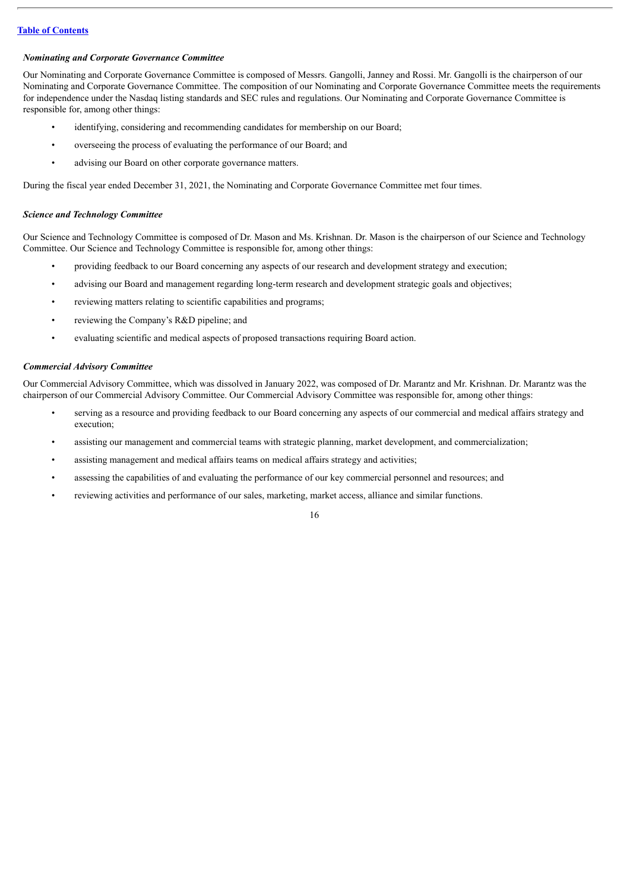#### *Nominating and Corporate Governance Committee*

Our Nominating and Corporate Governance Committee is composed of Messrs. Gangolli, Janney and Rossi. Mr. Gangolli is the chairperson of our Nominating and Corporate Governance Committee. The composition of our Nominating and Corporate Governance Committee meets the requirements for independence under the Nasdaq listing standards and SEC rules and regulations. Our Nominating and Corporate Governance Committee is responsible for, among other things:

- identifying, considering and recommending candidates for membership on our Board;
- overseeing the process of evaluating the performance of our Board; and
- advising our Board on other corporate governance matters.

During the fiscal year ended December 31, 2021, the Nominating and Corporate Governance Committee met four times.

#### *Science and Technology Committee*

Our Science and Technology Committee is composed of Dr. Mason and Ms. Krishnan. Dr. Mason is the chairperson of our Science and Technology Committee. Our Science and Technology Committee is responsible for, among other things:

- providing feedback to our Board concerning any aspects of our research and development strategy and execution;
- advising our Board and management regarding long-term research and development strategic goals and objectives;
- reviewing matters relating to scientific capabilities and programs;
- reviewing the Company's R&D pipeline; and
- evaluating scientific and medical aspects of proposed transactions requiring Board action.

## *Commercial Advisory Committee*

Our Commercial Advisory Committee, which was dissolved in January 2022, was composed of Dr. Marantz and Mr. Krishnan. Dr. Marantz was the chairperson of our Commercial Advisory Committee. Our Commercial Advisory Committee was responsible for, among other things:

- serving as a resource and providing feedback to our Board concerning any aspects of our commercial and medical affairs strategy and execution;
- assisting our management and commercial teams with strategic planning, market development, and commercialization;
- assisting management and medical affairs teams on medical affairs strategy and activities;
- assessing the capabilities of and evaluating the performance of our key commercial personnel and resources; and
- reviewing activities and performance of our sales, marketing, market access, alliance and similar functions.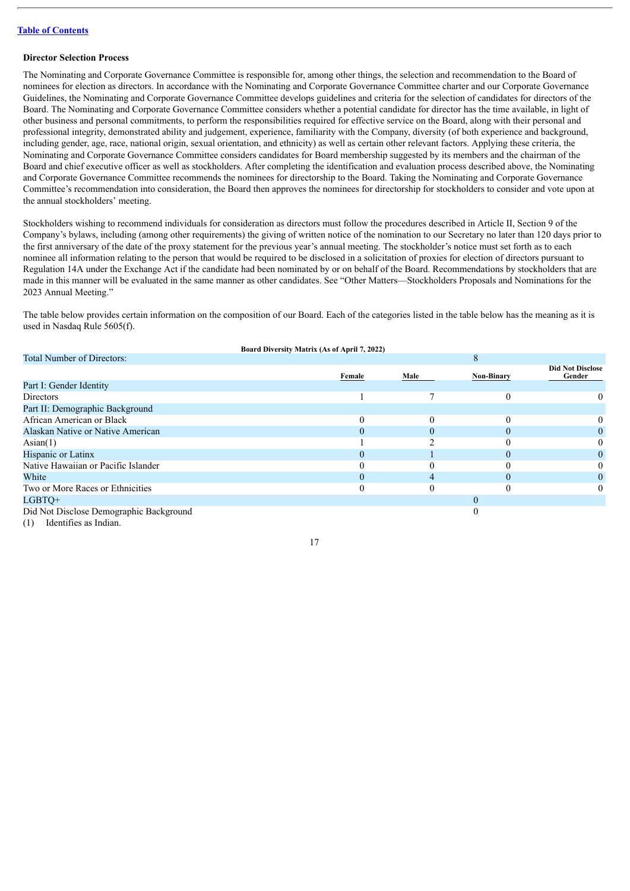#### **Director Selection Process**

The Nominating and Corporate Governance Committee is responsible for, among other things, the selection and recommendation to the Board of nominees for election as directors. In accordance with the Nominating and Corporate Governance Committee charter and our Corporate Governance Guidelines, the Nominating and Corporate Governance Committee develops guidelines and criteria for the selection of candidates for directors of the Board. The Nominating and Corporate Governance Committee considers whether a potential candidate for director has the time available, in light of other business and personal commitments, to perform the responsibilities required for effective service on the Board, along with their personal and professional integrity, demonstrated ability and judgement, experience, familiarity with the Company, diversity (of both experience and background, including gender, age, race, national origin, sexual orientation, and ethnicity) as well as certain other relevant factors. Applying these criteria, the Nominating and Corporate Governance Committee considers candidates for Board membership suggested by its members and the chairman of the Board and chief executive officer as well as stockholders. After completing the identification and evaluation process described above, the Nominating and Corporate Governance Committee recommends the nominees for directorship to the Board. Taking the Nominating and Corporate Governance Committee's recommendation into consideration, the Board then approves the nominees for directorship for stockholders to consider and vote upon at the annual stockholders' meeting.

Stockholders wishing to recommend individuals for consideration as directors must follow the procedures described in Article II, Section 9 of the Company's bylaws, including (among other requirements) the giving of written notice of the nomination to our Secretary no later than 120 days prior to the first anniversary of the date of the proxy statement for the previous year's annual meeting. The stockholder's notice must set forth as to each nominee all information relating to the person that would be required to be disclosed in a solicitation of proxies for election of directors pursuant to Regulation 14A under the Exchange Act if the candidate had been nominated by or on behalf of the Board. Recommendations by stockholders that are made in this manner will be evaluated in the same manner as other candidates. See "Other Matters—Stockholders Proposals and Nominations for the 2023 Annual Meeting."

The table below provides certain information on the composition of our Board. Each of the categories listed in the table below has the meaning as it is used in Nasdaq Rule 5605(f).

|                                         | Board Diversity Matrix (As of April 7, 2022) |      |                   |                                   |
|-----------------------------------------|----------------------------------------------|------|-------------------|-----------------------------------|
| <b>Total Number of Directors:</b>       |                                              |      | 8                 |                                   |
|                                         | Female                                       | Male | <b>Non-Binary</b> | <b>Did Not Disclose</b><br>Gender |
| Part I: Gender Identity                 |                                              |      |                   |                                   |
| Directors                               |                                              |      |                   |                                   |
| Part II: Demographic Background         |                                              |      |                   |                                   |
| African American or Black               | 0                                            | 0    |                   |                                   |
| Alaskan Native or Native American       | 0                                            |      |                   |                                   |
| $\text{Asian}(1)$                       |                                              |      |                   |                                   |
| Hispanic or Latinx                      |                                              |      |                   |                                   |
| Native Hawaiian or Pacific Islander     |                                              |      |                   |                                   |
| White                                   | $\Omega$                                     | 4    | $\theta$          |                                   |
| Two or More Races or Ethnicities        |                                              |      |                   |                                   |
| LGBTO+                                  |                                              |      | 0                 |                                   |
| Did Not Disclose Demographic Background |                                              |      |                   |                                   |
| Identifies as Indian.<br>(1)            |                                              |      |                   |                                   |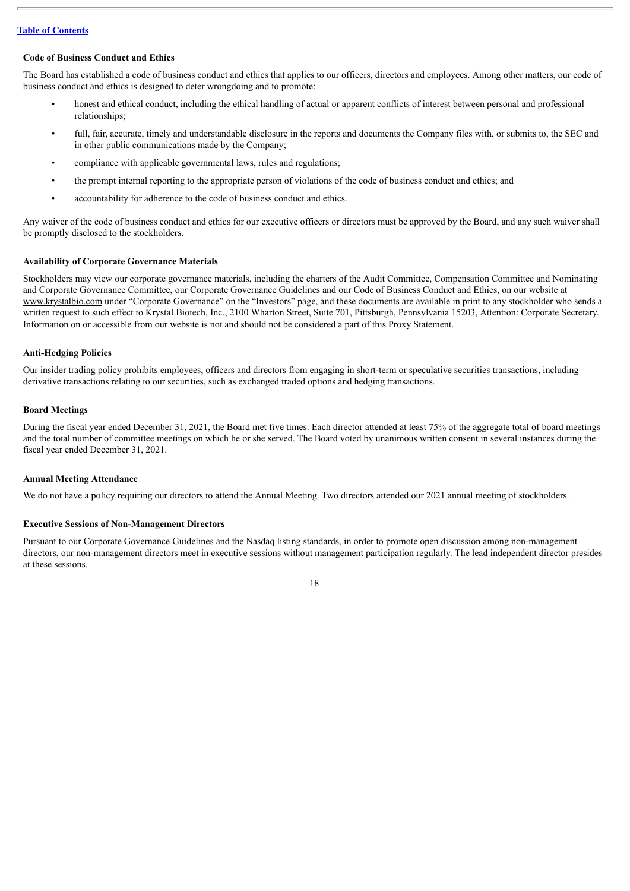## **Code of Business Conduct and Ethics**

The Board has established a code of business conduct and ethics that applies to our officers, directors and employees. Among other matters, our code of business conduct and ethics is designed to deter wrongdoing and to promote:

- honest and ethical conduct, including the ethical handling of actual or apparent conflicts of interest between personal and professional relationships;
- full, fair, accurate, timely and understandable disclosure in the reports and documents the Company files with, or submits to, the SEC and in other public communications made by the Company;
- compliance with applicable governmental laws, rules and regulations;
- the prompt internal reporting to the appropriate person of violations of the code of business conduct and ethics; and
- accountability for adherence to the code of business conduct and ethics.

Any waiver of the code of business conduct and ethics for our executive officers or directors must be approved by the Board, and any such waiver shall be promptly disclosed to the stockholders.

#### **Availability of Corporate Governance Materials**

Stockholders may view our corporate governance materials, including the charters of the Audit Committee, Compensation Committee and Nominating and Corporate Governance Committee, our Corporate Governance Guidelines and our Code of Business Conduct and Ethics, on our website at www.krystalbio.com under "Corporate Governance" on the "Investors" page, and these documents are available in print to any stockholder who sends a written request to such effect to Krystal Biotech, Inc., 2100 Wharton Street, Suite 701, Pittsburgh, Pennsylvania 15203, Attention: Corporate Secretary. Information on or accessible from our website is not and should not be considered a part of this Proxy Statement.

## **Anti-Hedging Policies**

Our insider trading policy prohibits employees, officers and directors from engaging in short-term or speculative securities transactions, including derivative transactions relating to our securities, such as exchanged traded options and hedging transactions.

## **Board Meetings**

During the fiscal year ended December 31, 2021, the Board met five times. Each director attended at least 75% of the aggregate total of board meetings and the total number of committee meetings on which he or she served. The Board voted by unanimous written consent in several instances during the fiscal year ended December 31, 2021.

## **Annual Meeting Attendance**

We do not have a policy requiring our directors to attend the Annual Meeting. Two directors attended our 2021 annual meeting of stockholders.

#### **Executive Sessions of Non-Management Directors**

Pursuant to our Corporate Governance Guidelines and the Nasdaq listing standards, in order to promote open discussion among non-management directors, our non-management directors meet in executive sessions without management participation regularly. The lead independent director presides at these sessions.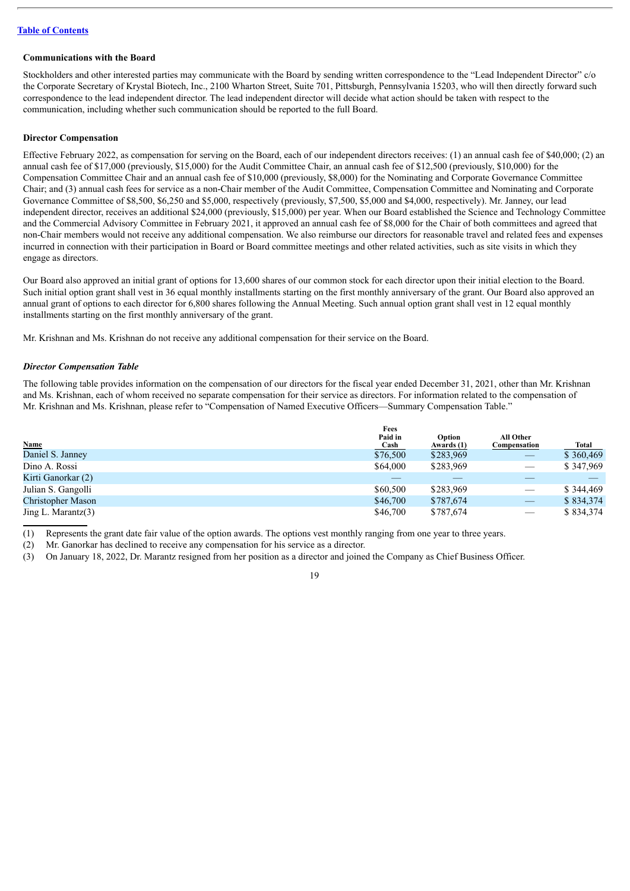#### **Communications with the Board**

Stockholders and other interested parties may communicate with the Board by sending written correspondence to the "Lead Independent Director" c/o the Corporate Secretary of Krystal Biotech, Inc., 2100 Wharton Street, Suite 701, Pittsburgh, Pennsylvania 15203, who will then directly forward such correspondence to the lead independent director. The lead independent director will decide what action should be taken with respect to the communication, including whether such communication should be reported to the full Board.

## **Director Compensation**

Effective February 2022, as compensation for serving on the Board, each of our independent directors receives: (1) an annual cash fee of \$40,000; (2) an annual cash fee of \$17,000 (previously, \$15,000) for the Audit Committee Chair, an annual cash fee of \$12,500 (previously, \$10,000) for the Compensation Committee Chair and an annual cash fee of \$10,000 (previously, \$8,000) for the Nominating and Corporate Governance Committee Chair; and (3) annual cash fees for service as a non-Chair member of the Audit Committee, Compensation Committee and Nominating and Corporate Governance Committee of \$8,500, \$6,250 and \$5,000, respectively (previously, \$7,500, \$5,000 and \$4,000, respectively). Mr. Janney, our lead independent director, receives an additional \$24,000 (previously, \$15,000) per year. When our Board established the Science and Technology Committee and the Commercial Advisory Committee in February 2021, it approved an annual cash fee of \$8,000 for the Chair of both committees and agreed that non-Chair members would not receive any additional compensation. We also reimburse our directors for reasonable travel and related fees and expenses incurred in connection with their participation in Board or Board committee meetings and other related activities, such as site visits in which they engage as directors.

Our Board also approved an initial grant of options for 13,600 shares of our common stock for each director upon their initial election to the Board. Such initial option grant shall vest in 36 equal monthly installments starting on the first monthly anniversary of the grant. Our Board also approved an annual grant of options to each director for 6,800 shares following the Annual Meeting. Such annual option grant shall vest in 12 equal monthly installments starting on the first monthly anniversary of the grant.

Mr. Krishnan and Ms. Krishnan do not receive any additional compensation for their service on the Board.

#### *Director Compensation Table*

The following table provides information on the compensation of our directors for the fiscal year ended December 31, 2021, other than Mr. Krishnan and Ms. Krishnan, each of whom received no separate compensation for their service as directors. For information related to the compensation of Mr. Krishnan and Ms. Krishnan, please refer to "Compensation of Named Executive Officers—Summary Compensation Table."

|                       | Fees        |            |                               |           |
|-----------------------|-------------|------------|-------------------------------|-----------|
|                       | Paid in     | Option     | All Other                     |           |
| <b>Name</b>           | <b>Cash</b> | Awards (1) | Compensation                  | Total     |
| Daniel S. Janney      | \$76,500    | \$283,969  |                               | \$360,469 |
| Dino A. Rossi         | \$64,000    | \$283,969  |                               | \$347,969 |
| Kirti Ganorkar (2)    |             |            |                               |           |
| Julian S. Gangolli    | \$60,500    | \$283,969  | $\overbrace{\phantom{12333}}$ | \$344,469 |
| Christopher Mason     | \$46,700    | \$787,674  |                               | \$834,374 |
| Jing L. Marantz $(3)$ | \$46,700    | \$787,674  |                               | \$834,374 |

(1) Represents the grant date fair value of the option awards. The options vest monthly ranging from one year to three years.

(2) Mr. Ganorkar has declined to receive any compensation for his service as a director.

(3) On January 18, 2022, Dr. Marantz resigned from her position as a director and joined the Company as Chief Business Officer.

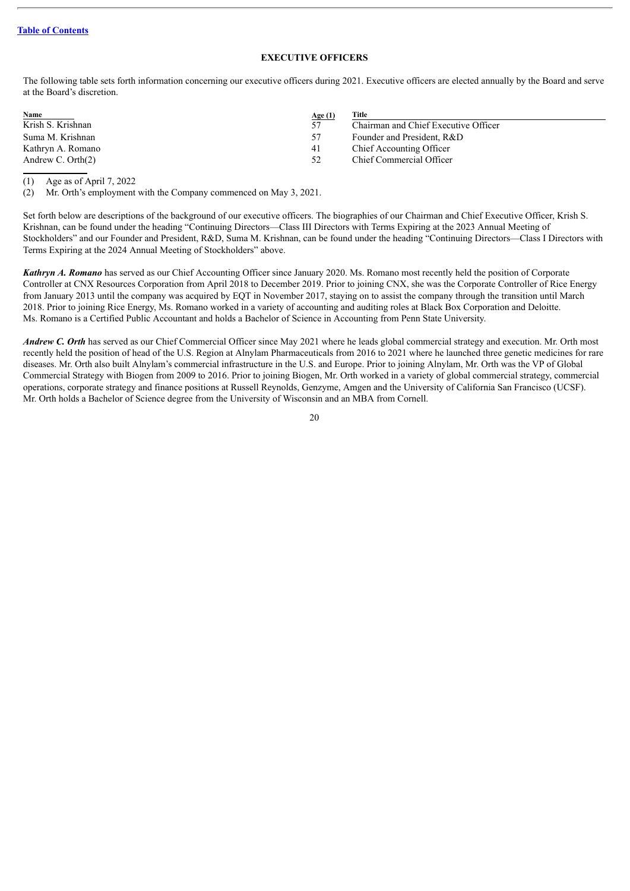## **EXECUTIVE OFFICERS**

<span id="page-23-0"></span>The following table sets forth information concerning our executive officers during 2021. Executive officers are elected annually by the Board and serve at the Board's discretion.

| Name                 | Age $(1)$ | Title                                |
|----------------------|-----------|--------------------------------------|
| Krish S. Krishnan    | 57        | Chairman and Chief Executive Officer |
| Suma M. Krishnan     | 57        | Founder and President, R&D           |
| Kathryn A. Romano    | 41        | Chief Accounting Officer             |
| Andrew C. Orth $(2)$ | 52        | Chief Commercial Officer             |

(1) Age as of April 7, 2022

(2) Mr. Orth's employment with the Company commenced on May 3, 2021.

Set forth below are descriptions of the background of our executive officers. The biographies of our Chairman and Chief Executive Officer, Krish S. Krishnan, can be found under the heading "Continuing Directors—Class III Directors with Terms Expiring at the 2023 Annual Meeting of Stockholders" and our Founder and President, R&D, Suma M. Krishnan, can be found under the heading "Continuing Directors—Class I Directors with Terms Expiring at the 2024 Annual Meeting of Stockholders" above.

*Kathryn A. Romano* has served as our Chief Accounting Officer since January 2020. Ms. Romano most recently held the position of Corporate Controller at CNX Resources Corporation from April 2018 to December 2019. Prior to joining CNX, she was the Corporate Controller of Rice Energy from January 2013 until the company was acquired by EQT in November 2017, staying on to assist the company through the transition until March 2018. Prior to joining Rice Energy, Ms. Romano worked in a variety of accounting and auditing roles at Black Box Corporation and Deloitte. Ms. Romano is a Certified Public Accountant and holds a Bachelor of Science in Accounting from Penn State University.

*Andrew C. Orth* has served as our Chief Commercial Officer since May 2021 where he leads global commercial strategy and execution. Mr. Orth most recently held the position of head of the U.S. Region at Alnylam Pharmaceuticals from 2016 to 2021 where he launched three genetic medicines for rare diseases. Mr. Orth also built Alnylam's commercial infrastructure in the U.S. and Europe. Prior to joining Alnylam, Mr. Orth was the VP of Global Commercial Strategy with Biogen from 2009 to 2016. Prior to joining Biogen, Mr. Orth worked in a variety of global commercial strategy, commercial operations, corporate strategy and finance positions at Russell Reynolds, Genzyme, Amgen and the University of California San Francisco (UCSF). Mr. Orth holds a Bachelor of Science degree from the University of Wisconsin and an MBA from Cornell.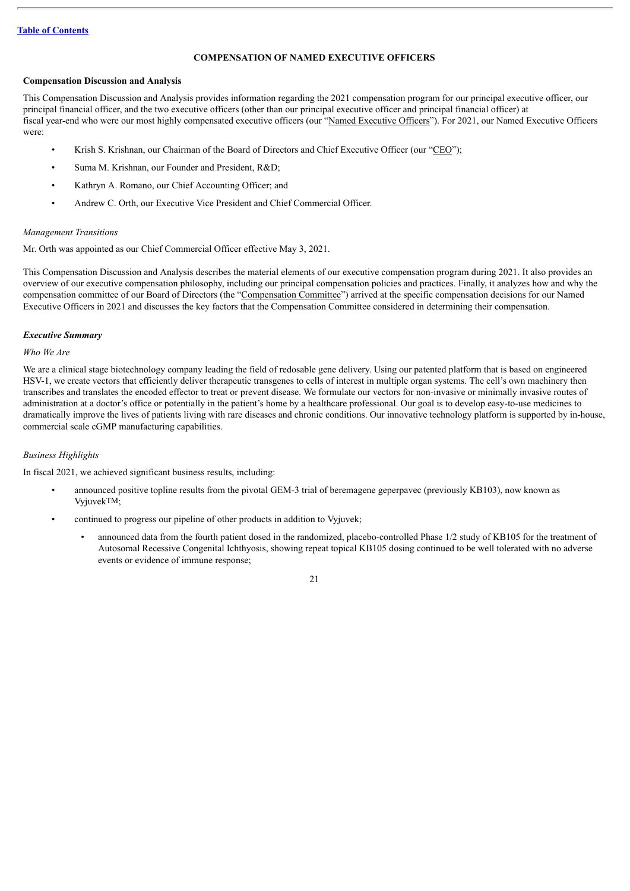## **COMPENSATION OF NAMED EXECUTIVE OFFICERS**

## <span id="page-24-0"></span>**Compensation Discussion and Analysis**

This Compensation Discussion and Analysis provides information regarding the 2021 compensation program for our principal executive officer, our principal financial officer, and the two executive officers (other than our principal executive officer and principal financial officer) at fiscal year-end who were our most highly compensated executive officers (our "Named Executive Officers"). For 2021, our Named Executive Officers were:

- Krish S. Krishnan, our Chairman of the Board of Directors and Chief Executive Officer (our "CEO");
- Suma M. Krishnan, our Founder and President, R&D;
- Kathryn A. Romano, our Chief Accounting Officer; and
- Andrew C. Orth, our Executive Vice President and Chief Commercial Officer.

## *Management Transitions*

Mr. Orth was appointed as our Chief Commercial Officer effective May 3, 2021.

This Compensation Discussion and Analysis describes the material elements of our executive compensation program during 2021. It also provides an overview of our executive compensation philosophy, including our principal compensation policies and practices. Finally, it analyzes how and why the compensation committee of our Board of Directors (the "Compensation Committee") arrived at the specific compensation decisions for our Named Executive Officers in 2021 and discusses the key factors that the Compensation Committee considered in determining their compensation.

#### *Executive Summary*

#### *Who We Are*

We are a clinical stage biotechnology company leading the field of redosable gene delivery. Using our patented platform that is based on engineered HSV-1, we create vectors that efficiently deliver therapeutic transgenes to cells of interest in multiple organ systems. The cell's own machinery then transcribes and translates the encoded effector to treat or prevent disease. We formulate our vectors for non-invasive or minimally invasive routes of administration at a doctor's office or potentially in the patient's home by a healthcare professional. Our goal is to develop easy-to-use medicines to dramatically improve the lives of patients living with rare diseases and chronic conditions. Our innovative technology platform is supported by in-house, commercial scale cGMP manufacturing capabilities.

## *Business Highlights*

In fiscal 2021, we achieved significant business results, including:

- announced positive topline results from the pivotal GEM-3 trial of beremagene geperpavec (previously KB103), now known as VyjuvekTM;
- continued to progress our pipeline of other products in addition to Vyjuvek;
	- announced data from the fourth patient dosed in the randomized, placebo-controlled Phase 1/2 study of KB105 for the treatment of Autosomal Recessive Congenital Ichthyosis, showing repeat topical KB105 dosing continued to be well tolerated with no adverse events or evidence of immune response;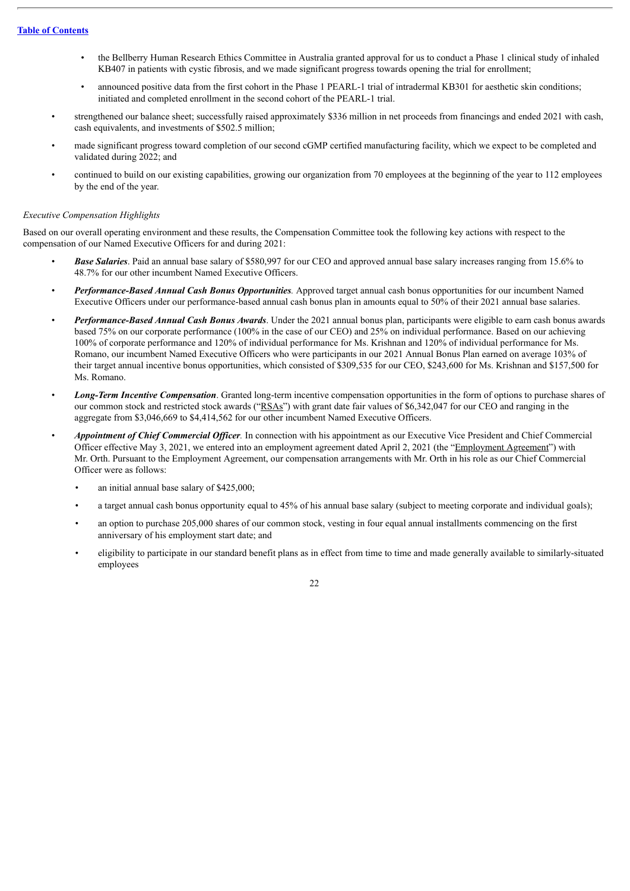- the Bellberry Human Research Ethics Committee in Australia granted approval for us to conduct a Phase 1 clinical study of inhaled KB407 in patients with cystic fibrosis, and we made significant progress towards opening the trial for enrollment;
- announced positive data from the first cohort in the Phase 1 PEARL-1 trial of intradermal KB301 for aesthetic skin conditions; initiated and completed enrollment in the second cohort of the PEARL-1 trial.
- strengthened our balance sheet; successfully raised approximately \$336 million in net proceeds from financings and ended 2021 with cash, cash equivalents, and investments of \$502.5 million;
- made significant progress toward completion of our second cGMP certified manufacturing facility, which we expect to be completed and validated during 2022; and
- continued to build on our existing capabilities, growing our organization from 70 employees at the beginning of the year to 112 employees by the end of the year.

#### *Executive Compensation Highlights*

Based on our overall operating environment and these results, the Compensation Committee took the following key actions with respect to the compensation of our Named Executive Officers for and during 2021:

- *Base Salaries*. Paid an annual base salary of \$580,997 for our CEO and approved annual base salary increases ranging from 15.6% to 48.7% for our other incumbent Named Executive Officers.
- *Performance-Based Annual Cash Bonus Opportunities.* Approved target annual cash bonus opportunities for our incumbent Named Executive Officers under our performance-based annual cash bonus plan in amounts equal to 50% of their 2021 annual base salaries.
- *Performance-Based Annual Cash Bonus Awards*. Under the 2021 annual bonus plan, participants were eligible to earn cash bonus awards based 75% on our corporate performance (100% in the case of our CEO) and 25% on individual performance. Based on our achieving 100% of corporate performance and 120% of individual performance for Ms. Krishnan and 120% of individual performance for Ms. Romano, our incumbent Named Executive Officers who were participants in our 2021 Annual Bonus Plan earned on average 103% of their target annual incentive bonus opportunities, which consisted of \$309,535 for our CEO, \$243,600 for Ms. Krishnan and \$157,500 for Ms. Romano.
- *Long-Term Incentive Compensation*. Granted long-term incentive compensation opportunities in the form of options to purchase shares of our common stock and restricted stock awards ("RSAs") with grant date fair values of \$6,342,047 for our CEO and ranging in the aggregate from \$3,046,669 to \$4,414,562 for our other incumbent Named Executive Officers.
- *Appointment of Chief Commercial Of icer.* In connection with his appointment as our Executive Vice President and Chief Commercial Officer effective May 3, 2021, we entered into an employment agreement dated April 2, 2021 (the "Employment Agreement") with Mr. Orth. Pursuant to the Employment Agreement, our compensation arrangements with Mr. Orth in his role as our Chief Commercial Officer were as follows:
	- an initial annual base salary of \$425,000;
	- a target annual cash bonus opportunity equal to 45% of his annual base salary (subject to meeting corporate and individual goals);
	- an option to purchase 205,000 shares of our common stock, vesting in four equal annual installments commencing on the first anniversary of his employment start date; and
	- eligibility to participate in our standard benefit plans as in effect from time to time and made generally available to similarly-situated employees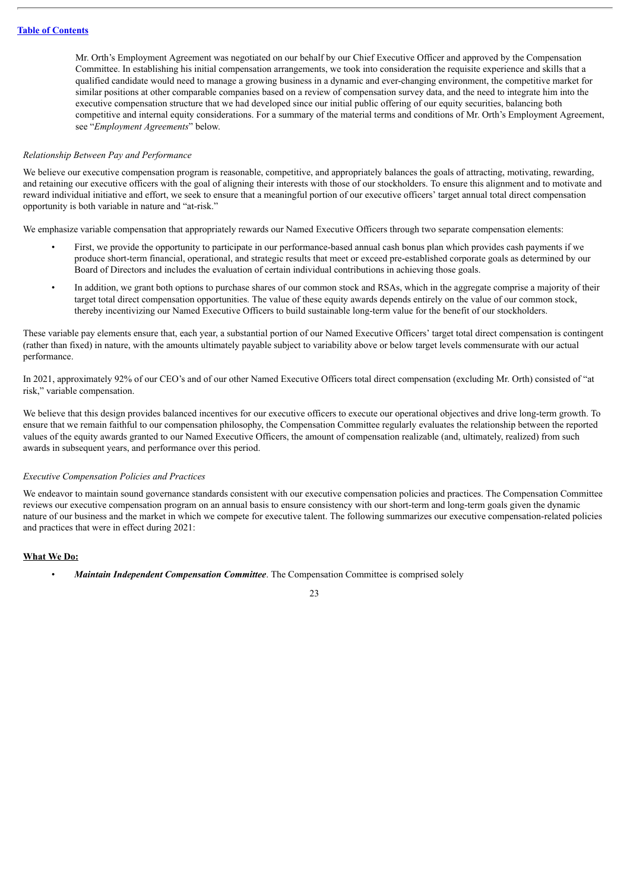Mr. Orth's Employment Agreement was negotiated on our behalf by our Chief Executive Officer and approved by the Compensation Committee. In establishing his initial compensation arrangements, we took into consideration the requisite experience and skills that a qualified candidate would need to manage a growing business in a dynamic and ever-changing environment, the competitive market for similar positions at other comparable companies based on a review of compensation survey data, and the need to integrate him into the executive compensation structure that we had developed since our initial public offering of our equity securities, balancing both competitive and internal equity considerations. For a summary of the material terms and conditions of Mr. Orth's Employment Agreement, see "*Employment Agreements*" below.

#### *Relationship Between Pay and Performance*

We believe our executive compensation program is reasonable, competitive, and appropriately balances the goals of attracting, motivating, rewarding, and retaining our executive officers with the goal of aligning their interests with those of our stockholders. To ensure this alignment and to motivate and reward individual initiative and effort, we seek to ensure that a meaningful portion of our executive officers' target annual total direct compensation opportunity is both variable in nature and "at-risk."

We emphasize variable compensation that appropriately rewards our Named Executive Officers through two separate compensation elements:

- First, we provide the opportunity to participate in our performance-based annual cash bonus plan which provides cash payments if we produce short-term financial, operational, and strategic results that meet or exceed pre-established corporate goals as determined by our Board of Directors and includes the evaluation of certain individual contributions in achieving those goals.
- In addition, we grant both options to purchase shares of our common stock and RSAs, which in the aggregate comprise a majority of their target total direct compensation opportunities. The value of these equity awards depends entirely on the value of our common stock, thereby incentivizing our Named Executive Officers to build sustainable long-term value for the benefit of our stockholders.

These variable pay elements ensure that, each year, a substantial portion of our Named Executive Officers' target total direct compensation is contingent (rather than fixed) in nature, with the amounts ultimately payable subject to variability above or below target levels commensurate with our actual performance.

In 2021, approximately 92% of our CEO's and of our other Named Executive Officers total direct compensation (excluding Mr. Orth) consisted of "at risk," variable compensation.

We believe that this design provides balanced incentives for our executive officers to execute our operational objectives and drive long-term growth. To ensure that we remain faithful to our compensation philosophy, the Compensation Committee regularly evaluates the relationship between the reported values of the equity awards granted to our Named Executive Officers, the amount of compensation realizable (and, ultimately, realized) from such awards in subsequent years, and performance over this period.

#### *Executive Compensation Policies and Practices*

We endeavor to maintain sound governance standards consistent with our executive compensation policies and practices. The Compensation Committee reviews our executive compensation program on an annual basis to ensure consistency with our short-term and long-term goals given the dynamic nature of our business and the market in which we compete for executive talent. The following summarizes our executive compensation-related policies and practices that were in effect during 2021:

## **What We Do:**

• *Maintain Independent Compensation Committee*. The Compensation Committee is comprised solely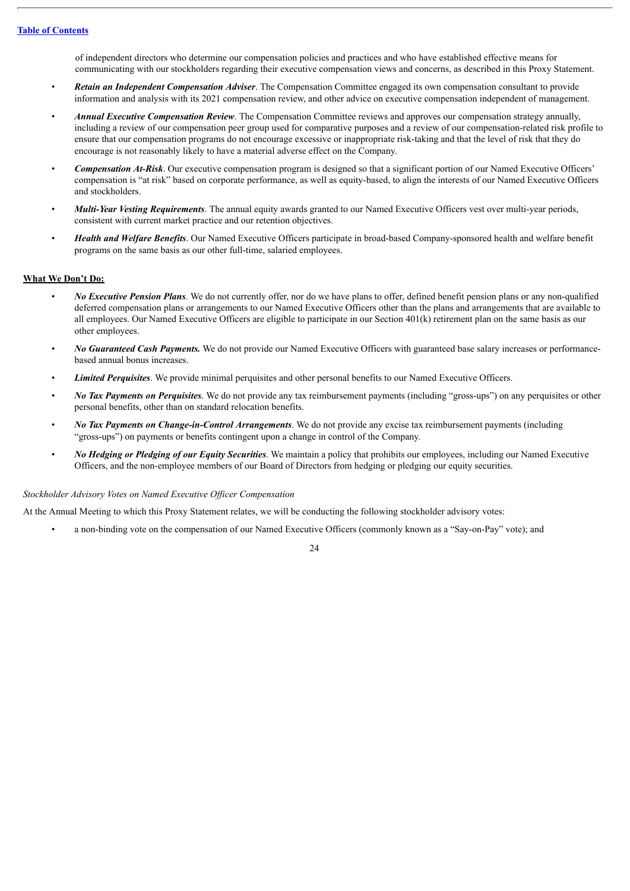of independent directors who determine our compensation policies and practices and who have established effective means for communicating with our stockholders regarding their executive compensation views and concerns, as described in this Proxy Statement.

- *Retain an Independent Compensation Adviser*. The Compensation Committee engaged its own compensation consultant to provide information and analysis with its 2021 compensation review, and other advice on executive compensation independent of management.
- *Annual Executive Compensation Review*. The Compensation Committee reviews and approves our compensation strategy annually, including a review of our compensation peer group used for comparative purposes and a review of our compensation-related risk profile to ensure that our compensation programs do not encourage excessive or inappropriate risk-taking and that the level of risk that they do encourage is not reasonably likely to have a material adverse effect on the Company.
- *Compensation At-Risk*. Our executive compensation program is designed so that a significant portion of our Named Executive Officers' compensation is "at risk" based on corporate performance, as well as equity-based, to align the interests of our Named Executive Officers and stockholders.
- *Multi-Year Vesting Requirements*. The annual equity awards granted to our Named Executive Officers vest over multi-year periods, consistent with current market practice and our retention objectives.
- *Health and Welfare Benefits*. Our Named Executive Officers participate in broad-based Company-sponsored health and welfare benefit programs on the same basis as our other full-time, salaried employees.

## **What We Don't Do:**

- *No Executive Pension Plans*. We do not currently offer, nor do we have plans to offer, defined benefit pension plans or any non-qualified deferred compensation plans or arrangements to our Named Executive Officers other than the plans and arrangements that are available to all employees. Our Named Executive Officers are eligible to participate in our Section 401(k) retirement plan on the same basis as our other employees.
- *No Guaranteed Cash Payments.* We do not provide our Named Executive Officers with guaranteed base salary increases or performancebased annual bonus increases.
- *Limited Perquisites*. We provide minimal perquisites and other personal benefits to our Named Executive Officers.
- *No Tax Payments on Perquisites*. We do not provide any tax reimbursement payments (including "gross-ups") on any perquisites or other personal benefits, other than on standard relocation benefits.
- *No Tax Payments on Change-in-Control Arrangements*. We do not provide any excise tax reimbursement payments (including "gross-ups") on payments or benefits contingent upon a change in control of the Company.
- *No Hedging or Pledging of our Equity Securities*. We maintain a policy that prohibits our employees, including our Named Executive Officers, and the non-employee members of our Board of Directors from hedging or pledging our equity securities.

## *Stockholder Advisory Votes on Named Executive Of icer Compensation*

At the Annual Meeting to which this Proxy Statement relates, we will be conducting the following stockholder advisory votes:

• a non-binding vote on the compensation of our Named Executive Officers (commonly known as a "Say-on-Pay" vote); and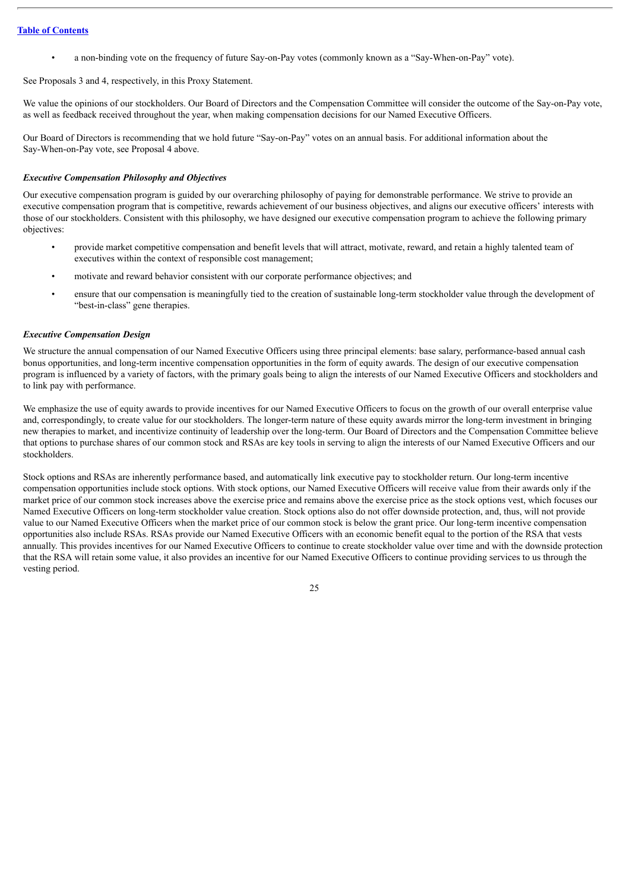• a non-binding vote on the frequency of future Say-on-Pay votes (commonly known as a "Say-When-on-Pay" vote).

See Proposals 3 and 4, respectively, in this Proxy Statement.

We value the opinions of our stockholders. Our Board of Directors and the Compensation Committee will consider the outcome of the Say-on-Pay vote. as well as feedback received throughout the year, when making compensation decisions for our Named Executive Officers.

Our Board of Directors is recommending that we hold future "Say-on-Pay" votes on an annual basis. For additional information about the Say-When-on-Pay vote, see Proposal 4 above.

## *Executive Compensation Philosophy and Objectives*

Our executive compensation program is guided by our overarching philosophy of paying for demonstrable performance. We strive to provide an executive compensation program that is competitive, rewards achievement of our business objectives, and aligns our executive officers' interests with those of our stockholders. Consistent with this philosophy, we have designed our executive compensation program to achieve the following primary objectives:

- provide market competitive compensation and benefit levels that will attract, motivate, reward, and retain a highly talented team of executives within the context of responsible cost management;
- motivate and reward behavior consistent with our corporate performance objectives; and
- ensure that our compensation is meaningfully tied to the creation of sustainable long-term stockholder value through the development of "best-in-class" gene therapies.

#### *Executive Compensation Design*

We structure the annual compensation of our Named Executive Officers using three principal elements: base salary, performance-based annual cash bonus opportunities, and long-term incentive compensation opportunities in the form of equity awards. The design of our executive compensation program is influenced by a variety of factors, with the primary goals being to align the interests of our Named Executive Officers and stockholders and to link pay with performance.

We emphasize the use of equity awards to provide incentives for our Named Executive Officers to focus on the growth of our overall enterprise value and, correspondingly, to create value for our stockholders. The longer-term nature of these equity awards mirror the long-term investment in bringing new therapies to market, and incentivize continuity of leadership over the long-term. Our Board of Directors and the Compensation Committee believe that options to purchase shares of our common stock and RSAs are key tools in serving to align the interests of our Named Executive Officers and our stockholders.

Stock options and RSAs are inherently performance based, and automatically link executive pay to stockholder return. Our long-term incentive compensation opportunities include stock options. With stock options, our Named Executive Officers will receive value from their awards only if the market price of our common stock increases above the exercise price and remains above the exercise price as the stock options vest, which focuses our Named Executive Officers on long-term stockholder value creation. Stock options also do not offer downside protection, and, thus, will not provide value to our Named Executive Officers when the market price of our common stock is below the grant price. Our long-term incentive compensation opportunities also include RSAs. RSAs provide our Named Executive Officers with an economic benefit equal to the portion of the RSA that vests annually. This provides incentives for our Named Executive Officers to continue to create stockholder value over time and with the downside protection that the RSA will retain some value, it also provides an incentive for our Named Executive Officers to continue providing services to us through the vesting period.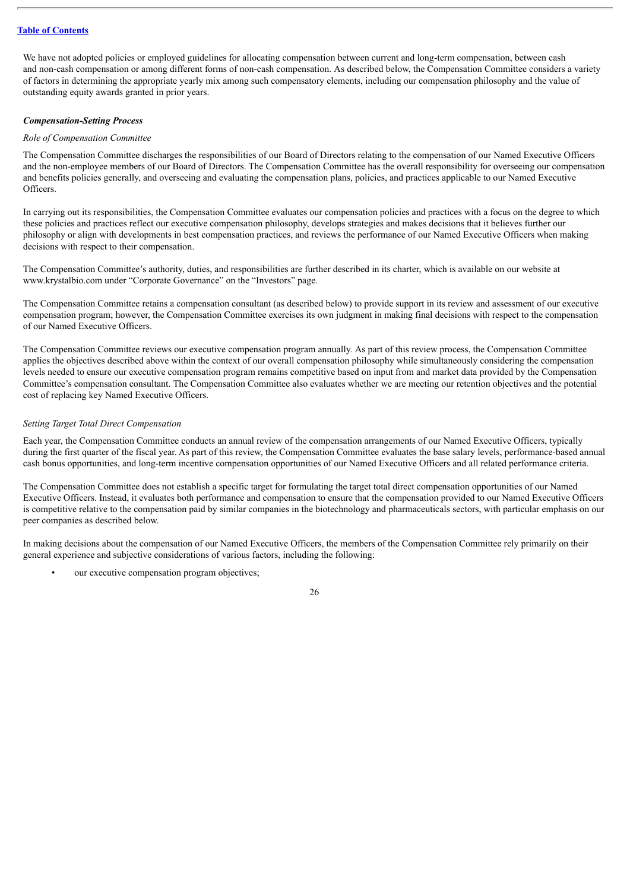We have not adopted policies or employed guidelines for allocating compensation between current and long-term compensation, between cash and non-cash compensation or among different forms of non-cash compensation. As described below, the Compensation Committee considers a variety of factors in determining the appropriate yearly mix among such compensatory elements, including our compensation philosophy and the value of outstanding equity awards granted in prior years.

## *Compensation-Setting Process*

#### *Role of Compensation Committee*

The Compensation Committee discharges the responsibilities of our Board of Directors relating to the compensation of our Named Executive Officers and the non-employee members of our Board of Directors. The Compensation Committee has the overall responsibility for overseeing our compensation and benefits policies generally, and overseeing and evaluating the compensation plans, policies, and practices applicable to our Named Executive Officers.

In carrying out its responsibilities, the Compensation Committee evaluates our compensation policies and practices with a focus on the degree to which these policies and practices reflect our executive compensation philosophy, develops strategies and makes decisions that it believes further our philosophy or align with developments in best compensation practices, and reviews the performance of our Named Executive Officers when making decisions with respect to their compensation.

The Compensation Committee's authority, duties, and responsibilities are further described in its charter, which is available on our website at www.krystalbio.com under "Corporate Governance" on the "Investors" page.

The Compensation Committee retains a compensation consultant (as described below) to provide support in its review and assessment of our executive compensation program; however, the Compensation Committee exercises its own judgment in making final decisions with respect to the compensation of our Named Executive Officers.

The Compensation Committee reviews our executive compensation program annually. As part of this review process, the Compensation Committee applies the objectives described above within the context of our overall compensation philosophy while simultaneously considering the compensation levels needed to ensure our executive compensation program remains competitive based on input from and market data provided by the Compensation Committee's compensation consultant. The Compensation Committee also evaluates whether we are meeting our retention objectives and the potential cost of replacing key Named Executive Officers.

## *Setting Target Total Direct Compensation*

Each year, the Compensation Committee conducts an annual review of the compensation arrangements of our Named Executive Officers, typically during the first quarter of the fiscal year. As part of this review, the Compensation Committee evaluates the base salary levels, performance-based annual cash bonus opportunities, and long-term incentive compensation opportunities of our Named Executive Officers and all related performance criteria.

The Compensation Committee does not establish a specific target for formulating the target total direct compensation opportunities of our Named Executive Officers. Instead, it evaluates both performance and compensation to ensure that the compensation provided to our Named Executive Officers is competitive relative to the compensation paid by similar companies in the biotechnology and pharmaceuticals sectors, with particular emphasis on our peer companies as described below.

In making decisions about the compensation of our Named Executive Officers, the members of the Compensation Committee rely primarily on their general experience and subjective considerations of various factors, including the following:

our executive compensation program objectives;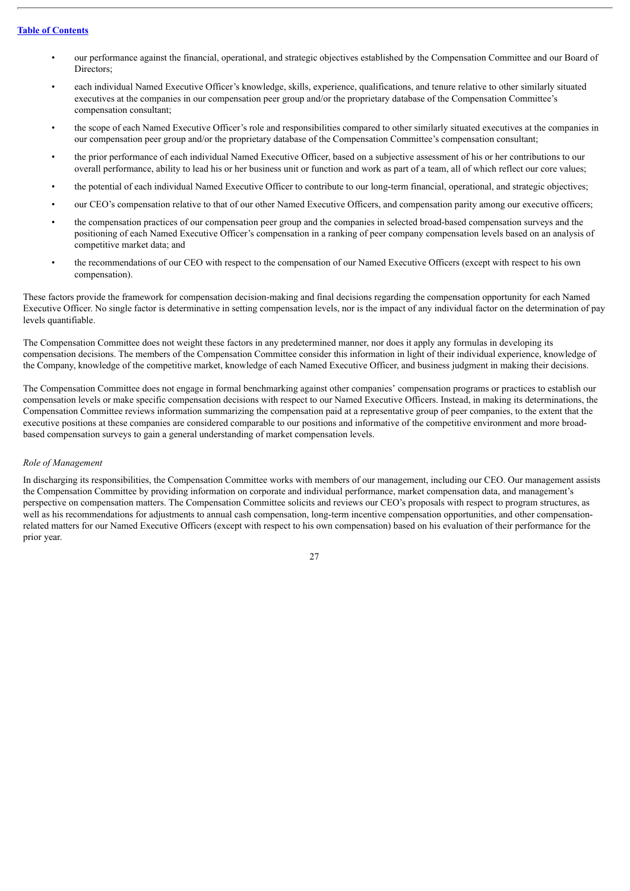- our performance against the financial, operational, and strategic objectives established by the Compensation Committee and our Board of Directors;
- each individual Named Executive Officer's knowledge, skills, experience, qualifications, and tenure relative to other similarly situated executives at the companies in our compensation peer group and/or the proprietary database of the Compensation Committee's compensation consultant;
- the scope of each Named Executive Officer's role and responsibilities compared to other similarly situated executives at the companies in our compensation peer group and/or the proprietary database of the Compensation Committee's compensation consultant;
- the prior performance of each individual Named Executive Officer, based on a subjective assessment of his or her contributions to our overall performance, ability to lead his or her business unit or function and work as part of a team, all of which reflect our core values;
- the potential of each individual Named Executive Officer to contribute to our long-term financial, operational, and strategic objectives;
- our CEO's compensation relative to that of our other Named Executive Officers, and compensation parity among our executive officers;
- the compensation practices of our compensation peer group and the companies in selected broad-based compensation surveys and the positioning of each Named Executive Officer's compensation in a ranking of peer company compensation levels based on an analysis of competitive market data; and
- the recommendations of our CEO with respect to the compensation of our Named Executive Officers (except with respect to his own compensation).

These factors provide the framework for compensation decision-making and final decisions regarding the compensation opportunity for each Named Executive Officer. No single factor is determinative in setting compensation levels, nor is the impact of any individual factor on the determination of pay levels quantifiable.

The Compensation Committee does not weight these factors in any predetermined manner, nor does it apply any formulas in developing its compensation decisions. The members of the Compensation Committee consider this information in light of their individual experience, knowledge of the Company, knowledge of the competitive market, knowledge of each Named Executive Officer, and business judgment in making their decisions.

The Compensation Committee does not engage in formal benchmarking against other companies' compensation programs or practices to establish our compensation levels or make specific compensation decisions with respect to our Named Executive Officers. Instead, in making its determinations, the Compensation Committee reviews information summarizing the compensation paid at a representative group of peer companies, to the extent that the executive positions at these companies are considered comparable to our positions and informative of the competitive environment and more broadbased compensation surveys to gain a general understanding of market compensation levels.

## *Role of Management*

In discharging its responsibilities, the Compensation Committee works with members of our management, including our CEO. Our management assists the Compensation Committee by providing information on corporate and individual performance, market compensation data, and management's perspective on compensation matters. The Compensation Committee solicits and reviews our CEO's proposals with respect to program structures, as well as his recommendations for adjustments to annual cash compensation, long-term incentive compensation opportunities, and other compensationrelated matters for our Named Executive Officers (except with respect to his own compensation) based on his evaluation of their performance for the prior year.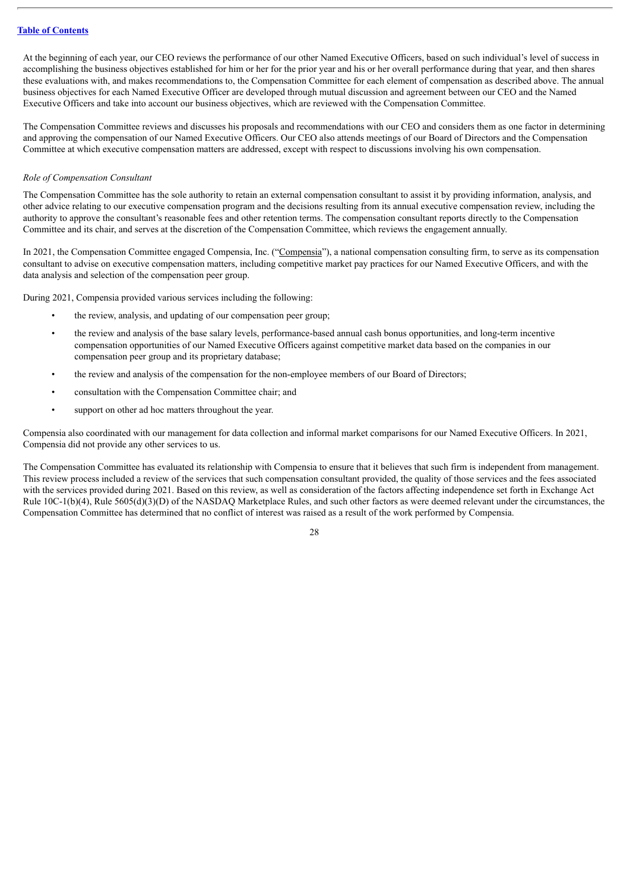At the beginning of each year, our CEO reviews the performance of our other Named Executive Officers, based on such individual's level of success in accomplishing the business objectives established for him or her for the prior year and his or her overall performance during that year, and then shares these evaluations with, and makes recommendations to, the Compensation Committee for each element of compensation as described above. The annual business objectives for each Named Executive Officer are developed through mutual discussion and agreement between our CEO and the Named Executive Officers and take into account our business objectives, which are reviewed with the Compensation Committee.

The Compensation Committee reviews and discusses his proposals and recommendations with our CEO and considers them as one factor in determining and approving the compensation of our Named Executive Officers. Our CEO also attends meetings of our Board of Directors and the Compensation Committee at which executive compensation matters are addressed, except with respect to discussions involving his own compensation.

#### *Role of Compensation Consultant*

The Compensation Committee has the sole authority to retain an external compensation consultant to assist it by providing information, analysis, and other advice relating to our executive compensation program and the decisions resulting from its annual executive compensation review, including the authority to approve the consultant's reasonable fees and other retention terms. The compensation consultant reports directly to the Compensation Committee and its chair, and serves at the discretion of the Compensation Committee, which reviews the engagement annually.

In 2021, the Compensation Committee engaged Compensia, Inc. ("Compensia"), a national compensation consulting firm, to serve as its compensation consultant to advise on executive compensation matters, including competitive market pay practices for our Named Executive Officers, and with the data analysis and selection of the compensation peer group.

During 2021, Compensia provided various services including the following:

- the review, analysis, and updating of our compensation peer group;
- the review and analysis of the base salary levels, performance-based annual cash bonus opportunities, and long-term incentive compensation opportunities of our Named Executive Officers against competitive market data based on the companies in our compensation peer group and its proprietary database;
- the review and analysis of the compensation for the non-employee members of our Board of Directors;
- consultation with the Compensation Committee chair; and
- support on other ad hoc matters throughout the year.

Compensia also coordinated with our management for data collection and informal market comparisons for our Named Executive Officers. In 2021, Compensia did not provide any other services to us.

The Compensation Committee has evaluated its relationship with Compensia to ensure that it believes that such firm is independent from management. This review process included a review of the services that such compensation consultant provided, the quality of those services and the fees associated with the services provided during 2021. Based on this review, as well as consideration of the factors affecting independence set forth in Exchange Act Rule  $10C-1(b)(4)$ , Rule  $5605(d)(3)(D)$  of the NASDAQ Marketplace Rules, and such other factors as were deemed relevant under the circumstances, the Compensation Committee has determined that no conflict of interest was raised as a result of the work performed by Compensia.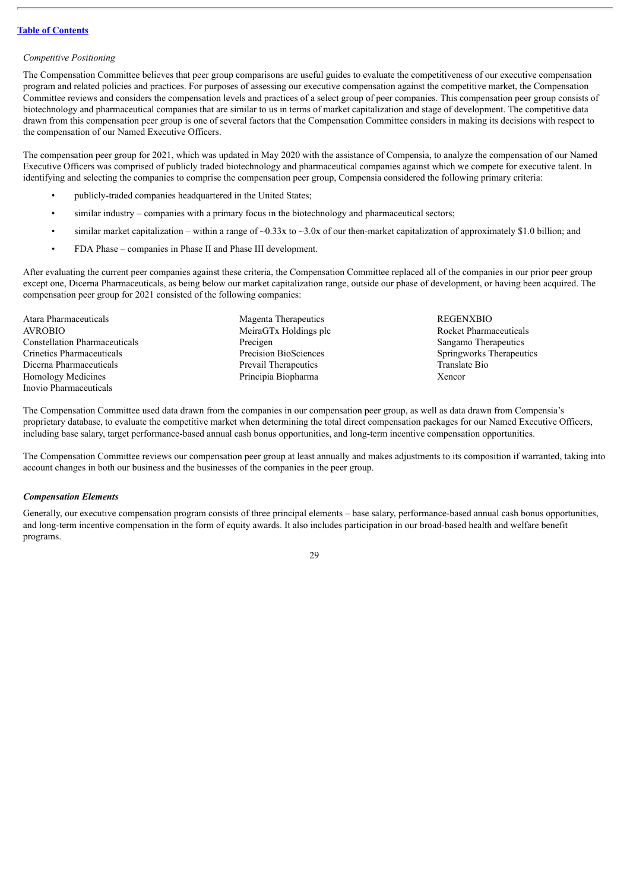## *Competitive Positioning*

The Compensation Committee believes that peer group comparisons are useful guides to evaluate the competitiveness of our executive compensation program and related policies and practices. For purposes of assessing our executive compensation against the competitive market, the Compensation Committee reviews and considers the compensation levels and practices of a select group of peer companies. This compensation peer group consists of biotechnology and pharmaceutical companies that are similar to us in terms of market capitalization and stage of development. The competitive data drawn from this compensation peer group is one of several factors that the Compensation Committee considers in making its decisions with respect to the compensation of our Named Executive Officers.

The compensation peer group for 2021, which was updated in May 2020 with the assistance of Compensia, to analyze the compensation of our Named Executive Officers was comprised of publicly traded biotechnology and pharmaceutical companies against which we compete for executive talent. In identifying and selecting the companies to comprise the compensation peer group, Compensia considered the following primary criteria:

- publicly-traded companies headquartered in the United States;
- similar industry companies with a primary focus in the biotechnology and pharmaceutical sectors;
- similar market capitalization within a range of  $\sim 0.33x$  to  $\sim 3.0x$  of our then-market capitalization of approximately \$1.0 billion; and
- FDA Phase companies in Phase II and Phase III development.

After evaluating the current peer companies against these criteria, the Compensation Committee replaced all of the companies in our prior peer group except one, Dicerna Pharmaceuticals, as being below our market capitalization range, outside our phase of development, or having been acquired. The compensation peer group for 2021 consisted of the following companies:

- Atara Pharmaceuticals and the Magenta Therapeutics and the REGENXBIO AVROBIO MeiraGTx Holdings plc Rocket Pharmaceuticals **Constellation Pharmaceuticals** Precigen Precigen Sangamo Therapeutics Sangamo Therapeutics Crinetics Pharmaceuticals Precision BioSciences Springworks Therapeutics Dicerna Pharmaceuticals Prevail Therapeutics Translate Bio Homology Medicines Principia Biopharma Xencor Inovio Pharmaceuticals
	-

The Compensation Committee used data drawn from the companies in our compensation peer group, as well as data drawn from Compensia's proprietary database, to evaluate the competitive market when determining the total direct compensation packages for our Named Executive Officers, including base salary, target performance-based annual cash bonus opportunities, and long-term incentive compensation opportunities.

The Compensation Committee reviews our compensation peer group at least annually and makes adjustments to its composition if warranted, taking into account changes in both our business and the businesses of the companies in the peer group.

## *Compensation Elements*

Generally, our executive compensation program consists of three principal elements – base salary, performance-based annual cash bonus opportunities, and long-term incentive compensation in the form of equity awards. It also includes participation in our broad-based health and welfare benefit programs.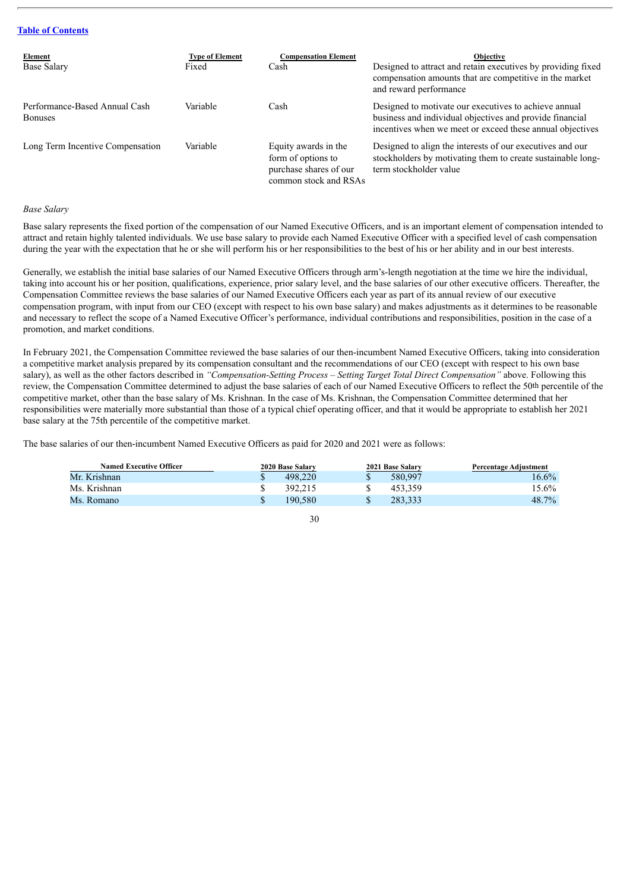| Element<br><b>Base Salary</b>                   | <b>Type of Element</b><br>Fixed | <b>Compensation Element</b><br>Cash                                                           | <b>Objective</b><br>Designed to attract and retain executives by providing fixed<br>compensation amounts that are competitive in the market<br>and reward performance          |
|-------------------------------------------------|---------------------------------|-----------------------------------------------------------------------------------------------|--------------------------------------------------------------------------------------------------------------------------------------------------------------------------------|
| Performance-Based Annual Cash<br><b>Bonuses</b> | Variable                        | Cash                                                                                          | Designed to motivate our executives to achieve annual<br>business and individual objectives and provide financial<br>incentives when we meet or exceed these annual objectives |
| Long Term Incentive Compensation                | Variable                        | Equity awards in the<br>form of options to<br>purchase shares of our<br>common stock and RSAs | Designed to align the interests of our executives and our<br>stockholders by motivating them to create sustainable long-<br>term stockholder value                             |

#### *Base Salary*

Base salary represents the fixed portion of the compensation of our Named Executive Officers, and is an important element of compensation intended to attract and retain highly talented individuals. We use base salary to provide each Named Executive Officer with a specified level of cash compensation during the year with the expectation that he or she will perform his or her responsibilities to the best of his or her ability and in our best interests.

Generally, we establish the initial base salaries of our Named Executive Officers through arm's-length negotiation at the time we hire the individual, taking into account his or her position, qualifications, experience, prior salary level, and the base salaries of our other executive officers. Thereafter, the Compensation Committee reviews the base salaries of our Named Executive Officers each year as part of its annual review of our executive compensation program, with input from our CEO (except with respect to his own base salary) and makes adjustments as it determines to be reasonable and necessary to reflect the scope of a Named Executive Officer's performance, individual contributions and responsibilities, position in the case of a promotion, and market conditions.

In February 2021, the Compensation Committee reviewed the base salaries of our then-incumbent Named Executive Officers, taking into consideration a competitive market analysis prepared by its compensation consultant and the recommendations of our CEO (except with respect to his own base salary), as well as the other factors described in *"Compensation-Setting Process – Setting Target Total Direct Compensation"* above. Following this review, the Compensation Committee determined to adjust the base salaries of each of our Named Executive Officers to reflect the 50th percentile of the competitive market, other than the base salary of Ms. Krishnan. In the case of Ms. Krishnan, the Compensation Committee determined that her responsibilities were materially more substantial than those of a typical chief operating officer, and that it would be appropriate to establish her 2021 base salary at the 75th percentile of the competitive market.

The base salaries of our then-incumbent Named Executive Officers as paid for 2020 and 2021 were as follows:

| <b>Named Executive Officer</b> | 2020 Base Salary | 2021 Base Salary | Percentage Adjustment |
|--------------------------------|------------------|------------------|-----------------------|
| Mr. Krishnan                   | 498.220          | 580,997          | 16.6%                 |
| Ms. Krishnan                   | 392.215          | 453.359          | $15.6\%$              |
| Ms. Romano                     | 190.580          | 283.333          | 48.7%                 |

<sup>30</sup>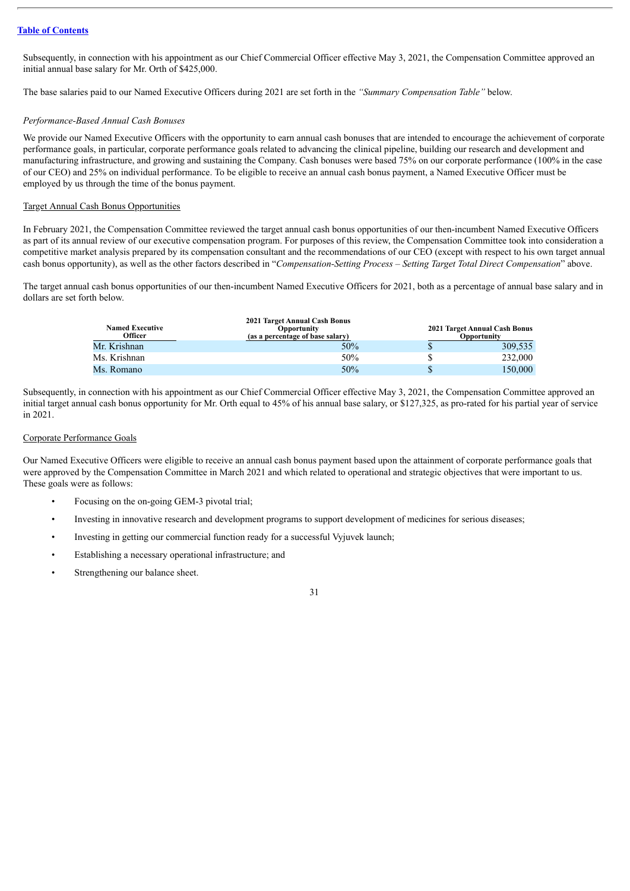Subsequently, in connection with his appointment as our Chief Commercial Officer effective May 3, 2021, the Compensation Committee approved an initial annual base salary for Mr. Orth of \$425,000.

The base salaries paid to our Named Executive Officers during 2021 are set forth in the *"Summary Compensation Table"* below.

## *Performance-Based Annual Cash Bonuses*

We provide our Named Executive Officers with the opportunity to earn annual cash bonuses that are intended to encourage the achievement of corporate performance goals, in particular, corporate performance goals related to advancing the clinical pipeline, building our research and development and manufacturing infrastructure, and growing and sustaining the Company. Cash bonuses were based 75% on our corporate performance (100% in the case of our CEO) and 25% on individual performance. To be eligible to receive an annual cash bonus payment, a Named Executive Officer must be employed by us through the time of the bonus payment.

## Target Annual Cash Bonus Opportunities

In February 2021, the Compensation Committee reviewed the target annual cash bonus opportunities of our then-incumbent Named Executive Officers as part of its annual review of our executive compensation program. For purposes of this review, the Compensation Committee took into consideration a competitive market analysis prepared by its compensation consultant and the recommendations of our CEO (except with respect to his own target annual cash bonus opportunity), as well as the other factors described in "*Compensation-Setting Process – Setting Target Total Direct Compensation*" above.

The target annual cash bonus opportunities of our then-incumbent Named Executive Officers for 2021, both as a percentage of annual base salary and in dollars are set forth below.

| <b>Named Executive</b><br>Officer | 2021 Target Annual Cash Bonus<br><b>Opportunity</b><br>(as a percentage of base salary) | 2021 Target Annual Cash Bonus<br><b>Opportunity</b> |
|-----------------------------------|-----------------------------------------------------------------------------------------|-----------------------------------------------------|
| Mr. Krishnan                      | 50%                                                                                     | 309,535                                             |
| Ms. Krishnan                      | 50%                                                                                     | 232,000                                             |
| Ms. Romano                        | 50%                                                                                     | 150.000                                             |

Subsequently, in connection with his appointment as our Chief Commercial Officer effective May 3, 2021, the Compensation Committee approved an initial target annual cash bonus opportunity for Mr. Orth equal to 45% of his annual base salary, or \$127,325, as pro-rated for his partial year of service in 2021.

#### Corporate Performance Goals

Our Named Executive Officers were eligible to receive an annual cash bonus payment based upon the attainment of corporate performance goals that were approved by the Compensation Committee in March 2021 and which related to operational and strategic objectives that were important to us. These goals were as follows:

- Focusing on the on-going GEM-3 pivotal trial;
- Investing in innovative research and development programs to support development of medicines for serious diseases;
- Investing in getting our commercial function ready for a successful Vyjuvek launch;
- Establishing a necessary operational infrastructure; and
- Strengthening our balance sheet.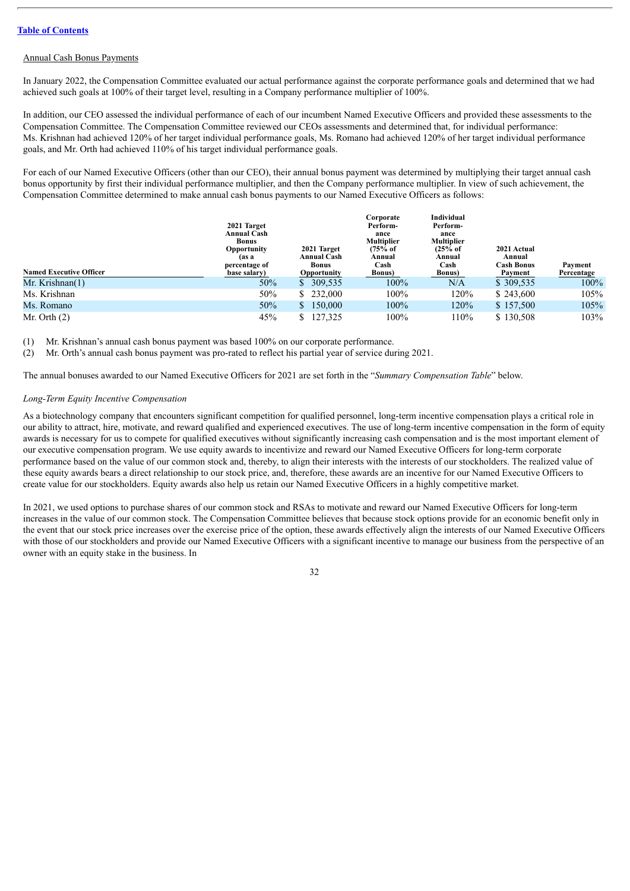## Annual Cash Bonus Payments

In January 2022, the Compensation Committee evaluated our actual performance against the corporate performance goals and determined that we had achieved such goals at 100% of their target level, resulting in a Company performance multiplier of 100%.

In addition, our CEO assessed the individual performance of each of our incumbent Named Executive Officers and provided these assessments to the Compensation Committee. The Compensation Committee reviewed our CEOs assessments and determined that, for individual performance: Ms. Krishnan had achieved 120% of her target individual performance goals, Ms. Romano had achieved 120% of her target individual performance goals, and Mr. Orth had achieved 110% of his target individual performance goals.

For each of our Named Executive Officers (other than our CEO), their annual bonus payment was determined by multiplying their target annual cash bonus opportunity by first their individual performance multiplier, and then the Company performance multiplier. In view of such achievement, the Compensation Committee determined to make annual cash bonus payments to our Named Executive Officers as follows:

|                                | 2021 Target<br><b>Annual Cash</b><br>Bonus<br>Opportunity | 2021 Target                                       | Corporate<br>Perform-<br>ance<br><b>Multiplier</b><br>(75% of | Individual<br>Perform-<br>ance<br><b>Multiplier</b><br>$(25%$ of | 2021 Actual                            |                       |
|--------------------------------|-----------------------------------------------------------|---------------------------------------------------|---------------------------------------------------------------|------------------------------------------------------------------|----------------------------------------|-----------------------|
| <b>Named Executive Officer</b> | (as a<br>percentage of<br>base salary)                    | <b>Annual Cash</b><br><b>Bonus</b><br>Opportunity | Annual<br>Cash<br><b>Bonus</b> )                              | Annual<br>Cash<br><b>Bonus</b> )                                 | Annual<br><b>Cash Bonus</b><br>Payment | Payment<br>Percentage |
| Mr. Krishnan(1)                | 50%                                                       | \$309,535                                         | 100%                                                          | N/A                                                              | \$309,535                              | $100\%$               |
| Ms. Krishnan                   | 50%                                                       | \$232,000                                         | 100%                                                          | 120%                                                             | \$243,600                              | 105%                  |
| Ms. Romano                     | 50%                                                       | \$150,000                                         | 100%                                                          | 120%                                                             | \$157,500                              | 105%                  |
| Mr. Orth $(2)$                 | 45%                                                       | \$127,325                                         | 100%                                                          | 110%                                                             | \$130.508                              | 103%                  |

(1) Mr. Krishnan's annual cash bonus payment was based 100% on our corporate performance.

(2) Mr. Orth's annual cash bonus payment was pro-rated to reflect his partial year of service during 2021.

The annual bonuses awarded to our Named Executive Officers for 2021 are set forth in the "*Summary Compensation Table*" below.

#### *Long-Term Equity Incentive Compensation*

As a biotechnology company that encounters significant competition for qualified personnel, long-term incentive compensation plays a critical role in our ability to attract, hire, motivate, and reward qualified and experienced executives. The use of long-term incentive compensation in the form of equity awards is necessary for us to compete for qualified executives without significantly increasing cash compensation and is the most important element of our executive compensation program. We use equity awards to incentivize and reward our Named Executive Officers for long-term corporate performance based on the value of our common stock and, thereby, to align their interests with the interests of our stockholders. The realized value of these equity awards bears a direct relationship to our stock price, and, therefore, these awards are an incentive for our Named Executive Officers to create value for our stockholders. Equity awards also help us retain our Named Executive Officers in a highly competitive market.

In 2021, we used options to purchase shares of our common stock and RSAs to motivate and reward our Named Executive Officers for long-term increases in the value of our common stock. The Compensation Committee believes that because stock options provide for an economic benefit only in the event that our stock price increases over the exercise price of the option, these awards effectively align the interests of our Named Executive Officers with those of our stockholders and provide our Named Executive Officers with a significant incentive to manage our business from the perspective of an owner with an equity stake in the business. In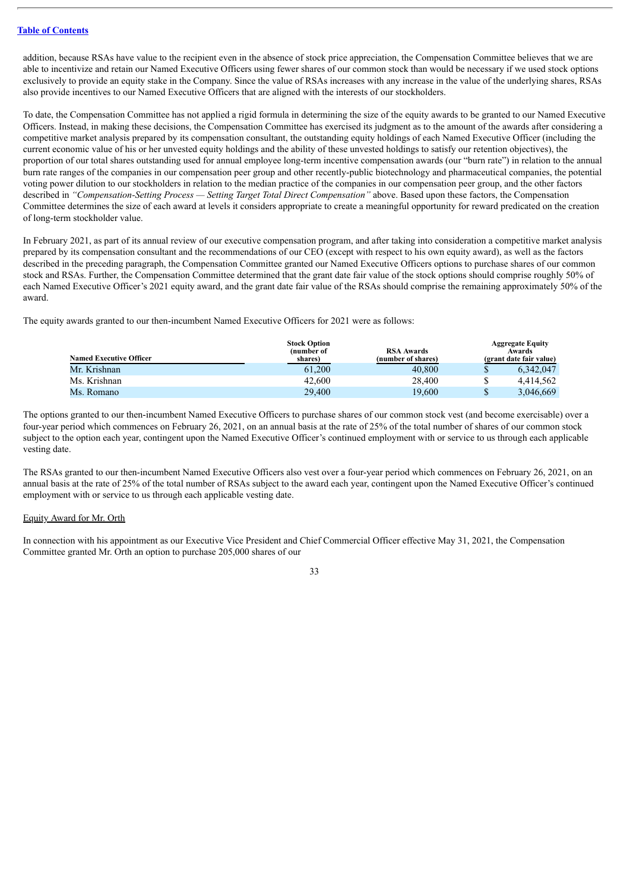addition, because RSAs have value to the recipient even in the absence of stock price appreciation, the Compensation Committee believes that we are able to incentivize and retain our Named Executive Officers using fewer shares of our common stock than would be necessary if we used stock options exclusively to provide an equity stake in the Company. Since the value of RSAs increases with any increase in the value of the underlying shares, RSAs also provide incentives to our Named Executive Officers that are aligned with the interests of our stockholders.

To date, the Compensation Committee has not applied a rigid formula in determining the size of the equity awards to be granted to our Named Executive Officers. Instead, in making these decisions, the Compensation Committee has exercised its judgment as to the amount of the awards after considering a competitive market analysis prepared by its compensation consultant, the outstanding equity holdings of each Named Executive Officer (including the current economic value of his or her unvested equity holdings and the ability of these unvested holdings to satisfy our retention objectives), the proportion of our total shares outstanding used for annual employee long-term incentive compensation awards (our "burn rate") in relation to the annual burn rate ranges of the companies in our compensation peer group and other recently-public biotechnology and pharmaceutical companies, the potential voting power dilution to our stockholders in relation to the median practice of the companies in our compensation peer group, and the other factors described in *"Compensation-Setting Process — Setting Target Total Direct Compensation"* above. Based upon these factors, the Compensation Committee determines the size of each award at levels it considers appropriate to create a meaningful opportunity for reward predicated on the creation of long-term stockholder value.

In February 2021, as part of its annual review of our executive compensation program, and after taking into consideration a competitive market analysis prepared by its compensation consultant and the recommendations of our CEO (except with respect to his own equity award), as well as the factors described in the preceding paragraph, the Compensation Committee granted our Named Executive Officers options to purchase shares of our common stock and RSAs. Further, the Compensation Committee determined that the grant date fair value of the stock options should comprise roughly 50% of each Named Executive Officer's 2021 equity award, and the grant date fair value of the RSAs should comprise the remaining approximately 50% of the award.

The equity awards granted to our then-incumbent Named Executive Officers for 2021 were as follows:

| <b>Named Executive Officer</b> | <b>Stock Option</b><br>(number of<br>shares) | <b>RSA Awards</b><br>(number of shares) | <b>Aggregate Equity</b><br>Awards<br>(grant date fair value) |
|--------------------------------|----------------------------------------------|-----------------------------------------|--------------------------------------------------------------|
| Mr. Krishnan                   | 61.200                                       | 40,800                                  | 6,342,047                                                    |
| Ms. Krishnan                   | 42,600                                       | 28.400                                  | 4.414.562                                                    |
| Ms. Romano                     | 29,400                                       | 19.600                                  | $\mathbb{S}$<br>3.046.669                                    |

The options granted to our then-incumbent Named Executive Officers to purchase shares of our common stock vest (and become exercisable) over a four-year period which commences on February 26, 2021, on an annual basis at the rate of 25% of the total number of shares of our common stock subject to the option each year, contingent upon the Named Executive Officer's continued employment with or service to us through each applicable vesting date.

The RSAs granted to our then-incumbent Named Executive Officers also vest over a four-year period which commences on February 26, 2021, on an annual basis at the rate of 25% of the total number of RSAs subject to the award each year, contingent upon the Named Executive Officer's continued employment with or service to us through each applicable vesting date.

#### Equity Award for Mr. Orth

In connection with his appointment as our Executive Vice President and Chief Commercial Officer effective May 31, 2021, the Compensation Committee granted Mr. Orth an option to purchase 205,000 shares of our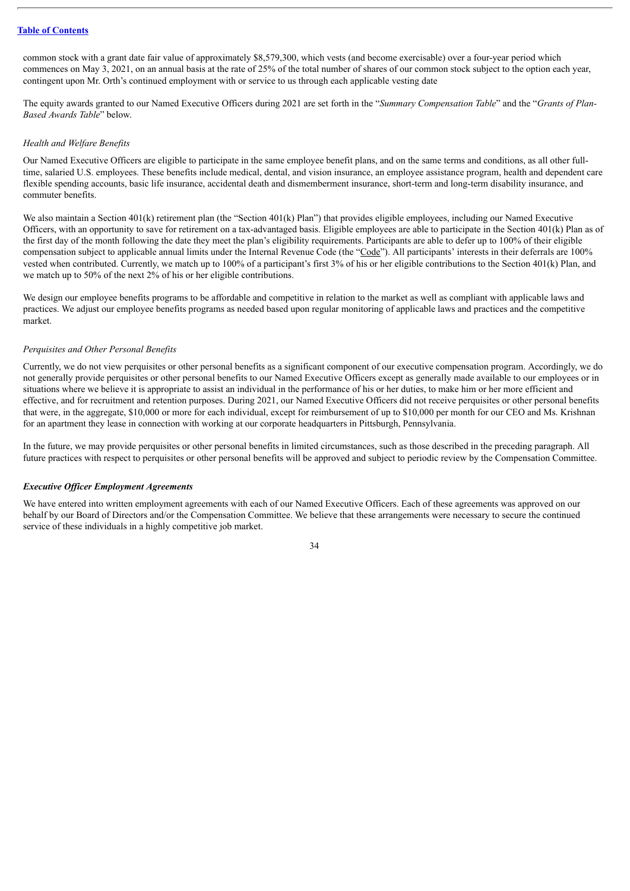common stock with a grant date fair value of approximately \$8,579,300, which vests (and become exercisable) over a four-year period which commences on May 3, 2021, on an annual basis at the rate of 25% of the total number of shares of our common stock subject to the option each year, contingent upon Mr. Orth's continued employment with or service to us through each applicable vesting date

The equity awards granted to our Named Executive Officers during 2021 are set forth in the "*Summary Compensation Table*" and the "*Grants of Plan-Based Awards Table*" below.

#### *Health and Welfare Benefits*

Our Named Executive Officers are eligible to participate in the same employee benefit plans, and on the same terms and conditions, as all other fulltime, salaried U.S. employees. These benefits include medical, dental, and vision insurance, an employee assistance program, health and dependent care flexible spending accounts, basic life insurance, accidental death and dismemberment insurance, short-term and long-term disability insurance, and commuter benefits.

We also maintain a Section 401(k) retirement plan (the "Section 401(k) Plan") that provides eligible employees, including our Named Executive Officers, with an opportunity to save for retirement on a tax-advantaged basis. Eligible employees are able to participate in the Section  $401(k)$  Plan as of the first day of the month following the date they meet the plan's eligibility requirements. Participants are able to defer up to 100% of their eligible compensation subject to applicable annual limits under the Internal Revenue Code (the "Code"). All participants' interests in their deferrals are 100% vested when contributed. Currently, we match up to 100% of a participant's first 3% of his or her eligible contributions to the Section 401(k) Plan, and we match up to 50% of the next 2% of his or her eligible contributions.

We design our employee benefits programs to be affordable and competitive in relation to the market as well as compliant with applicable laws and practices. We adjust our employee benefits programs as needed based upon regular monitoring of applicable laws and practices and the competitive market.

#### *Perquisites and Other Personal Benefits*

Currently, we do not view perquisites or other personal benefits as a significant component of our executive compensation program. Accordingly, we do not generally provide perquisites or other personal benefits to our Named Executive Officers except as generally made available to our employees or in situations where we believe it is appropriate to assist an individual in the performance of his or her duties, to make him or her more efficient and effective, and for recruitment and retention purposes. During 2021, our Named Executive Officers did not receive perquisites or other personal benefits that were, in the aggregate, \$10,000 or more for each individual, except for reimbursement of up to \$10,000 per month for our CEO and Ms. Krishnan for an apartment they lease in connection with working at our corporate headquarters in Pittsburgh, Pennsylvania.

In the future, we may provide perquisites or other personal benefits in limited circumstances, such as those described in the preceding paragraph. All future practices with respect to perquisites or other personal benefits will be approved and subject to periodic review by the Compensation Committee.

#### *Executive Of icer Employment Agreements*

We have entered into written employment agreements with each of our Named Executive Officers. Each of these agreements was approved on our behalf by our Board of Directors and/or the Compensation Committee. We believe that these arrangements were necessary to secure the continued service of these individuals in a highly competitive job market.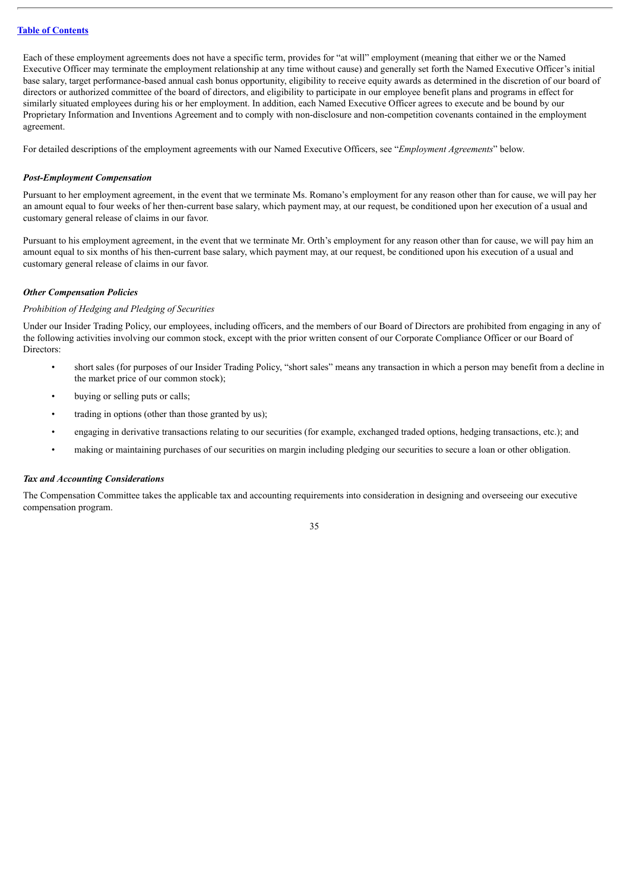Each of these employment agreements does not have a specific term, provides for "at will" employment (meaning that either we or the Named Executive Officer may terminate the employment relationship at any time without cause) and generally set forth the Named Executive Officer's initial base salary, target performance-based annual cash bonus opportunity, eligibility to receive equity awards as determined in the discretion of our board of directors or authorized committee of the board of directors, and eligibility to participate in our employee benefit plans and programs in effect for similarly situated employees during his or her employment. In addition, each Named Executive Officer agrees to execute and be bound by our Proprietary Information and Inventions Agreement and to comply with non-disclosure and non-competition covenants contained in the employment agreement.

For detailed descriptions of the employment agreements with our Named Executive Officers, see "*Employment Agreements*" below.

#### *Post-Employment Compensation*

Pursuant to her employment agreement, in the event that we terminate Ms. Romano's employment for any reason other than for cause, we will pay her an amount equal to four weeks of her then-current base salary, which payment may, at our request, be conditioned upon her execution of a usual and customary general release of claims in our favor.

Pursuant to his employment agreement, in the event that we terminate Mr. Orth's employment for any reason other than for cause, we will pay him an amount equal to six months of his then-current base salary, which payment may, at our request, be conditioned upon his execution of a usual and customary general release of claims in our favor.

#### *Other Compensation Policies*

## *Prohibition of Hedging and Pledging of Securities*

Under our Insider Trading Policy, our employees, including officers, and the members of our Board of Directors are prohibited from engaging in any of the following activities involving our common stock, except with the prior written consent of our Corporate Compliance Officer or our Board of Directors:

- short sales (for purposes of our Insider Trading Policy, "short sales" means any transaction in which a person may benefit from a decline in the market price of our common stock);
- buying or selling puts or calls;
- trading in options (other than those granted by us);
- engaging in derivative transactions relating to our securities (for example, exchanged traded options, hedging transactions, etc.); and
- making or maintaining purchases of our securities on margin including pledging our securities to secure a loan or other obligation.

#### *Tax and Accounting Considerations*

The Compensation Committee takes the applicable tax and accounting requirements into consideration in designing and overseeing our executive compensation program.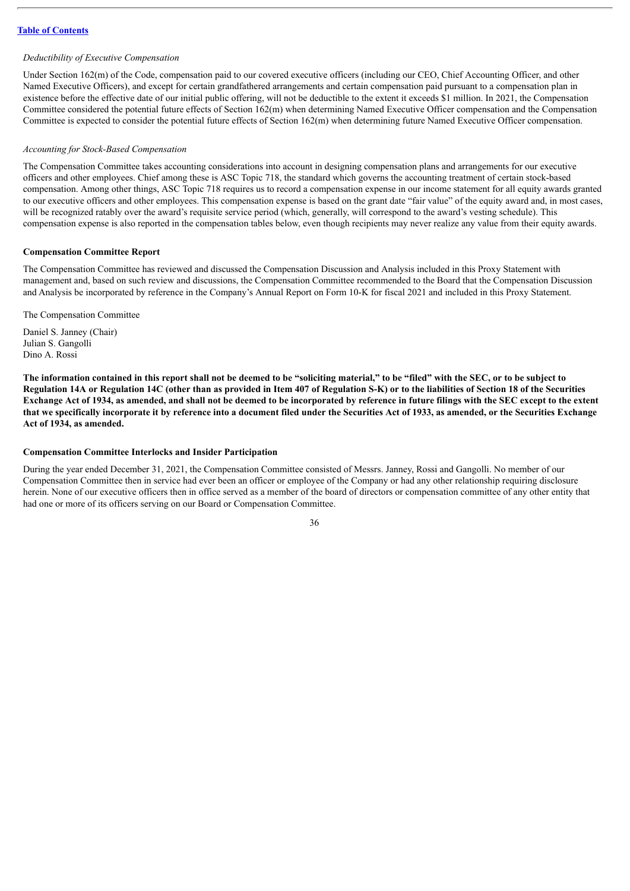#### *Deductibility of Executive Compensation*

Under Section 162(m) of the Code, compensation paid to our covered executive officers (including our CEO, Chief Accounting Officer, and other Named Executive Officers), and except for certain grandfathered arrangements and certain compensation paid pursuant to a compensation plan in existence before the effective date of our initial public offering, will not be deductible to the extent it exceeds \$1 million. In 2021, the Compensation Committee considered the potential future effects of Section 162(m) when determining Named Executive Officer compensation and the Compensation Committee is expected to consider the potential future effects of Section 162(m) when determining future Named Executive Officer compensation.

#### *Accounting for Stock-Based Compensation*

The Compensation Committee takes accounting considerations into account in designing compensation plans and arrangements for our executive officers and other employees. Chief among these is ASC Topic 718, the standard which governs the accounting treatment of certain stock-based compensation. Among other things, ASC Topic 718 requires us to record a compensation expense in our income statement for all equity awards granted to our executive officers and other employees. This compensation expense is based on the grant date "fair value" of the equity award and, in most cases, will be recognized ratably over the award's requisite service period (which, generally, will correspond to the award's vesting schedule). This compensation expense is also reported in the compensation tables below, even though recipients may never realize any value from their equity awards.

#### **Compensation Committee Report**

The Compensation Committee has reviewed and discussed the Compensation Discussion and Analysis included in this Proxy Statement with management and, based on such review and discussions, the Compensation Committee recommended to the Board that the Compensation Discussion and Analysis be incorporated by reference in the Company's Annual Report on Form 10-K for fiscal 2021 and included in this Proxy Statement.

The Compensation Committee

Daniel S. Janney (Chair) Julian S. Gangolli Dino A. Rossi

The information contained in this report shall not be deemed to be "soliciting material," to be "filed" with the SEC, or to be subject to Regulation 14A or Regulation 14C (other than as provided in Item 407 of Regulation S-K) or to the liabilities of Section 18 of the Securities Exchange Act of 1934, as amended, and shall not be deemed to be incorporated by reference in future filings with the SEC except to the extent that we specifically incorporate it by reference into a document filed under the Securities Act of 1933, as amended, or the Securities Exchange **Act of 1934, as amended.**

#### **Compensation Committee Interlocks and Insider Participation**

During the year ended December 31, 2021, the Compensation Committee consisted of Messrs. Janney, Rossi and Gangolli. No member of our Compensation Committee then in service had ever been an officer or employee of the Company or had any other relationship requiring disclosure herein. None of our executive officers then in office served as a member of the board of directors or compensation committee of any other entity that had one or more of its officers serving on our Board or Compensation Committee.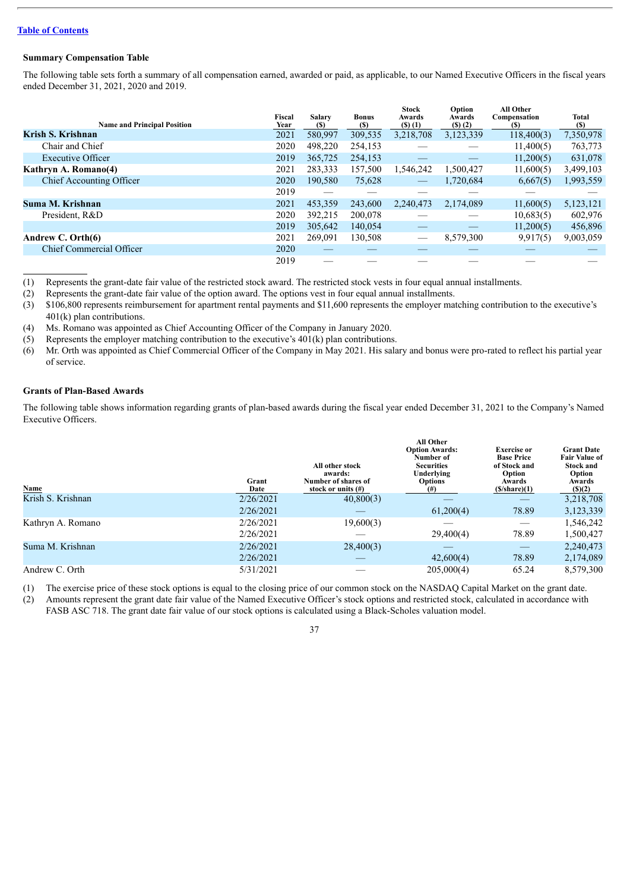## **Summary Compensation Table**

The following table sets forth a summary of all compensation earned, awarded or paid, as applicable, to our Named Executive Officers in the fiscal years ended December 31, 2021, 2020 and 2019.

| <b>Name and Principal Position</b> | Fiscal<br>Year | <b>Salary</b><br>(S) | <b>Bonus</b><br>$\left( \mathbb{S}\right)$ | <b>Stock</b><br>Awards<br>$($ S $)$ $(1)$ | Option<br>Awards<br>(5)(2) | <b>All Other</b><br>Compensation<br>(S) | Total<br>(S) |
|------------------------------------|----------------|----------------------|--------------------------------------------|-------------------------------------------|----------------------------|-----------------------------------------|--------------|
| Krish S. Krishnan                  | 2021           | 580,997              | 309,535                                    | 3,218,708                                 | 3,123,339                  | 118,400(3)                              | 7,350,978    |
| Chair and Chief                    | 2020           | 498,220              | 254,153                                    |                                           |                            | 11,400(5)                               | 763,773      |
| <b>Executive Officer</b>           | 2019           | 365,725              | 254,153                                    |                                           |                            | 11,200(5)                               | 631,078      |
| Kathryn A. Romano(4)               | 2021           | 283,333              | 157,500                                    | 1,546,242                                 | 1,500,427                  | 11,600(5)                               | 3,499,103    |
| Chief Accounting Officer           | 2020           | 190.580              | 75,628                                     |                                           | 1,720,684                  | 6,667(5)                                | 1,993,559    |
|                                    | 2019           |                      |                                            |                                           |                            |                                         |              |
| Suma M. Krishnan                   | 2021           | 453,359              | 243,600                                    | 2,240,473                                 | 2,174,089                  | 11,600(5)                               | 5,123,121    |
| President, R&D                     | 2020           | 392,215              | 200,078                                    |                                           |                            | 10,683(5)                               | 602,976      |
|                                    | 2019           | 305,642              | 140,054                                    |                                           |                            | 11,200(5)                               | 456,896      |
| Andrew C. Orth(6)                  | 2021           | 269.091              | 130,508                                    |                                           | 8,579,300                  | 9,917(5)                                | 9,003,059    |
| <b>Chief Commercial Officer</b>    | 2020           |                      |                                            |                                           |                            |                                         |              |
|                                    | 2019           |                      |                                            |                                           |                            |                                         |              |

(1) Represents the grant-date fair value of the restricted stock award. The restricted stock vests in four equal annual installments.

(2) Represents the grant-date fair value of the option award. The options vest in four equal annual installments.

(3) \$106,800 represents reimbursement for apartment rental payments and \$11,600 represents the employer matching contribution to the executive's 401(k) plan contributions.

(4) Ms. Romano was appointed as Chief Accounting Officer of the Company in January 2020.

(5) Represents the employer matching contribution to the executive's 401(k) plan contributions.

(6) Mr. Orth was appointed as Chief Commercial Officer of the Company in May 2021. His salary and bonus were pro-rated to reflect his partial year of service.

## **Grants of Plan-Based Awards**

The following table shows information regarding grants of plan-based awards during the fiscal year ended December 31, 2021 to the Company's Named Executive Officers.

| Name              | Grant<br>Date | All other stock<br>awards:<br>Number of shares of<br>stock or units $(\#)$ | <b>All Other</b><br><b>Option Awards:</b><br>Number of<br><b>Securities</b><br>Underlying<br><b>Options</b><br>(# ) | <b>Exercise or</b><br><b>Base Price</b><br>of Stock and<br>Option<br>Awards<br>(S/share)(1) | <b>Grant Date</b><br><b>Fair Value of</b><br><b>Stock and</b><br>Option<br>Awards<br>(S)(2) |
|-------------------|---------------|----------------------------------------------------------------------------|---------------------------------------------------------------------------------------------------------------------|---------------------------------------------------------------------------------------------|---------------------------------------------------------------------------------------------|
| Krish S. Krishnan | 2/26/2021     | 40,800(3)                                                                  |                                                                                                                     |                                                                                             | 3,218,708                                                                                   |
|                   | 2/26/2021     |                                                                            | 61,200(4)                                                                                                           | 78.89                                                                                       | 3,123,339                                                                                   |
| Kathryn A. Romano | 2/26/2021     | 19,600(3)                                                                  |                                                                                                                     |                                                                                             | 1,546,242                                                                                   |
|                   | 2/26/2021     |                                                                            | 29,400(4)                                                                                                           | 78.89                                                                                       | 1,500,427                                                                                   |
| Suma M. Krishnan  | 2/26/2021     | 28,400(3)                                                                  |                                                                                                                     |                                                                                             | 2,240,473                                                                                   |
|                   | 2/26/2021     |                                                                            | 42,600(4)                                                                                                           | 78.89                                                                                       | 2,174,089                                                                                   |
| Andrew C. Orth    | 5/31/2021     |                                                                            | 205,000(4)                                                                                                          | 65.24                                                                                       | 8,579,300                                                                                   |

(1) The exercise price of these stock options is equal to the closing price of our common stock on the NASDAQ Capital Market on the grant date.

(2) Amounts represent the grant date fair value of the Named Executive Officer's stock options and restricted stock, calculated in accordance with FASB ASC 718. The grant date fair value of our stock options is calculated using a Black-Scholes valuation model.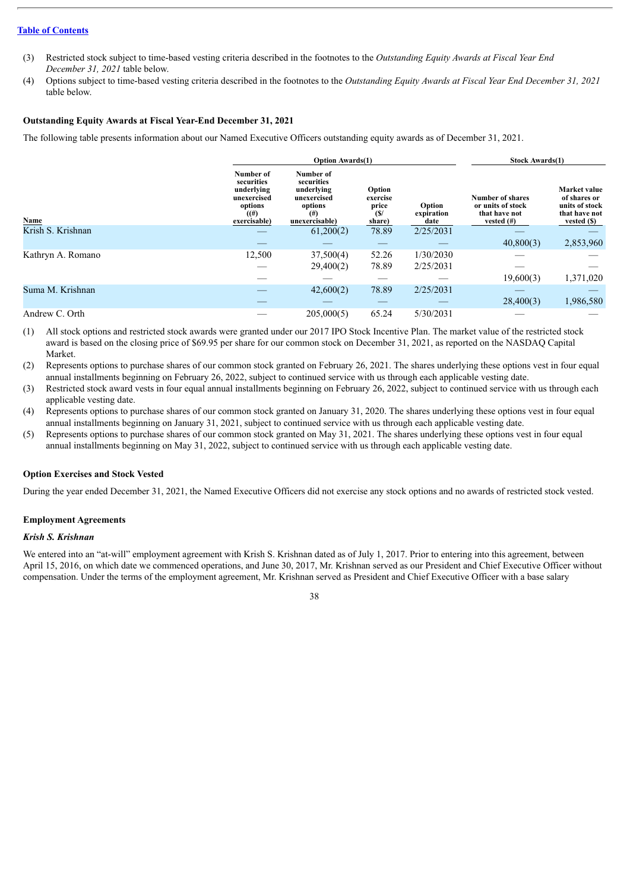- (3) Restricted stock subject to time-based vesting criteria described in the footnotes to the *Outstanding Equity Awards at Fiscal Year End December 31, 2021* table below.
- (4) Options subject to time-based vesting criteria described in the footnotes to the *Outstanding Equity Awards at Fiscal Year End December 31, 2021* table below.

## **Outstanding Equity Awards at Fiscal Year-End December 31, 2021**

The following table presents information about our Named Executive Officers outstanding equity awards as of December 31, 2021.

|                   |                                                                                        | <b>Option Awards</b> (1)                                                                      | <b>Stock Awards(1)</b>                       |                              |                                                                         |                                                                                |
|-------------------|----------------------------------------------------------------------------------------|-----------------------------------------------------------------------------------------------|----------------------------------------------|------------------------------|-------------------------------------------------------------------------|--------------------------------------------------------------------------------|
| Name              | Number of<br>securities<br>underlying<br>unexercised<br>options<br>(4)<br>exercisable) | Number of<br>securities<br>underlying<br>unexercised<br>options<br>$^{(#)}$<br>unexercisable) | Option<br>exercise<br>price<br>(S/<br>share) | Option<br>expiration<br>date | Number of shares<br>or units of stock<br>that have not<br>vested $(\#)$ | Market value<br>of shares or<br>units of stock<br>that have not<br>vested (\$) |
| Krish S. Krishnan |                                                                                        | 61,200(2)                                                                                     | 78.89                                        | 2/25/2031                    |                                                                         |                                                                                |
|                   |                                                                                        |                                                                                               |                                              |                              | 40,800(3)                                                               | 2,853,960                                                                      |
| Kathryn A. Romano | 12,500                                                                                 | 37,500(4)                                                                                     | 52.26                                        | 1/30/2030                    |                                                                         |                                                                                |
|                   |                                                                                        | 29,400(2)                                                                                     | 78.89                                        | 2/25/2031                    |                                                                         |                                                                                |
|                   |                                                                                        |                                                                                               |                                              |                              | 19,600(3)                                                               | 1,371,020                                                                      |
| Suma M. Krishnan  |                                                                                        | 42,600(2)                                                                                     | 78.89                                        | 2/25/2031                    |                                                                         |                                                                                |
|                   |                                                                                        |                                                                                               |                                              |                              | 28,400(3)                                                               | 1,986,580                                                                      |
| Andrew C. Orth    |                                                                                        | 205,000(5)                                                                                    | 65.24                                        | 5/30/2031                    |                                                                         |                                                                                |

(1) All stock options and restricted stock awards were granted under our 2017 IPO Stock Incentive Plan. The market value of the restricted stock award is based on the closing price of \$69.95 per share for our common stock on December 31, 2021, as reported on the NASDAQ Capital Market.

- (2) Represents options to purchase shares of our common stock granted on February 26, 2021. The shares underlying these options vest in four equal annual installments beginning on February 26, 2022, subject to continued service with us through each applicable vesting date.
- (3) Restricted stock award vests in four equal annual installments beginning on February 26, 2022, subject to continued service with us through each applicable vesting date.
- (4) Represents options to purchase shares of our common stock granted on January 31, 2020. The shares underlying these options vest in four equal annual installments beginning on January 31, 2021, subject to continued service with us through each applicable vesting date.
- (5) Represents options to purchase shares of our common stock granted on May 31, 2021. The shares underlying these options vest in four equal annual installments beginning on May 31, 2022, subject to continued service with us through each applicable vesting date.

## **Option Exercises and Stock Vested**

During the year ended December 31, 2021, the Named Executive Officers did not exercise any stock options and no awards of restricted stock vested.

## **Employment Agreements**

## *Krish S. Krishnan*

We entered into an "at-will" employment agreement with Krish S. Krishnan dated as of July 1, 2017. Prior to entering into this agreement, between April 15, 2016, on which date we commenced operations, and June 30, 2017, Mr. Krishnan served as our President and Chief Executive Officer without compensation. Under the terms of the employment agreement, Mr. Krishnan served as President and Chief Executive Officer with a base salary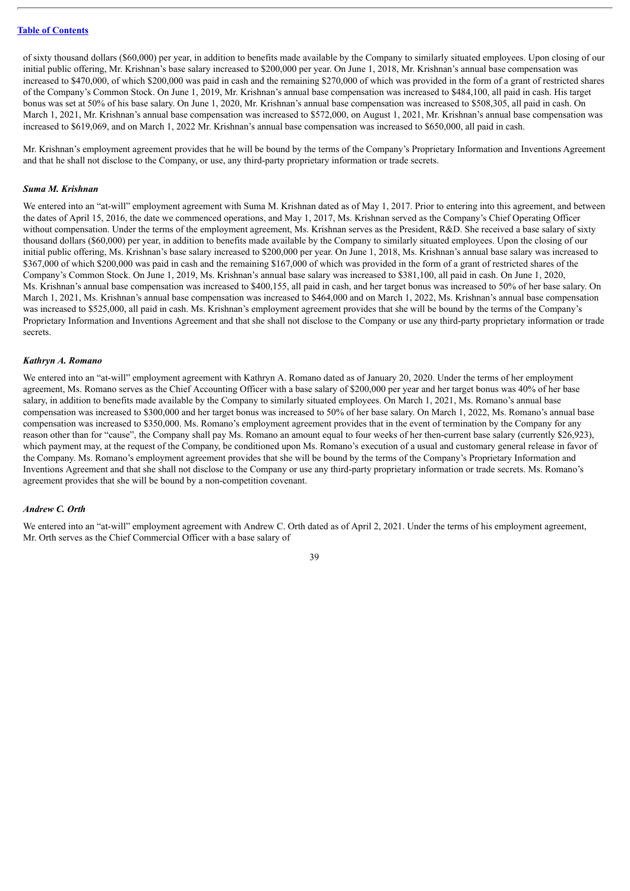of sixty thousand dollars (\$60,000) per year, in addition to benefits made available by the Company to similarly situated employees. Upon closing of our initial public offering, Mr. Krishnan's base salary increased to \$200,000 per year. On June 1, 2018, Mr. Krishnan's annual base compensation was increased to \$470,000, of which \$200,000 was paid in cash and the remaining \$270,000 of which was provided in the form of a grant of restricted shares of the Company's Common Stock. On June 1, 2019, Mr. Krishnan's annual base compensation was increased to \$484,100, all paid in cash. His target bonus was set at 50% of his base salary. On June 1, 2020, Mr. Krishnan's annual base compensation was increased to \$508,305, all paid in cash. On March 1, 2021, Mr. Krishnan's annual base compensation was increased to \$572,000, on August 1, 2021, Mr. Krishnan's annual base compensation was increased to \$619,069, and on March 1, 2022 Mr. Krishnan's annual base compensation was increased to \$650,000, all paid in cash.

Mr. Krishnan's employment agreement provides that he will be bound by the terms of the Company's Proprietary Information and Inventions Agreement and that he shall not disclose to the Company, or use, any third-party proprietary information or trade secrets.

#### *Suma M. Krishnan*

We entered into an "at-will" employment agreement with Suma M. Krishnan dated as of May 1, 2017. Prior to entering into this agreement, and between the dates of April 15, 2016, the date we commenced operations, and May 1, 2017, Ms. Krishnan served as the Company's Chief Operating Officer without compensation. Under the terms of the employment agreement, Ms. Krishnan serves as the President, R&D. She received a base salary of sixty thousand dollars (\$60,000) per year, in addition to benefits made available by the Company to similarly situated employees. Upon the closing of our initial public offering, Ms. Krishnan's base salary increased to \$200,000 per year. On June 1, 2018, Ms. Krishnan's annual base salary was increased to \$367,000 of which \$200,000 was paid in cash and the remaining \$167,000 of which was provided in the form of a grant of restricted shares of the Company's Common Stock. On June 1, 2019, Ms. Krishnan's annual base salary was increased to \$381,100, all paid in cash. On June 1, 2020, Ms. Krishnan's annual base compensation was increased to \$400,155, all paid in cash, and her target bonus was increased to 50% of her base salary. On March 1, 2021, Ms. Krishnan's annual base compensation was increased to \$464,000 and on March 1, 2022, Ms. Krishnan's annual base compensation was increased to \$525,000, all paid in cash. Ms. Krishnan's employment agreement provides that she will be bound by the terms of the Company's Proprietary Information and Inventions Agreement and that she shall not disclose to the Company or use any third-party proprietary information or trade secrets.

#### *Kathryn A. Romano*

We entered into an "at-will" employment agreement with Kathryn A. Romano dated as of January 20, 2020. Under the terms of her employment agreement, Ms. Romano serves as the Chief Accounting Officer with a base salary of \$200,000 per year and her target bonus was 40% of her base salary, in addition to benefits made available by the Company to similarly situated employees. On March 1, 2021, Ms. Romano's annual base compensation was increased to \$300,000 and her target bonus was increased to 50% of her base salary. On March 1, 2022, Ms. Romano's annual base compensation was increased to \$350,000. Ms. Romano's employment agreement provides that in the event of termination by the Company for any reason other than for "cause", the Company shall pay Ms. Romano an amount equal to four weeks of her then-current base salary (currently \$26,923), which payment may, at the request of the Company, be conditioned upon Ms. Romano's execution of a usual and customary general release in favor of the Company. Ms. Romano's employment agreement provides that she will be bound by the terms of the Company's Proprietary Information and Inventions Agreement and that she shall not disclose to the Company or use any third-party proprietary information or trade secrets. Ms. Romano's agreement provides that she will be bound by a non-competition covenant.

## *Andrew C. Orth*

We entered into an "at-will" employment agreement with Andrew C. Orth dated as of April 2, 2021. Under the terms of his employment agreement, Mr. Orth serves as the Chief Commercial Officer with a base salary of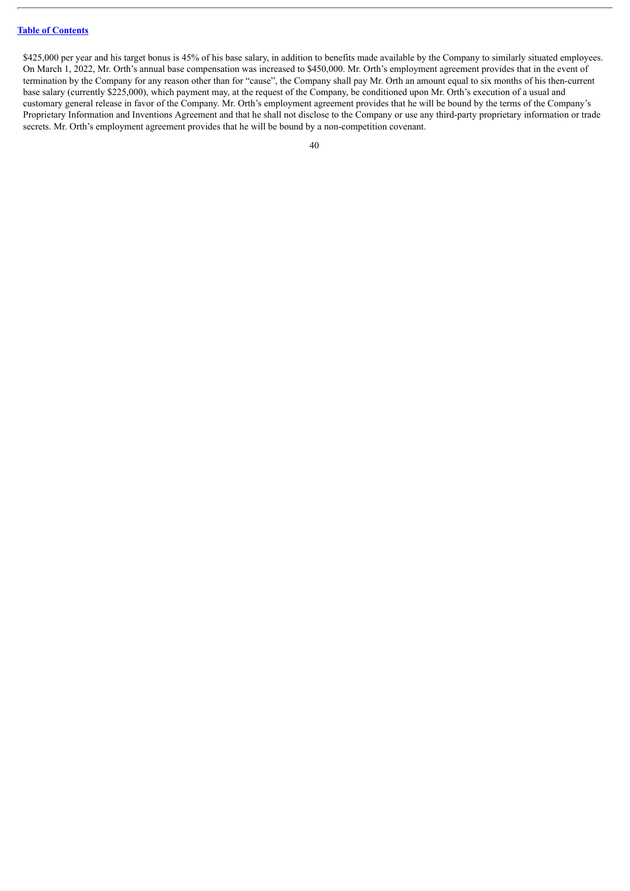\$425,000 per year and his target bonus is 45% of his base salary, in addition to benefits made available by the Company to similarly situated employees. On March 1, 2022, Mr. Orth's annual base compensation was increased to \$450,000. Mr. Orth's employment agreement provides that in the event of termination by the Company for any reason other than for "cause", the Company shall pay Mr. Orth an amount equal to six months of his then-current base salary (currently \$225,000), which payment may, at the request of the Company, be conditioned upon Mr. Orth's execution of a usual and customary general release in favor of the Company. Mr. Orth's employment agreement provides that he will be bound by the terms of the Company's Proprietary Information and Inventions Agreement and that he shall not disclose to the Company or use any third-party proprietary information or trade secrets. Mr. Orth's employment agreement provides that he will be bound by a non-competition covenant.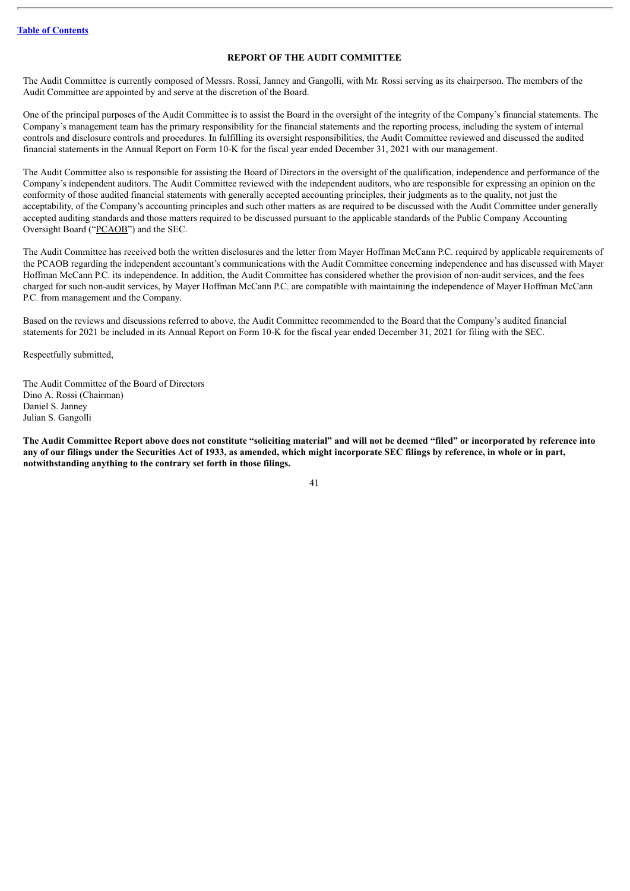## **REPORT OF THE AUDIT COMMITTEE**

<span id="page-44-0"></span>The Audit Committee is currently composed of Messrs. Rossi, Janney and Gangolli, with Mr. Rossi serving as its chairperson. The members of the Audit Committee are appointed by and serve at the discretion of the Board.

One of the principal purposes of the Audit Committee is to assist the Board in the oversight of the integrity of the Company's financial statements. The Company's management team has the primary responsibility for the financial statements and the reporting process, including the system of internal controls and disclosure controls and procedures. In fulfilling its oversight responsibilities, the Audit Committee reviewed and discussed the audited financial statements in the Annual Report on Form 10-K for the fiscal year ended December 31, 2021 with our management.

The Audit Committee also is responsible for assisting the Board of Directors in the oversight of the qualification, independence and performance of the Company's independent auditors. The Audit Committee reviewed with the independent auditors, who are responsible for expressing an opinion on the conformity of those audited financial statements with generally accepted accounting principles, their judgments as to the quality, not just the acceptability, of the Company's accounting principles and such other matters as are required to be discussed with the Audit Committee under generally accepted auditing standards and those matters required to be discussed pursuant to the applicable standards of the Public Company Accounting Oversight Board ("PCAOB") and the SEC.

The Audit Committee has received both the written disclosures and the letter from Mayer Hoffman McCann P.C. required by applicable requirements of the PCAOB regarding the independent accountant's communications with the Audit Committee concerning independence and has discussed with Mayer Hoffman McCann P.C. its independence. In addition, the Audit Committee has considered whether the provision of non-audit services, and the fees charged for such non-audit services, by Mayer Hoffman McCann P.C. are compatible with maintaining the independence of Mayer Hoffman McCann P.C. from management and the Company.

Based on the reviews and discussions referred to above, the Audit Committee recommended to the Board that the Company's audited financial statements for 2021 be included in its Annual Report on Form 10-K for the fiscal year ended December 31, 2021 for filing with the SEC.

Respectfully submitted,

The Audit Committee of the Board of Directors Dino A. Rossi (Chairman) Daniel S. Janney Julian S. Gangolli

The Audit Committee Report above does not constitute "soliciting material" and will not be deemed "filed" or incorporated by reference into any of our filings under the Securities Act of 1933, as amended, which might incorporate SEC filings by reference, in whole or in part, **notwithstanding anything to the contrary set forth in those filings.**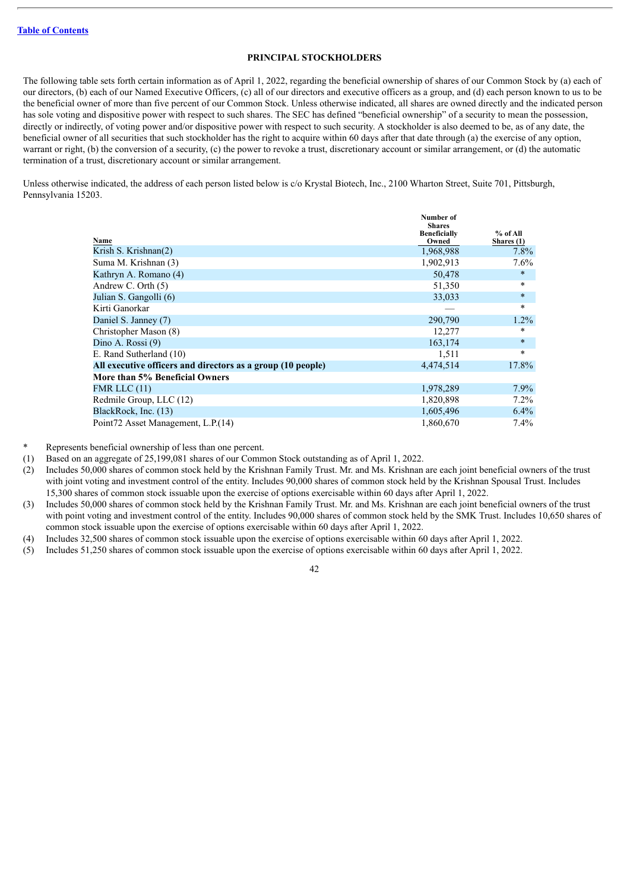## **PRINCIPAL STOCKHOLDERS**

<span id="page-45-0"></span>The following table sets forth certain information as of April 1, 2022, regarding the beneficial ownership of shares of our Common Stock by (a) each of our directors, (b) each of our Named Executive Officers, (c) all of our directors and executive officers as a group, and (d) each person known to us to be the beneficial owner of more than five percent of our Common Stock. Unless otherwise indicated, all shares are owned directly and the indicated person has sole voting and dispositive power with respect to such shares. The SEC has defined "beneficial ownership" of a security to mean the possession, directly or indirectly, of voting power and/or dispositive power with respect to such security. A stockholder is also deemed to be, as of any date, the beneficial owner of all securities that such stockholder has the right to acquire within 60 days after that date through (a) the exercise of any option, warrant or right, (b) the conversion of a security, (c) the power to revoke a trust, discretionary account or similar arrangement, or (d) the automatic termination of a trust, discretionary account or similar arrangement.

Unless otherwise indicated, the address of each person listed below is c/o Krystal Biotech, Inc., 2100 Wharton Street, Suite 701, Pittsburgh, Pennsylvania 15203.

| Name                                                        | Number of<br><b>Shares</b><br><b>Beneficially</b><br>Owned | $%$ of All<br>Shares (1) |
|-------------------------------------------------------------|------------------------------------------------------------|--------------------------|
| Krish S. Krishnan(2)                                        | 1,968,988                                                  | $7.8\%$                  |
| Suma M. Krishnan (3)                                        | 1,902,913                                                  | $7.6\%$                  |
| Kathryn A. Romano (4)                                       | 50,478                                                     | $\ast$                   |
| Andrew C. Orth $(5)$                                        | 51,350                                                     | $\ast$                   |
| Julian S. Gangolli (6)                                      | 33,033                                                     | $\ast$                   |
| Kirti Ganorkar                                              |                                                            | $\ast$                   |
| Daniel S. Janney (7)                                        | 290,790                                                    | $1.2\%$                  |
| Christopher Mason (8)                                       | 12,277                                                     | *                        |
| Dino A. Rossi (9)                                           | 163,174                                                    | $\ast$                   |
| E. Rand Sutherland (10)                                     | 1,511                                                      | $\ast$                   |
| All executive officers and directors as a group (10 people) | 4,474,514                                                  | 17.8%                    |
| More than 5% Beneficial Owners                              |                                                            |                          |
| FMR LLC $(11)$                                              | 1,978,289                                                  | $7.9\%$                  |
| Redmile Group, LLC (12)                                     | 1,820,898                                                  | $7.2\%$                  |
| BlackRock, Inc. (13)                                        | 1,605,496                                                  | $6.4\%$                  |
| Point72 Asset Management, L.P. (14)                         | 1,860,670                                                  | $7.4\%$                  |

Represents beneficial ownership of less than one percent.

(1) Based on an aggregate of 25,199,081 shares of our Common Stock outstanding as of April 1, 2022.

(2) Includes 50,000 shares of common stock held by the Krishnan Family Trust. Mr. and Ms. Krishnan are each joint beneficial owners of the trust with joint voting and investment control of the entity. Includes 90,000 shares of common stock held by the Krishnan Spousal Trust. Includes 15,300 shares of common stock issuable upon the exercise of options exercisable within 60 days after April 1, 2022.

- (3) Includes 50,000 shares of common stock held by the Krishnan Family Trust. Mr. and Ms. Krishnan are each joint beneficial owners of the trust with point voting and investment control of the entity. Includes 90,000 shares of common stock held by the SMK Trust. Includes 10,650 shares of common stock issuable upon the exercise of options exercisable within 60 days after April 1, 2022.
- (4) Includes 32,500 shares of common stock issuable upon the exercise of options exercisable within 60 days after April 1, 2022.
- (5) Includes 51,250 shares of common stock issuable upon the exercise of options exercisable within 60 days after April 1, 2022.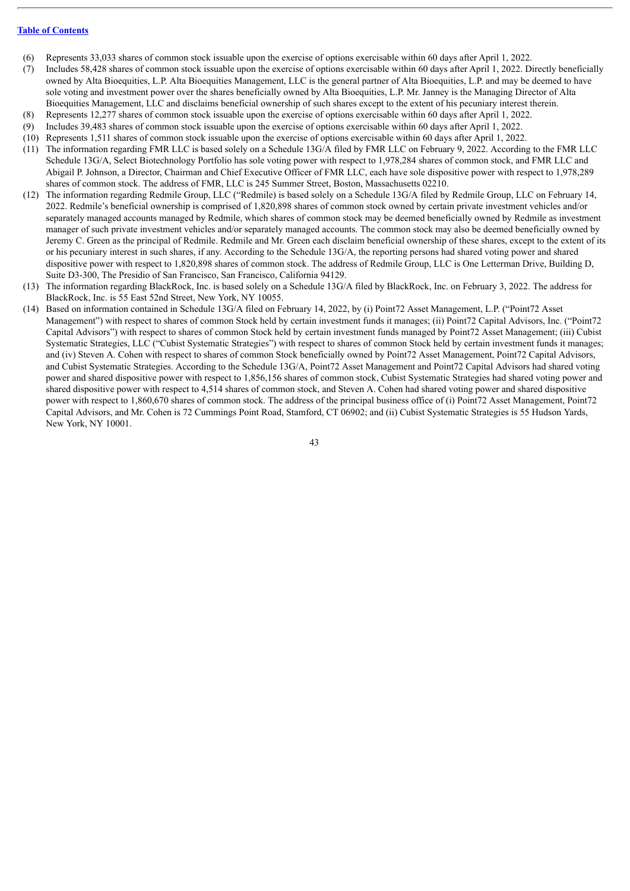- (6) Represents 33,033 shares of common stock issuable upon the exercise of options exercisable within 60 days after April 1, 2022.
- (7) Includes 58,428 shares of common stock issuable upon the exercise of options exercisable within 60 days after April 1, 2022. Directly beneficially owned by Alta Bioequities, L.P. Alta Bioequities Management, LLC is the general partner of Alta Bioequities, L.P. and may be deemed to have sole voting and investment power over the shares beneficially owned by Alta Bioequities, L.P. Mr. Janney is the Managing Director of Alta Bioequities Management, LLC and disclaims beneficial ownership of such shares except to the extent of his pecuniary interest therein.
- (8) Represents 12,277 shares of common stock issuable upon the exercise of options exercisable within 60 days after April 1, 2022.
- (9) Includes 39,483 shares of common stock issuable upon the exercise of options exercisable within 60 days after April 1, 2022.
- (10) Represents 1,511 shares of common stock issuable upon the exercise of options exercisable within 60 days after April 1, 2022.
- (11) The information regarding FMR LLC is based solely on a Schedule 13G/A filed by FMR LLC on February 9, 2022. According to the FMR LLC Schedule 13G/A, Select Biotechnology Portfolio has sole voting power with respect to 1,978,284 shares of common stock, and FMR LLC and Abigail P. Johnson, a Director, Chairman and Chief Executive Officer of FMR LLC, each have sole dispositive power with respect to 1,978,289 shares of common stock. The address of FMR, LLC is 245 Summer Street, Boston, Massachusetts 02210.
- (12) The information regarding Redmile Group, LLC ("Redmile) is based solely on a Schedule 13G/A filed by Redmile Group, LLC on February 14, 2022. Redmile's beneficial ownership is comprised of 1,820,898 shares of common stock owned by certain private investment vehicles and/or separately managed accounts managed by Redmile, which shares of common stock may be deemed beneficially owned by Redmile as investment manager of such private investment vehicles and/or separately managed accounts. The common stock may also be deemed beneficially owned by Jeremy C. Green as the principal of Redmile. Redmile and Mr. Green each disclaim beneficial ownership of these shares, except to the extent of its or his pecuniary interest in such shares, if any. According to the Schedule 13G/A, the reporting persons had shared voting power and shared dispositive power with respect to 1,820,898 shares of common stock. The address of Redmile Group, LLC is One Letterman Drive, Building D, Suite D3-300, The Presidio of San Francisco, San Francisco, California 94129.
- (13) The information regarding BlackRock, Inc. is based solely on a Schedule 13G/A filed by BlackRock, Inc. on February 3, 2022. The address for BlackRock, Inc. is 55 East 52nd Street, New York, NY 10055.
- (14) Based on information contained in Schedule 13G/A filed on February 14, 2022, by (i) Point72 Asset Management, L.P. ("Point72 Asset Management") with respect to shares of common Stock held by certain investment funds it manages; (ii) Point72 Capital Advisors, Inc. ("Point72 Capital Advisors") with respect to shares of common Stock held by certain investment funds managed by Point72 Asset Management; (iii) Cubist Systematic Strategies, LLC ("Cubist Systematic Strategies") with respect to shares of common Stock held by certain investment funds it manages; and (iv) Steven A. Cohen with respect to shares of common Stock beneficially owned by Point72 Asset Management, Point72 Capital Advisors, and Cubist Systematic Strategies. According to the Schedule 13G/A, Point72 Asset Management and Point72 Capital Advisors had shared voting power and shared dispositive power with respect to 1,856,156 shares of common stock, Cubist Systematic Strategies had shared voting power and shared dispositive power with respect to 4,514 shares of common stock, and Steven A. Cohen had shared voting power and shared dispositive power with respect to 1,860,670 shares of common stock. The address of the principal business office of (i) Point72 Asset Management, Point72 Capital Advisors, and Mr. Cohen is 72 Cummings Point Road, Stamford, CT 06902; and (ii) Cubist Systematic Strategies is 55 Hudson Yards, New York, NY 10001.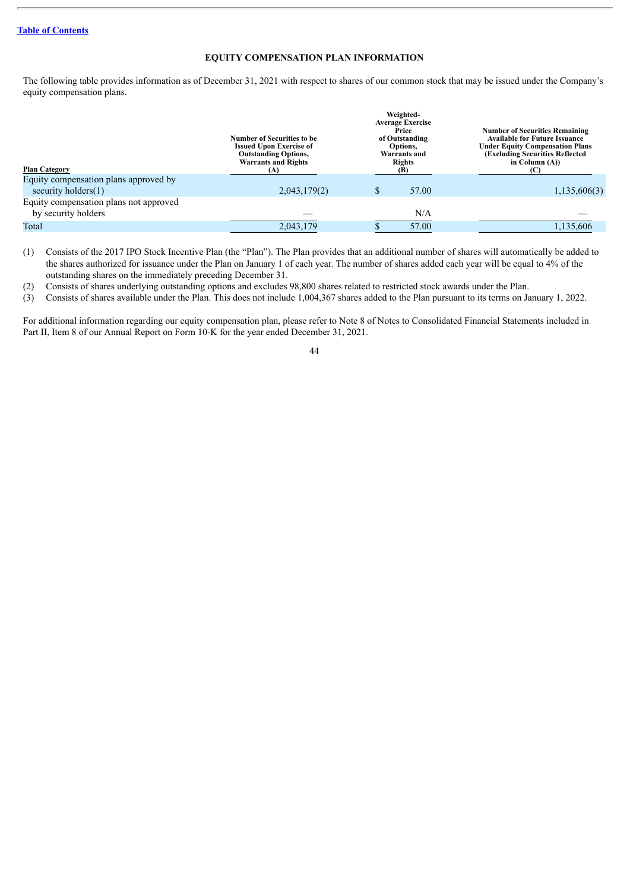## **EQUITY COMPENSATION PLAN INFORMATION**

<span id="page-47-0"></span>The following table provides information as of December 31, 2021 with respect to shares of our common stock that may be issued under the Company's equity compensation plans.

| <b>Plan Category</b>                   | <b>Number of Securities to be</b><br><b>Issued Upon Exercise of</b><br><b>Outstanding Options,</b><br><b>Warrants and Rights</b><br>(A) | Weighted-<br><b>Average Exercise</b><br>Price<br>of Outstanding<br>Options,<br>Warrants and<br><b>Rights</b> | <b>Number of Securities Remaining</b><br><b>Available for Future Issuance</b><br><b>Under Equity Compensation Plans</b><br>(Excluding Securities Reflected)<br>in Column $(A)$ ) |
|----------------------------------------|-----------------------------------------------------------------------------------------------------------------------------------------|--------------------------------------------------------------------------------------------------------------|----------------------------------------------------------------------------------------------------------------------------------------------------------------------------------|
| Equity compensation plans approved by  |                                                                                                                                         |                                                                                                              |                                                                                                                                                                                  |
| security holders $(1)$                 | 2,043,179(2)                                                                                                                            | 57.00                                                                                                        | 1,135,606(3)                                                                                                                                                                     |
| Equity compensation plans not approved |                                                                                                                                         |                                                                                                              |                                                                                                                                                                                  |
| by security holders                    |                                                                                                                                         | N/A                                                                                                          |                                                                                                                                                                                  |
| Total                                  | 2,043,179                                                                                                                               | 57.00                                                                                                        | 1,135,606                                                                                                                                                                        |
|                                        |                                                                                                                                         |                                                                                                              |                                                                                                                                                                                  |

(1) Consists of the 2017 IPO Stock Incentive Plan (the "Plan"). The Plan provides that an additional number of shares will automatically be added to the shares authorized for issuance under the Plan on January 1 of each year. The number of shares added each year will be equal to 4% of the outstanding shares on the immediately preceding December 31.

(2) Consists of shares underlying outstanding options and excludes 98,800 shares related to restricted stock awards under the Plan.

(3) Consists of shares available under the Plan. This does not include 1,004,367 shares added to the Plan pursuant to its terms on January 1, 2022.

For additional information regarding our equity compensation plan, please refer to Note 8 of Notes to Consolidated Financial Statements included in Part II, Item 8 of our Annual Report on Form 10-K for the year ended December 31, 2021.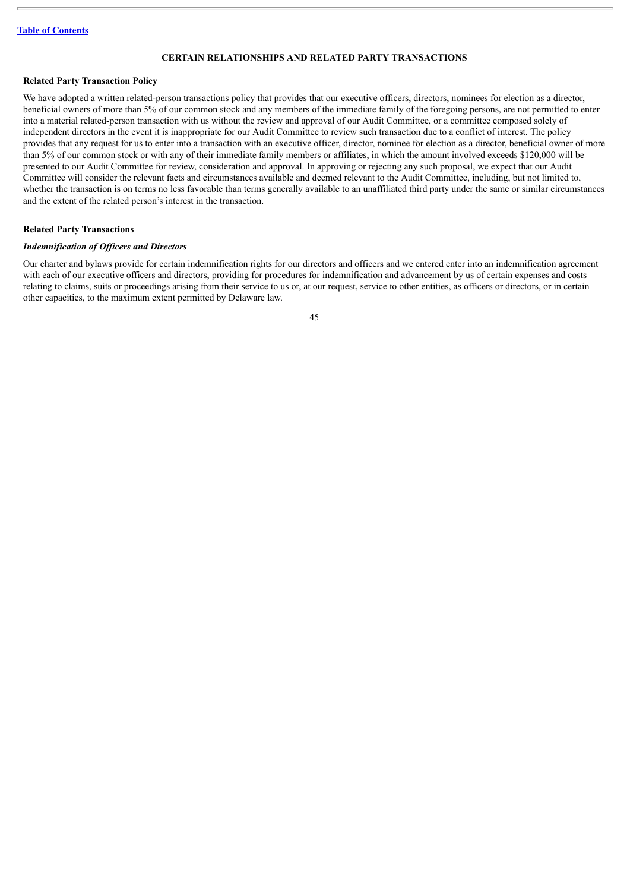## **CERTAIN RELATIONSHIPS AND RELATED PARTY TRANSACTIONS**

## <span id="page-48-0"></span>**Related Party Transaction Policy**

We have adopted a written related-person transactions policy that provides that our executive officers, directors, nominees for election as a director, beneficial owners of more than 5% of our common stock and any members of the immediate family of the foregoing persons, are not permitted to enter into a material related-person transaction with us without the review and approval of our Audit Committee, or a committee composed solely of independent directors in the event it is inappropriate for our Audit Committee to review such transaction due to a conflict of interest. The policy provides that any request for us to enter into a transaction with an executive officer, director, nominee for election as a director, beneficial owner of more than 5% of our common stock or with any of their immediate family members or affiliates, in which the amount involved exceeds \$120,000 will be presented to our Audit Committee for review, consideration and approval. In approving or rejecting any such proposal, we expect that our Audit Committee will consider the relevant facts and circumstances available and deemed relevant to the Audit Committee, including, but not limited to, whether the transaction is on terms no less favorable than terms generally available to an unaffiliated third party under the same or similar circumstances and the extent of the related person's interest in the transaction.

## **Related Party Transactions**

#### *Indemnification of Of icers and Directors*

Our charter and bylaws provide for certain indemnification rights for our directors and officers and we entered enter into an indemnification agreement with each of our executive officers and directors, providing for procedures for indemnification and advancement by us of certain expenses and costs relating to claims, suits or proceedings arising from their service to us or, at our request, service to other entities, as officers or directors, or in certain other capacities, to the maximum extent permitted by Delaware law.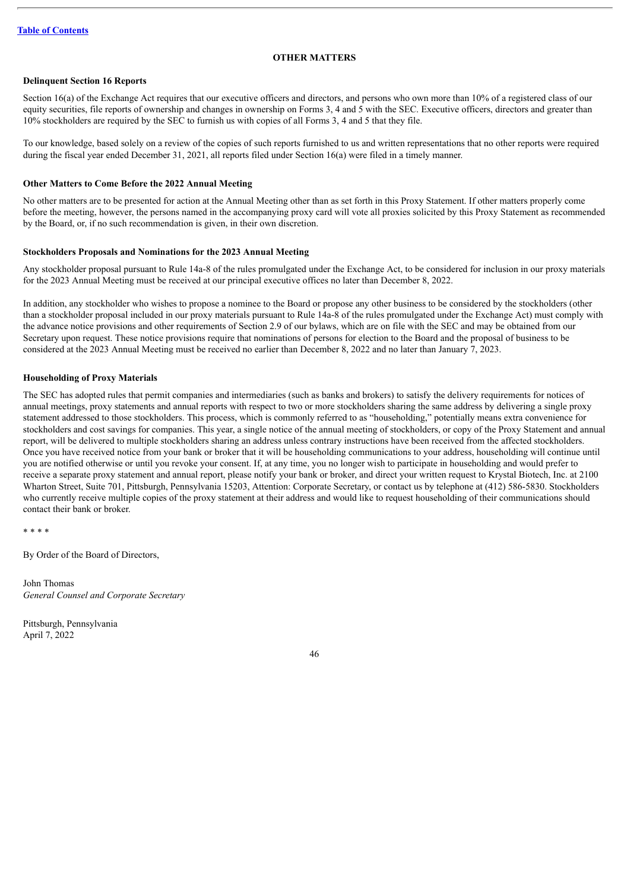#### **OTHER MATTERS**

## <span id="page-49-0"></span>**Delinquent Section 16 Reports**

Section 16(a) of the Exchange Act requires that our executive officers and directors, and persons who own more than 10% of a registered class of our equity securities, file reports of ownership and changes in ownership on Forms 3, 4 and 5 with the SEC. Executive officers, directors and greater than 10% stockholders are required by the SEC to furnish us with copies of all Forms 3, 4 and 5 that they file.

To our knowledge, based solely on a review of the copies of such reports furnished to us and written representations that no other reports were required during the fiscal year ended December 31, 2021, all reports filed under Section 16(a) were filed in a timely manner.

## **Other Matters to Come Before the 2022 Annual Meeting**

No other matters are to be presented for action at the Annual Meeting other than as set forth in this Proxy Statement. If other matters properly come before the meeting, however, the persons named in the accompanying proxy card will vote all proxies solicited by this Proxy Statement as recommended by the Board, or, if no such recommendation is given, in their own discretion.

#### **Stockholders Proposals and Nominations for the 2023 Annual Meeting**

Any stockholder proposal pursuant to Rule 14a-8 of the rules promulgated under the Exchange Act, to be considered for inclusion in our proxy materials for the 2023 Annual Meeting must be received at our principal executive offices no later than December 8, 2022.

In addition, any stockholder who wishes to propose a nominee to the Board or propose any other business to be considered by the stockholders (other than a stockholder proposal included in our proxy materials pursuant to Rule 14a-8 of the rules promulgated under the Exchange Act) must comply with the advance notice provisions and other requirements of Section 2.9 of our bylaws, which are on file with the SEC and may be obtained from our Secretary upon request. These notice provisions require that nominations of persons for election to the Board and the proposal of business to be considered at the 2023 Annual Meeting must be received no earlier than December 8, 2022 and no later than January 7, 2023.

#### **Householding of Proxy Materials**

The SEC has adopted rules that permit companies and intermediaries (such as banks and brokers) to satisfy the delivery requirements for notices of annual meetings, proxy statements and annual reports with respect to two or more stockholders sharing the same address by delivering a single proxy statement addressed to those stockholders. This process, which is commonly referred to as "householding," potentially means extra convenience for stockholders and cost savings for companies. This year, a single notice of the annual meeting of stockholders, or copy of the Proxy Statement and annual report, will be delivered to multiple stockholders sharing an address unless contrary instructions have been received from the affected stockholders. Once you have received notice from your bank or broker that it will be householding communications to your address, householding will continue until you are notified otherwise or until you revoke your consent. If, at any time, you no longer wish to participate in householding and would prefer to receive a separate proxy statement and annual report, please notify your bank or broker, and direct your written request to Krystal Biotech, Inc. at 2100 Wharton Street, Suite 701, Pittsburgh, Pennsylvania 15203, Attention: Corporate Secretary, or contact us by telephone at (412) 586-5830. Stockholders who currently receive multiple copies of the proxy statement at their address and would like to request householding of their communications should contact their bank or broker.

```
* * * *
```
By Order of the Board of Directors,

John Thomas *General Counsel and Corporate Secretary*

Pittsburgh, Pennsylvania April 7, 2022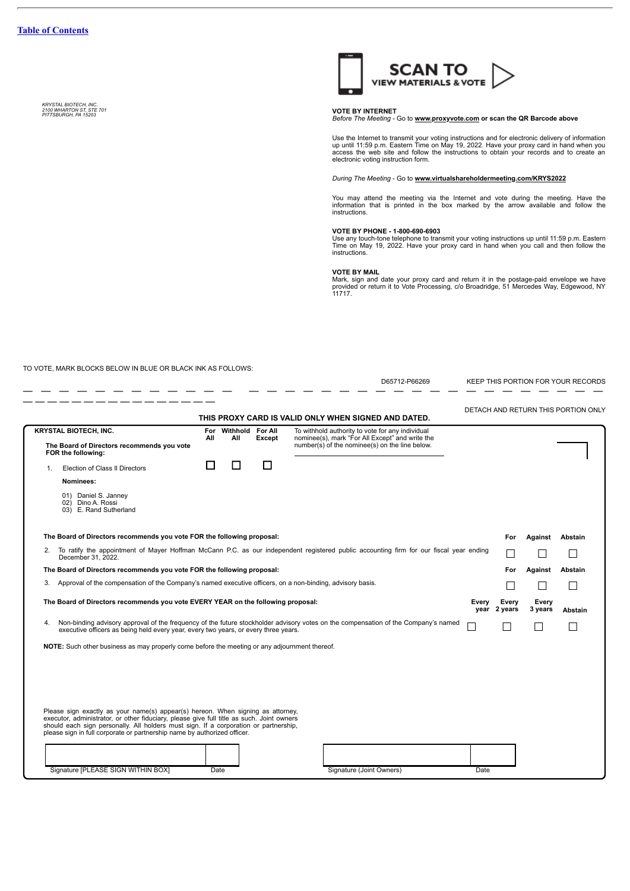*KRYSTAL BIOTECH, INC. 2100 WHARTON ST, STE 701 PITTSBURGH, PA <sup>15203</sup>* **VOTE BY INTERNET**



*Before The Meeting -* Go to **www.proxyvote.com or scan the QR Barcode above**

Use the Internet to transmit your voting instructions and for electronic delivery of information<br>up until 11:59 p.m. Eastern Time on May 19, 2022. Have your proxy card in hand when you<br>access the web site and follow the in electronic voting instruction form.

*During The Meeting* - Go to **www.virtualshareholdermeeting.com/KRYS2022**

You may attend the meeting via the Internet and vote during the meeting. Have the information that is printed in the box marked by the arrow available and follow the instructions.

**VOTE BY PHONE - 1-800-690-6903**<br>Use any touch-tone telephone to transmit your voting instructions up until 11:59 p.m. Eastern<br>Time on May 19, 2022. Have your proxy card in hand when you call and then follow the<br>instructio

**VOTE BY MAIL** Mark, sign and date your proxy card and return it in the postage-paid envelope we have provided or return it to Vote Processing, c/o Broadridge, 51 Mercedes Way, Edgewood, NY 11717.

TO VOTE, MARK BLOCKS BELOW IN BLUE OR BLACK INK AS FOLLOWS:

— — — — — — — — — — — — — — — —

D65712-P66269 KEEP THIS PORTION FOR YOUR RECORDS — — — — — — — — — — — — — — — — — — — — — — — — — — — — — — — —

|                                                                                                                                                                                                                                                                                                                                                                                                                                    |                                                                                                           |            |                         |               | THIS PROXY CARD IS VALID ONLY WHEN SIGNED AND DATED.                                                                                                  |  |                       |                  | DETACH AND RETURN THIS PORTION ONLY |
|------------------------------------------------------------------------------------------------------------------------------------------------------------------------------------------------------------------------------------------------------------------------------------------------------------------------------------------------------------------------------------------------------------------------------------|-----------------------------------------------------------------------------------------------------------|------------|-------------------------|---------------|-------------------------------------------------------------------------------------------------------------------------------------------------------|--|-----------------------|------------------|-------------------------------------|
|                                                                                                                                                                                                                                                                                                                                                                                                                                    | <b>KRYSTAL BIOTECH, INC.</b><br>The Board of Directors recommends you vote<br>FOR the following:          | For<br>All | Withhold For All<br>All | <b>Except</b> | To withhold authority to vote for any individual<br>nominee(s), mark "For All Except" and write the<br>number(s) of the nominee(s) on the line below. |  |                       |                  |                                     |
| 1 <sub>1</sub>                                                                                                                                                                                                                                                                                                                                                                                                                     | Election of Class II Directors                                                                            | - 1        |                         | П             |                                                                                                                                                       |  |                       |                  |                                     |
|                                                                                                                                                                                                                                                                                                                                                                                                                                    | Nominees:                                                                                                 |            |                         |               |                                                                                                                                                       |  |                       |                  |                                     |
|                                                                                                                                                                                                                                                                                                                                                                                                                                    | 01) Daniel S. Janney<br>02) Dino A. Rossi<br>03) E. Rand Sutherland                                       |            |                         |               |                                                                                                                                                       |  |                       |                  |                                     |
|                                                                                                                                                                                                                                                                                                                                                                                                                                    | The Board of Directors recommends you vote FOR the following proposal:                                    |            |                         |               |                                                                                                                                                       |  | For                   | Against          | Abstain                             |
|                                                                                                                                                                                                                                                                                                                                                                                                                                    | December 31, 2022.                                                                                        |            |                         |               | 2. To ratify the appointment of Mayer Hoffman McCann P.C. as our independent registered public accounting firm for our fiscal year ending             |  |                       |                  |                                     |
|                                                                                                                                                                                                                                                                                                                                                                                                                                    | The Board of Directors recommends you vote FOR the following proposal:                                    |            |                         |               |                                                                                                                                                       |  | For                   | Against          | Abstain                             |
| 3.                                                                                                                                                                                                                                                                                                                                                                                                                                 | Approval of the compensation of the Company's named executive officers, on a non-binding, advisory basis. |            |                         |               |                                                                                                                                                       |  |                       |                  |                                     |
|                                                                                                                                                                                                                                                                                                                                                                                                                                    | The Board of Directors recommends you vote EVERY YEAR on the following proposal:<br>Every                 |            |                         |               |                                                                                                                                                       |  | Every<br>year 2 years | Every<br>3 years | Abstain                             |
|                                                                                                                                                                                                                                                                                                                                                                                                                                    | executive officers as being held every year, every two years, or every three years.                       |            |                         |               | Non-binding advisory approval of the frequency of the future stockholder advisory votes on the compensation of the Company's named                    |  |                       |                  |                                     |
|                                                                                                                                                                                                                                                                                                                                                                                                                                    | NOTE: Such other business as may properly come before the meeting or any adjournment thereof.             |            |                         |               |                                                                                                                                                       |  |                       |                  |                                     |
| Please sign exactly as your name(s) appear(s) hereon. When signing as attorney,<br>executor, administrator, or other fiduciary, please give full title as such. Joint owners<br>should each sign personally. All holders must sign. If a corporation or partnership,<br>please sign in full corporate or partnership name by authorized officer.<br>Signature [PLEASE SIGN WITHIN BOX]<br>Signature (Joint Owners)<br>Date<br>Date |                                                                                                           |            |                         |               |                                                                                                                                                       |  |                       |                  |                                     |